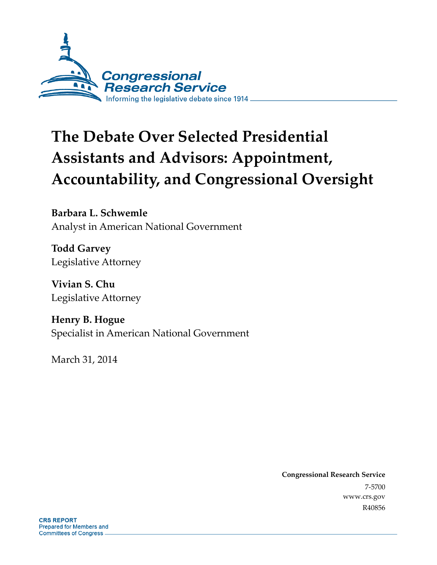

# **The Debate Over Selected Presidential Assistants and Advisors: Appointment, Accountability, and Congressional Oversight**

**Barbara L. Schwemle**  Analyst in American National Government

**Todd Garvey**  Legislative Attorney

**Vivian S. Chu**  Legislative Attorney

**Henry B. Hogue**  Specialist in American National Government

March 31, 2014

**Congressional Research Service**  7-5700 www.crs.gov R40856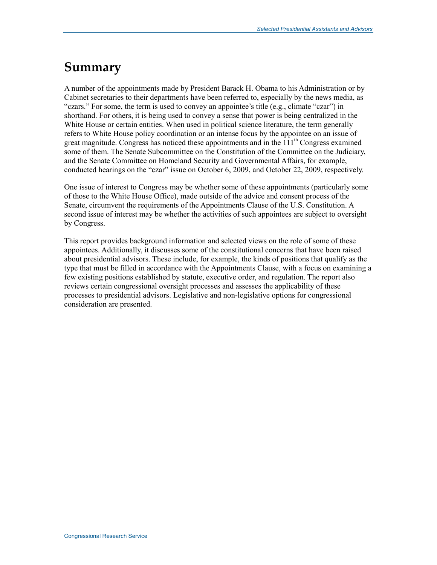## **Summary**

A number of the appointments made by President Barack H. Obama to his Administration or by Cabinet secretaries to their departments have been referred to, especially by the news media, as "czars." For some, the term is used to convey an appointee's title (e.g., climate "czar") in shorthand. For others, it is being used to convey a sense that power is being centralized in the White House or certain entities. When used in political science literature, the term generally refers to White House policy coordination or an intense focus by the appointee on an issue of great magnitude. Congress has noticed these appointments and in the  $111<sup>th</sup>$  Congress examined some of them. The Senate Subcommittee on the Constitution of the Committee on the Judiciary, and the Senate Committee on Homeland Security and Governmental Affairs, for example, conducted hearings on the "czar" issue on October 6, 2009, and October 22, 2009, respectively.

One issue of interest to Congress may be whether some of these appointments (particularly some of those to the White House Office), made outside of the advice and consent process of the Senate, circumvent the requirements of the Appointments Clause of the U.S. Constitution. A second issue of interest may be whether the activities of such appointees are subject to oversight by Congress.

This report provides background information and selected views on the role of some of these appointees. Additionally, it discusses some of the constitutional concerns that have been raised about presidential advisors. These include, for example, the kinds of positions that qualify as the type that must be filled in accordance with the Appointments Clause, with a focus on examining a few existing positions established by statute, executive order, and regulation. The report also reviews certain congressional oversight processes and assesses the applicability of these processes to presidential advisors. Legislative and non-legislative options for congressional consideration are presented.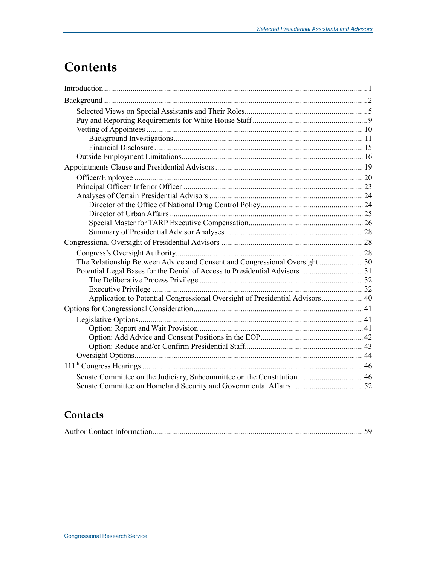## **Contents**

| The Relationship Between Advice and Consent and Congressional Oversight  30  |  |
|------------------------------------------------------------------------------|--|
|                                                                              |  |
|                                                                              |  |
|                                                                              |  |
| Application to Potential Congressional Oversight of Presidential Advisors 40 |  |
|                                                                              |  |
|                                                                              |  |
|                                                                              |  |
|                                                                              |  |
|                                                                              |  |
|                                                                              |  |
|                                                                              |  |
| Senate Committee on the Judiciary, Subcommittee on the Constitution 46       |  |
|                                                                              |  |

## **Contacts**

|--|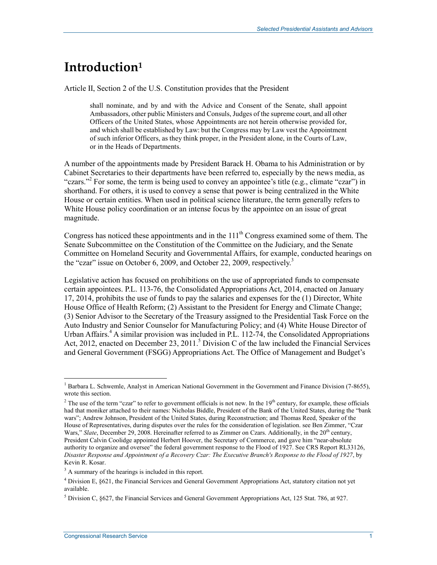## **Introduction1**

Article II, Section 2 of the U.S. Constitution provides that the President

shall nominate, and by and with the Advice and Consent of the Senate, shall appoint Ambassadors, other public Ministers and Consuls, Judges of the supreme court, and all other Officers of the United States, whose Appointments are not herein otherwise provided for, and which shall be established by Law: but the Congress may by Law vest the Appointment of such inferior Officers, as they think proper, in the President alone, in the Courts of Law, or in the Heads of Departments.

A number of the appointments made by President Barack H. Obama to his Administration or by Cabinet Secretaries to their departments have been referred to, especially by the news media, as "czars."<sup>2</sup> For some, the term is being used to convey an appointee's title (e.g., climate "czar") in shorthand. For others, it is used to convey a sense that power is being centralized in the White House or certain entities. When used in political science literature, the term generally refers to White House policy coordination or an intense focus by the appointee on an issue of great magnitude.

Congress has noticed these appointments and in the  $111<sup>th</sup>$  Congress examined some of them. The Senate Subcommittee on the Constitution of the Committee on the Judiciary, and the Senate Committee on Homeland Security and Governmental Affairs, for example, conducted hearings on the "czar" issue on October 6, 2009, and October 22, 2009, respectively.<sup>3</sup>

Legislative action has focused on prohibitions on the use of appropriated funds to compensate certain appointees. P.L. 113-76, the Consolidated Appropriations Act, 2014, enacted on January 17, 2014, prohibits the use of funds to pay the salaries and expenses for the (1) Director, White House Office of Health Reform; (2) Assistant to the President for Energy and Climate Change; (3) Senior Advisor to the Secretary of the Treasury assigned to the Presidential Task Force on the Auto Industry and Senior Counselor for Manufacturing Policy; and (4) White House Director of Urban Affairs.<sup>4</sup> A similar provision was included in P.L. 112-74, the Consolidated Appropriations Act, 2012, enacted on December 23, 2011.<sup>5</sup> Division C of the law included the Financial Services and General Government (FSGG) Appropriations Act. The Office of Management and Budget's

<sup>&</sup>lt;sup>1</sup> Barbara L. Schwemle, Analyst in American National Government in the Government and Finance Division (7-8655), wrote this section.

<sup>&</sup>lt;sup>2</sup> The use of the term "czar" to refer to government officials is not new. In the  $19<sup>th</sup>$  century, for example, these officials had that moniker attached to their names: Nicholas Biddle, President of the Bank of the United States, during the "bank wars"; Andrew Johnson, President of the United States, during Reconstruction; and Thomas Reed, Speaker of the House of Representatives, during disputes over the rules for the consideration of legislation. see Ben Zimmer, "Czar Wars," *Slate*, December 29, 2008. Hereinafter referred to as Zimmer on Czars. Additionally, in the 20<sup>th</sup> century, President Calvin Coolidge appointed Herbert Hoover, the Secretary of Commerce, and gave him "near-absolute authority to organize and oversee" the federal government response to the Flood of 1927. See CRS Report RL33126, *Disaster Response and Appointment of a Recovery Czar: The Executive Branch's Response to the Flood of 1927*, by Kevin R. Kosar.

<sup>&</sup>lt;sup>3</sup> A summary of the hearings is included in this report.

<sup>&</sup>lt;sup>4</sup> Division E, §621, the Financial Services and General Government Appropriations Act, statutory citation not yet available.

<sup>&</sup>lt;sup>5</sup> Division C,  $\S627$ , the Financial Services and General Government Appropriations Act, 125 Stat. 786, at 927.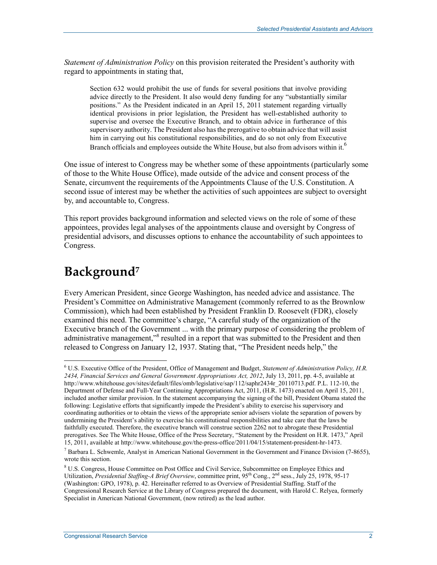*Statement of Administration Policy* on this provision reiterated the President's authority with regard to appointments in stating that,

Section 632 would prohibit the use of funds for several positions that involve providing advice directly to the President. It also would deny funding for any "substantially similar positions." As the President indicated in an April 15, 2011 statement regarding virtually identical provisions in prior legislation, the President has well-established authority to supervise and oversee the Executive Branch, and to obtain advice in furtherance of this supervisory authority. The President also has the prerogative to obtain advice that will assist him in carrying out his constitutional responsibilities, and do so not only from Executive Branch officials and employees outside the White House, but also from advisors within it.<sup>6</sup>

One issue of interest to Congress may be whether some of these appointments (particularly some of those to the White House Office), made outside of the advice and consent process of the Senate, circumvent the requirements of the Appointments Clause of the U.S. Constitution. A second issue of interest may be whether the activities of such appointees are subject to oversight by, and accountable to, Congress.

This report provides background information and selected views on the role of some of these appointees, provides legal analyses of the appointments clause and oversight by Congress of presidential advisors, and discusses options to enhance the accountability of such appointees to Congress.

## **Background7**

1

Every American President, since George Washington, has needed advice and assistance. The President's Committee on Administrative Management (commonly referred to as the Brownlow Commission), which had been established by President Franklin D. Roosevelt (FDR), closely examined this need. The committee's charge, "A careful study of the organization of the Executive branch of the Government ... with the primary purpose of considering the problem of administrative management,"<sup>8</sup> resulted in a report that was submitted to the President and then released to Congress on January 12, 1937. Stating that, "The President needs help," the

<sup>6</sup> U.S. Executive Office of the President, Office of Management and Budget, *Statement of Administration Policy, H.R. 2434, Financial Services and General Government Appropriations Act, 2012*, July 13, 2011, pp. 4-5, available at http://www.whitehouse.gov/sites/default/files/omb/legislative/sap/112/saphr2434r\_20110713.pdf. P.L. 112-10, the Department of Defense and Full-Year Continuing Appropriations Act, 2011, (H.R. 1473) enacted on April 15, 2011, included another similar provision. In the statement accompanying the signing of the bill, President Obama stated the following: Legislative efforts that significantly impede the President's ability to exercise his supervisory and coordinating authorities or to obtain the views of the appropriate senior advisers violate the separation of powers by undermining the President's ability to exercise his constitutional responsibilities and take care that the laws be faithfully executed. Therefore, the executive branch will construe section 2262 not to abrogate these Presidential prerogatives. See The White House, Office of the Press Secretary, "Statement by the President on H.R. 1473," April 15, 2011, available at http://www.whitehouse.gov/the-press-office/2011/04/15/statement-president-hr-1473.

<sup>&</sup>lt;sup>7</sup> Barbara L. Schwemle, Analyst in American National Government in the Government and Finance Division (7-8655), wrote this section.

<sup>&</sup>lt;sup>8</sup> U.S. Congress, House Committee on Post Office and Civil Service, Subcommittee on Employee Ethics and Utilization, *Presidential Staffing-A Brief Overview*, committee print, 95<sup>th</sup> Cong., 2<sup>nd</sup> sess., July 25, 1978, 95-17 (Washington: GPO, 1978), p. 42. Hereinafter referred to as Overview of Presidential Staffing. Staff of the Congressional Research Service at the Library of Congress prepared the document, with Harold C. Relyea, formerly Specialist in American National Government, (now retired) as the lead author.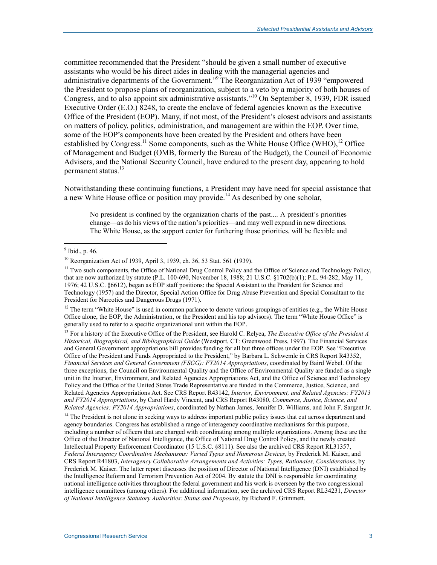committee recommended that the President "should be given a small number of executive assistants who would be his direct aides in dealing with the managerial agencies and administrative departments of the Government."<sup>9</sup> The Reorganization Act of 1939 "empowered the President to propose plans of reorganization, subject to a veto by a majority of both houses of Congress, and to also appoint six administrative assistants."10 On September 8, 1939, FDR issued Executive Order (E.O.) 8248, to create the enclave of federal agencies known as the Executive Office of the President (EOP). Many, if not most, of the President's closest advisors and assistants on matters of policy, politics, administration, and management are within the EOP. Over time, some of the EOP's components have been created by the President and others have been established by Congress.<sup>11</sup> Some components, such as the White House Office (WHO),<sup>12</sup> Office of Management and Budget (OMB, formerly the Bureau of the Budget), the Council of Economic Advisers, and the National Security Council, have endured to the present day, appearing to hold permanent status.<sup>13</sup>

Notwithstanding these continuing functions, a President may have need for special assistance that a new White House office or position may provide.<sup>14</sup> As described by one scholar,

No president is confined by the organization charts of the past.... A president's priorities change—as do his views of the nation's priorities—and may well expand in new directions. The White House, as the support center for furthering those priorities, will be flexible and

 $12$  The term "White House" is used in common parlance to denote various groupings of entities (e.g., the White House Office alone, the EOP, the Administration, or the President and his top advisors). The term "White House Office" is generally used to refer to a specific organizational unit within the EOP.

13 For a history of the Executive Office of the President, see Harold C. Relyea, *The Executive Office of the President A Historical, Biographical, and Bibliographical Guide* (Westport, CT: Greenwood Press, 1997). The Financial Services and General Government appropriations bill provides funding for all but three offices under the EOP. See "Executive Office of the President and Funds Appropriated to the President," by Barbara L. Schwemle in CRS Report R43352, *Financial Services and General Government (FSGG): FY2014 Appropriations*, coordinated by Baird Webel. Of the three exceptions, the Council on Environmental Quality and the Office of Environmental Quality are funded as a single unit in the Interior, Environment, and Related Agencies Appropriations Act, and the Office of Science and Technology Policy and the Office of the United States Trade Representative are funded in the Commerce, Justice, Science, and Related Agencies Appropriations Act. See CRS Report R43142, *Interior, Environment, and Related Agencies: FY2013 and FY2014 Appropriations*, by Carol Hardy Vincent, and CRS Report R43080, *Commerce, Justice, Science, and Related Agencies: FY2014 Appropriations*, coordinated by Nathan James, Jennifer D. Williams, and John F. Sargent Jr.

<sup>14</sup> The President is not alone in seeking ways to address important public policy issues that cut across department and agency boundaries. Congress has established a range of interagency coordinative mechanisms for this purpose, including a number of officers that are charged with coordinating among multiple organizations. Among these are the Office of the Director of National Intelligence, the Office of National Drug Control Policy, and the newly created Intellectual Property Enforcement Coordinator (15 U.S.C. §8111). See also the archived CRS Report RL31357, *Federal Interagency Coordinative Mechanisms: Varied Types and Numerous Devices*, by Frederick M. Kaiser, and CRS Report R41803, *Interagency Collaborative Arrangements and Activities: Types, Rationales, Considerations*, by Frederick M. Kaiser. The latter report discusses the position of Director of National Intelligence (DNI) established by the Intelligence Reform and Terrorism Prevention Act of 2004. By statute the DNI is responsible for coordinating national intelligence activities throughout the federal government and his work is overseen by the two congressional intelligence committees (among others). For additional information, see the archived CRS Report RL34231, *Director of National Intelligence Statutory Authorities: Status and Proposals*, by Richard F. Grimmett.

 $\frac{9}{9}$  Ibid., p. 46.

<sup>10</sup> Reorganization Act of 1939, April 3, 1939, ch. 36, 53 Stat. 561 (1939).

 $<sup>11</sup>$  Two such components, the Office of National Drug Control Policy and the Office of Science and Technology Policy,</sup> that are now authorized by statute (P.L. 100-690, November 18, 1988; 21 U.S.C. §1702(b)(1); P.L. 94-282, May 11, 1976; 42 U.S.C. §6612), began as EOP staff positions: the Special Assistant to the President for Science and Technology (1957) and the Director, Special Action Office for Drug Abuse Prevention and Special Consultant to the President for Narcotics and Dangerous Drugs (1971).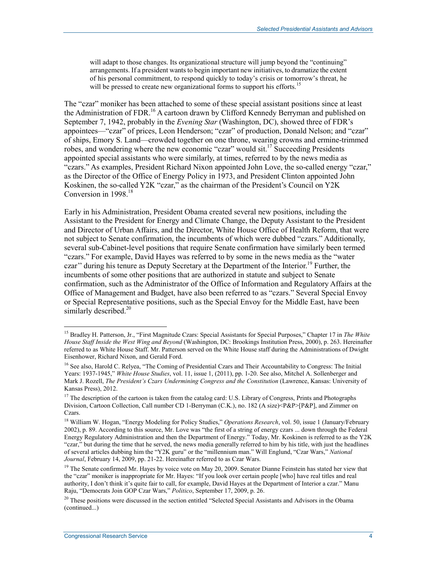will adapt to those changes. Its organizational structure will jump beyond the "continuing" arrangements. If a president wants to begin important new initiatives, to dramatize the extent of his personal commitment, to respond quickly to today's crisis or tomorrow's threat, he will be pressed to create new organizational forms to support his efforts.<sup>15</sup>

The "czar" moniker has been attached to some of these special assistant positions since at least the Administration of FDR.<sup>16</sup> A cartoon drawn by Clifford Kennedy Berryman and published on September 7, 1942, probably in the *Evening Star* (Washington, DC), showed three of FDR's appointees—"czar" of prices, Leon Henderson; "czar" of production, Donald Nelson; and "czar" of ships, Emory S. Land—crowded together on one throne, wearing crowns and ermine-trimmed robes, and wondering where the new economic "czar" would sit.17 Succeeding Presidents appointed special assistants who were similarly, at times, referred to by the news media as "czars." As examples, President Richard Nixon appointed John Love, the so-called energy "czar," as the Director of the Office of Energy Policy in 1973, and President Clinton appointed John Koskinen, the so-called Y2K "czar," as the chairman of the President's Council on Y2K Conversion in 1998.<sup>18</sup>

Early in his Administration, President Obama created several new positions, including the Assistant to the President for Energy and Climate Change, the Deputy Assistant to the President and Director of Urban Affairs, and the Director, White House Office of Health Reform, that were not subject to Senate confirmation, the incumbents of which were dubbed "czars." Additionally, several sub-Cabinet-level positions that require Senate confirmation have similarly been termed "czars." For example, David Hayes was referred to by some in the news media as the "water czar" during his tenure as Deputy Secretary at the Department of the Interior.<sup>19</sup> Further, the incumbents of some other positions that are authorized in statute and subject to Senate confirmation, such as the Administrator of the Office of Information and Regulatory Affairs at the Office of Management and Budget, have also been referred to as "czars." Several Special Envoy or Special Representative positions, such as the Special Envoy for the Middle East, have been similarly described.<sup>20</sup>

<sup>15</sup> Bradley H. Patterson, Jr., "First Magnitude Czars: Special Assistants for Special Purposes," Chapter 17 in *The White House Staff Inside the West Wing and Beyond* (Washington, DC: Brookings Institution Press, 2000), p. 263. Hereinafter referred to as White House Staff. Mr. Patterson served on the White House staff during the Administrations of Dwight Eisenhower, Richard Nixon, and Gerald Ford.

<sup>&</sup>lt;sup>16</sup> See also, Harold C. Relyea, "The Coming of Presidential Czars and Their Accountability to Congress: The Initial Years: 1937-1945," *White House Studies*, vol. 11, issue 1, (2011), pp. 1-20. See also, Mitchel A. Sollenberger and Mark J. Rozell, *The President's Czars Undermining Congress and the Constitution* (Lawrence, Kansas: University of Kansas Press), 2012.

<sup>&</sup>lt;sup>17</sup> The description of the cartoon is taken from the catalog card: U.S. Library of Congress, Prints and Photographs Division, Cartoon Collection, Call number CD 1-Berryman (C.K.), no. 182 (A size)<P&P>[P&P], and Zimmer on Czars.

<sup>18</sup> William W. Hogan, "Energy Modeling for Policy Studies," *Operations Research*, vol. 50, issue 1 (January/February 2002), p. 89. According to this source, Mr. Love was "the first of a string of energy czars ... down through the Federal Energy Regulatory Administration and then the Department of Energy." Today, Mr. Koskinen is referred to as the Y2K "czar," but during the time that he served, the news media generally referred to him by his title, with just the headlines of several articles dubbing him the "Y2K guru" or the "millennium man." Will Englund, "Czar Wars," *National Journal*, February 14, 2009, pp. 21-22. Hereinafter referred to as Czar Wars.

<sup>&</sup>lt;sup>19</sup> The Senate confirmed Mr. Hayes by voice vote on May 20, 2009. Senator Dianne Feinstein has stated her view that the "czar" moniker is inappropriate for Mr. Hayes: "If you look over certain people [who] have real titles and real authority, I don't think it's quite fair to call, for example, David Hayes at the Department of Interior a czar." Manu Raju, "Democrats Join GOP Czar Wars," *Politico*, September 17, 2009, p. 26.

 $20$  These positions were discussed in the section entitled "Selected Special Assistants and Advisors in the Obama (continued...)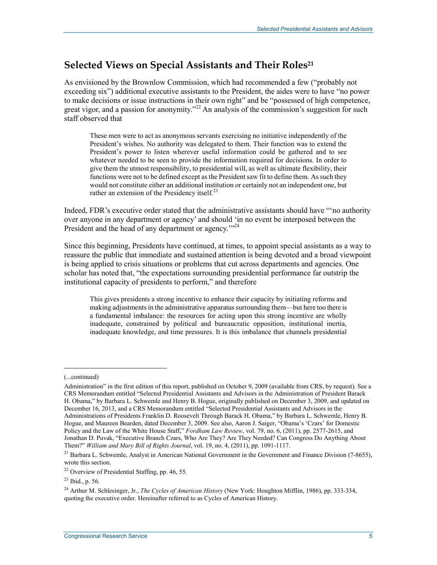## **Selected Views on Special Assistants and Their Roles21**

As envisioned by the Brownlow Commission, which had recommended a few ("probably not exceeding six") additional executive assistants to the President, the aides were to have "no power to make decisions or issue instructions in their own right" and be "possessed of high competence, great vigor, and a passion for anonymity."<sup>22</sup> An analysis of the commission's suggestion for such staff observed that

These men were to act as anonymous servants exercising no initiative independently of the President's wishes. No authority was delegated to them. Their function was to extend the President's power to listen wherever useful information could be gathered and to see whatever needed to be seen to provide the information required for decisions. In order to give them the utmost responsibility, to presidential will, as well as ultimate flexibility, their functions were not to be defined except as the President saw fit to define them. As such they would not constitute either an additional institution or certainly not an independent one, but rather an extension of the Presidency itself. $^{23}$ 

Indeed, FDR's executive order stated that the administrative assistants should have "'no authority over anyone in any department or agency' and should 'in no event be interposed between the President and the head of any department or agency."<sup>24</sup>

Since this beginning, Presidents have continued, at times, to appoint special assistants as a way to reassure the public that immediate and sustained attention is being devoted and a broad viewpoint is being applied to crisis situations or problems that cut across departments and agencies. One scholar has noted that, "the expectations surrounding presidential performance far outstrip the institutional capacity of presidents to perform," and therefore

This gives presidents a strong incentive to enhance their capacity by initiating reforms and making adjustments in the administrative apparatus surrounding them—but here too there is a fundamental imbalance: the resources for acting upon this strong incentive are wholly inadequate, constrained by political and bureaucratic opposition, institutional inertia, inadequate knowledge, and time pressures. It is this imbalance that channels presidential

 $\overline{\phantom{a}}$ 

<sup>(...</sup>continued)

Administration" in the first edition of this report, published on October 9, 2009 (available from CRS, by request). See a CRS Memorandum entitled "Selected Presidential Assistants and Advisors in the Administration of President Barack H. Obama," by Barbara L. Schwemle and Henry B. Hogue, originally published on December 3, 2009, and updated on December 16, 2013, and a CRS Memorandum entitled "Selected Presidential Assistants and Advisors in the Administrations of Presidents Franklin D. Roosevelt Through Barack H. Obama," by Barbara L. Schwemle, Henry B. Hogue, and Maureen Bearden, dated December 3, 2009. See also, Aaron J. Saiger, "Obama's 'Czars' for Domestic Policy and the Law of the White House Staff," *Fordham Law Review*, vol. 79, no. 6, (2011), pp. 2577-2615, and Jonathan D. Puvak, "Executive Branch Czars, Who Are They? Are They Needed? Can Congress Do Anything About Them?" *William and Mary Bill of Rights Journal*, vol. 19, no. 4, (2011), pp. 1091-1117.

<sup>&</sup>lt;sup>21</sup> Barbara L. Schwemle, Analyst in American National Government in the Government and Finance Division (7-8655), wrote this section.

 $22$  Overview of Presidential Staffing, pp. 46, 55.

<sup>23</sup> Ibid., p. 56.

<sup>24</sup> Arthur M. Schlesinger, Jr., *The Cycles of American History* (New York: Houghton Mifflin, 1986), pp. 333-334, quoting the executive order. Hereinafter referred to as Cycles of American History.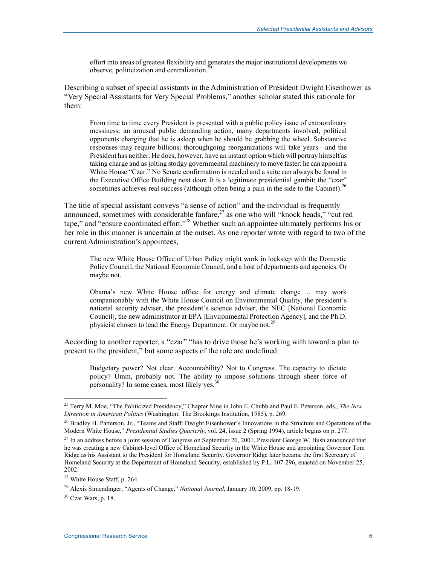effort into areas of greatest flexibility and generates the major institutional developments we observe, politicization and centralization.<sup>2</sup>

Describing a subset of special assistants in the Administration of President Dwight Eisenhower as "Very Special Assistants for Very Special Problems," another scholar stated this rationale for them:

From time to time every President is presented with a public policy issue of extraordinary messiness: an aroused public demanding action, many departments involved, political opponents charging that he is asleep when he should be grabbing the wheel. Substantive responses may require billions; thoroughgoing reorganizations will take years—and the President has neither. He does, however, have an instant option which will portray himself as taking charge and as jolting stodgy governmental machinery to move faster: he can appoint a White House "Czar." No Senate confirmation is needed and a suite can always be found in the Executive Office Building next door. It is a legitimate presidential gambit; the "czar" sometimes achieves real success (although often being a pain in the side to the Cabinet).<sup>26</sup>

The title of special assistant conveys "a sense of action" and the individual is frequently announced, sometimes with considerable fanfare, $27$  as one who will "knock heads," "cut red tape," and "ensure coordinated effort."28 Whether such an appointee ultimately performs his or her role in this manner is uncertain at the outset. As one reporter wrote with regard to two of the current Administration's appointees,

The new White House Office of Urban Policy might work in lockstep with the Domestic Policy Council, the National Economic Council, and a host of departments and agencies. Or maybe not.

Obama's new White House office for energy and climate change ... may work companionably with the White House Council on Environmental Quality, the president's national security adviser, the president's science adviser, the NEC [National Economic Council], the new administrator at EPA [Environmental Protection Agency], and the Ph.D. physicist chosen to lead the Energy Department. Or maybe not.<sup>29</sup>

According to another reporter, a "czar" "has to drive those he's working with toward a plan to present to the president," but some aspects of the role are undefined:

Budgetary power? Not clear. Accountability? Not to Congress. The capacity to dictate policy? Umm, probably not. The ability to impose solutions through sheer force of personality? In some cases, most likely yes.<sup>3</sup>

<sup>25</sup> Terry M. Moe, "The Politicized Presidency," Chapter Nine in John E. Chubb and Paul E. Peterson, eds., *The New Direction in American Politics* (Washington: The Brookings Institution, 1985), p. 269.

<sup>&</sup>lt;sup>26</sup> Bradley H. Patterson, Jr., "Teams and Staff: Dwight Eisenhower's Innovations in the Structure and Operations of the Modern White House," *Presidential Studies Quarterly*, vol. 24, issue 2 (Spring 1994), article begins on p. 277.

 $^{27}$  In an address before a joint session of Congress on September 20, 2001, President George W. Bush announced that he was creating a new Cabinet-level Office of Homeland Security in the White House and appointing Governor Tom Ridge as his Assistant to the President for Homeland Security. Governor Ridge later became the first Secretary of Homeland Security at the Department of Homeland Security, established by P.L. 107-296, enacted on November 25, 2002.

<sup>28</sup> White House Staff, p. 264.

<sup>29</sup> Alexis Simendinger, "Agents of Change," *National Journal*, January 10, 2009, pp. 18-19.

 $30$  Czar Wars, p. 18.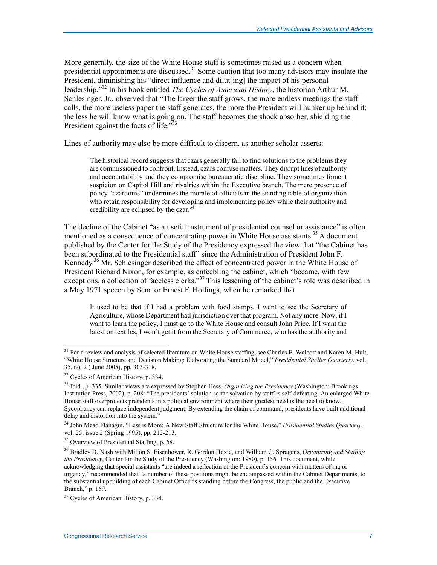More generally, the size of the White House staff is sometimes raised as a concern when presidential appointments are discussed.<sup>31</sup> Some caution that too many advisors may insulate the President, diminishing his "direct influence and dilut[ing] the impact of his personal leadership."32 In his book entitled *The Cycles of American History*, the historian Arthur M. Schlesinger, Jr., observed that "The larger the staff grows, the more endless meetings the staff calls, the more useless paper the staff generates, the more the President will hunker up behind it; the less he will know what is going on. The staff becomes the shock absorber, shielding the President against the facts of life."<sup>33</sup>

Lines of authority may also be more difficult to discern, as another scholar asserts:

The historical record suggests that czars generally fail to find solutions to the problems they are commissioned to confront. Instead, czars confuse matters. They disrupt lines of authority and accountability and they compromise bureaucratic discipline. They sometimes foment suspicion on Capitol Hill and rivalries within the Executive branch. The mere presence of policy "czardoms" undermines the morale of officials in the standing table of organization who retain responsibility for developing and implementing policy while their authority and credibility are eclipsed by the czar.<sup>3</sup>

The decline of the Cabinet "as a useful instrument of presidential counsel or assistance" is often mentioned as a consequence of concentrating power in White House assistants.<sup>35</sup> A document published by the Center for the Study of the Presidency expressed the view that "the Cabinet has been subordinated to the Presidential staff" since the Administration of President John F. Kennedy.<sup>36</sup> Mr. Schlesinger described the effect of concentrated power in the White House of President Richard Nixon, for example, as enfeebling the cabinet, which "became, with few exceptions, a collection of faceless clerks."<sup>37</sup> This lessening of the cabinet's role was described in a May 1971 speech by Senator Ernest F. Hollings, when he remarked that

It used to be that if I had a problem with food stamps, I went to see the Secretary of Agriculture, whose Department had jurisdiction over that program. Not any more. Now, if I want to learn the policy, I must go to the White House and consult John Price. If I want the latest on textiles, I won't get it from the Secretary of Commerce, who has the authority and

 $31$  For a review and analysis of selected literature on White House staffing, see Charles E. Walcott and Karen M. Hult, "White House Structure and Decision Making: Elaborating the Standard Model," *Presidential Studies Quarterly*, vol. 35, no. 2 ( June 2005), pp. 303-318.

<sup>&</sup>lt;sup>32</sup> Cycles of American History, p. 334.

<sup>33</sup> Ibid., p. 335. Similar views are expressed by Stephen Hess, *Organizing the Presidency* (Washington: Brookings Institution Press, 2002), p. 208: "The presidents' solution so far-salvation by staff-is self-defeating. An enlarged White House staff overprotects presidents in a political environment where their greatest need is the need to know. Sycophancy can replace independent judgment. By extending the chain of command, presidents have built additional delay and distortion into the system."

<sup>34</sup> John Mead Flanagin, "Less is More: A New Staff Structure for the White House," *Presidential Studies Quarterly*, vol. 25, issue 2 (Spring 1995), pp. 212-213.

<sup>&</sup>lt;sup>35</sup> Overview of Presidential Staffing, p. 68.

<sup>36</sup> Bradley D. Nash with Milton S. Eisenhower, R. Gordon Hoxie, and William C. Spragens, *Organizing and Staffing the Presidency*, Center for the Study of the Presidency (Washington: 1980), p. 156. This document, while acknowledging that special assistants "are indeed a reflection of the President's concern with matters of major urgency," recommended that "a number of these positions might be encompassed within the Cabinet Departments, to the substantial upbuilding of each Cabinet Officer's standing before the Congress, the public and the Executive Branch," p. 169.

<sup>&</sup>lt;sup>37</sup> Cycles of American History, p. 334.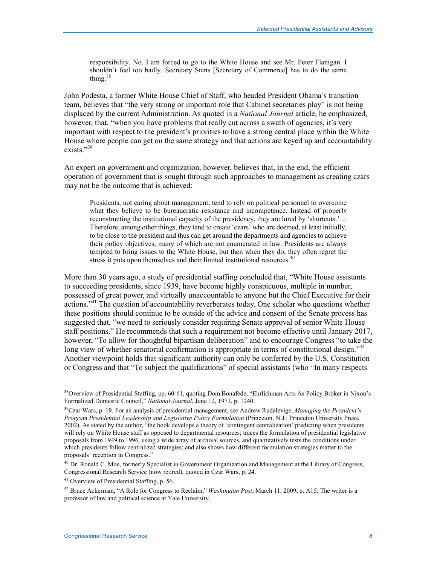responsibility. No, I am forced to go to the White House and see Mr. Peter Flanigan. I shouldn't feel too badly. Secretary Stans [Secretary of Commerce] has to do the same thing. $38$ 

John Podesta, a former White House Chief of Staff, who headed President Obama's transition team, believes that "the very strong or important role that Cabinet secretaries play" is not being displaced by the current Administration. As quoted in a *National Journal* article, he emphasized, however, that, "when you have problems that really cut across a swath of agencies, it's very important with respect to the president's priorities to have a strong central place within the White House where people can get on the same strategy and that actions are keyed up and accountability exists."39

An expert on government and organization, however, believes that, in the end, the efficient operation of government that is sought through such approaches to management as creating czars may not be the outcome that is achieved:

Presidents, not caring about management, tend to rely on political personnel to overcome what they believe to be bureaucratic resistance and incompetence. Instead of properly reconstructing the institutional capacity of the presidency, they are lured by 'shortcuts.' ... Therefore, among other things, they tend to create 'czars' who are deemed, at least initially, to be close to the president and thus can get around the departments and agencies to achieve their policy objectives, many of which are not enumerated in law. Presidents are always tempted to bring issues to the White House, but then when they do, they often regret the stress it puts upon themselves and their limited institutional resources.<sup>40</sup>

More than 30 years ago, a study of presidential staffing concluded that, "White House assistants to succeeding presidents, since 1939, have become highly conspicuous, multiple in number, possessed of great power, and virtually unaccountable to anyone but the Chief Executive for their actions.<sup>341</sup> The question of accountability reverberates today. One scholar who questions whether these positions should continue to be outside of the advice and consent of the Senate process has suggested that, "we need to seriously consider requiring Senate approval of senior White House staff positions." He recommends that such a requirement not become effective until January 2017, however, "To allow for thoughtful bipartisan deliberation" and to encourage Congress "to take the long view of whether senatorial confirmation is appropriate in terms of constitutional design."<sup>42</sup> Another viewpoint holds that significant authority can only be conferred by the U.S. Constitution or Congress and that "To subject the qualifications" of special assistants (who "In many respects

<sup>&</sup>lt;sup>38</sup>Overview of Presidential Staffing, pp. 60-61, quoting Dom Bonafede, "Ehrlichman Acts As Policy Broker in Nixon's Formalized Domestic Council," *National Journal*, June 12, 1971, p. 1240.

<sup>39</sup>Czar Wars, p. 19. For an analysis of presidential management, see Andrew Rudalevige, *Managing the President's Program Presidential Leadership and Legislative Policy Formulation* (Princeton, N.J.: Princeton University Press, 2002). As stated by the author, "the book develops a theory of 'contingent centralization' predicting when presidents will rely on White House staff as opposed to departmental resources; traces the formulation of presidential legislative proposals from 1949 to 1996, using a wide array of archival sources, and quantitatively tests the conditions under which presidents follow centralized strategies; and also shows how different formulation strategies matter to the proposals' reception in Congress."

<sup>&</sup>lt;sup>40</sup> Dr. Ronald C. Moe, formerly Specialist in Government Organization and Management at the Library of Congress, Congressional Research Service (now retired), quoted in Czar Wars, p. 24.

<sup>41</sup> Overview of Presidential Staffing, p. 56.

<sup>42</sup> Bruce Ackerman, "A Role for Congress to Reclaim," *Washington Post*, March 11, 2009, p. A15. The writer is a professor of law and political science at Yale University.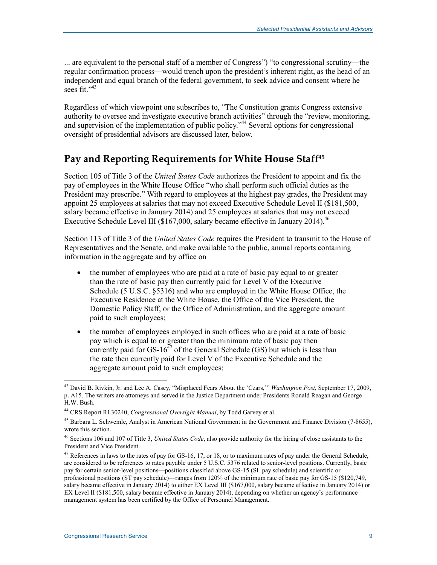... are equivalent to the personal staff of a member of Congress") "to congressional scrutiny—the regular confirmation process—would trench upon the president's inherent right, as the head of an independent and equal branch of the federal government, to seek advice and consent where he sees fit." $43$ 

Regardless of which viewpoint one subscribes to, "The Constitution grants Congress extensive authority to oversee and investigate executive branch activities" through the "review, monitoring, and supervision of the implementation of public policy.<sup>344</sup> Several options for congressional oversight of presidential advisors are discussed later, below.

### Pay and Reporting Requirements for White House Staff<sup>45</sup>

Section 105 of Title 3 of the *United States Code* authorizes the President to appoint and fix the pay of employees in the White House Office "who shall perform such official duties as the President may prescribe." With regard to employees at the highest pay grades, the President may appoint 25 employees at salaries that may not exceed Executive Schedule Level II (\$181,500, salary became effective in January 2014) and 25 employees at salaries that may not exceed Executive Schedule Level III (\$167,000, salary became effective in January 2014).<sup>46</sup>

Section 113 of Title 3 of the *United States Code* requires the President to transmit to the House of Representatives and the Senate, and make available to the public, annual reports containing information in the aggregate and by office on

- the number of employees who are paid at a rate of basic pay equal to or greater than the rate of basic pay then currently paid for Level V of the Executive Schedule (5 U.S.C. §5316) and who are employed in the White House Office, the Executive Residence at the White House, the Office of the Vice President, the Domestic Policy Staff, or the Office of Administration, and the aggregate amount paid to such employees;
- the number of employees employed in such offices who are paid at a rate of basic pay which is equal to or greater than the minimum rate of basic pay then currently paid for  $GS-16^{47}$  of the General Schedule (GS) but which is less than the rate then currently paid for Level V of the Executive Schedule and the aggregate amount paid to such employees;

<sup>43</sup> David B. Rivkin, Jr. and Lee A. Casey, "Misplaced Fears About the 'Czars,'" *Washington Post*, September 17, 2009, p. A15. The writers are attorneys and served in the Justice Department under Presidents Ronald Reagan and George H.W. Bush.

<sup>44</sup> CRS Report RL30240, *Congressional Oversight Manual*, by Todd Garvey et al.

<sup>&</sup>lt;sup>45</sup> Barbara L. Schwemle, Analyst in American National Government in the Government and Finance Division (7-8655), wrote this section.

<sup>46</sup> Sections 106 and 107 of Title 3, *United States Code*, also provide authority for the hiring of close assistants to the President and Vice President.

 $47$  References in laws to the rates of pay for GS-16, 17, or 18, or to maximum rates of pay under the General Schedule, are considered to be references to rates payable under 5 U.S.C. 5376 related to senior-level positions. Currently, basic pay for certain senior-level positions—positions classified above GS-15 (SL pay schedule) and scientific or professional positions (ST pay schedule)—ranges from 120% of the minimum rate of basic pay for GS-15 (\$120,749, salary became effective in January 2014) to either EX Level III (\$167,000, salary became effective in January 2014) or EX Level II (\$181,500, salary became effective in January 2014), depending on whether an agency's performance management system has been certified by the Office of Personnel Management.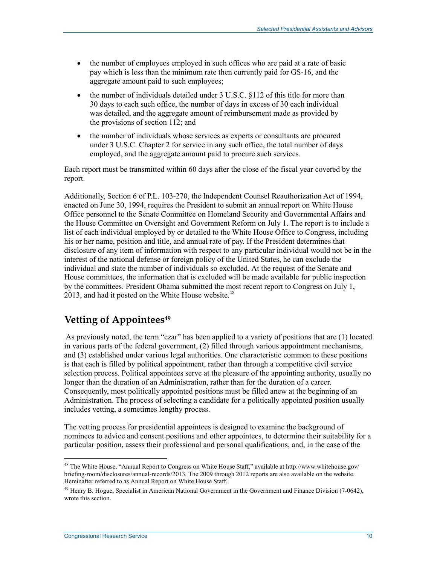- the number of employees employed in such offices who are paid at a rate of basic pay which is less than the minimum rate then currently paid for GS-16, and the aggregate amount paid to such employees;
- the number of individuals detailed under 3 U.S.C. §112 of this title for more than 30 days to each such office, the number of days in excess of 30 each individual was detailed, and the aggregate amount of reimbursement made as provided by the provisions of section 112; and
- the number of individuals whose services as experts or consultants are procured under 3 U.S.C. Chapter 2 for service in any such office, the total number of days employed, and the aggregate amount paid to procure such services.

Each report must be transmitted within 60 days after the close of the fiscal year covered by the report.

Additionally, Section 6 of P.L. 103-270, the Independent Counsel Reauthorization Act of 1994, enacted on June 30, 1994, requires the President to submit an annual report on White House Office personnel to the Senate Committee on Homeland Security and Governmental Affairs and the House Committee on Oversight and Government Reform on July 1. The report is to include a list of each individual employed by or detailed to the White House Office to Congress, including his or her name, position and title, and annual rate of pay. If the President determines that disclosure of any item of information with respect to any particular individual would not be in the interest of the national defense or foreign policy of the United States, he can exclude the individual and state the number of individuals so excluded. At the request of the Senate and House committees, the information that is excluded will be made available for public inspection by the committees. President Obama submitted the most recent report to Congress on July 1, 2013, and had it posted on the White House website. $48$ 

## **Vetting of Appointees49**

 As previously noted, the term "czar" has been applied to a variety of positions that are (1) located in various parts of the federal government, (2) filled through various appointment mechanisms, and (3) established under various legal authorities. One characteristic common to these positions is that each is filled by political appointment, rather than through a competitive civil service selection process. Political appointees serve at the pleasure of the appointing authority, usually no longer than the duration of an Administration, rather than for the duration of a career. Consequently, most politically appointed positions must be filled anew at the beginning of an Administration. The process of selecting a candidate for a politically appointed position usually includes vetting, a sometimes lengthy process.

The vetting process for presidential appointees is designed to examine the background of nominees to advice and consent positions and other appointees, to determine their suitability for a particular position, assess their professional and personal qualifications, and, in the case of the

<sup>1</sup> <sup>48</sup> The White House, "Annual Report to Congress on White House Staff," available at http://www.whitehouse.gov/ briefing-room/disclosures/annual-records/2013. The 2009 through 2012 reports are also available on the website. Hereinafter referred to as Annual Report on White House Staff.

 $49$  Henry B. Hogue, Specialist in American National Government in the Government and Finance Division (7-0642), wrote this section.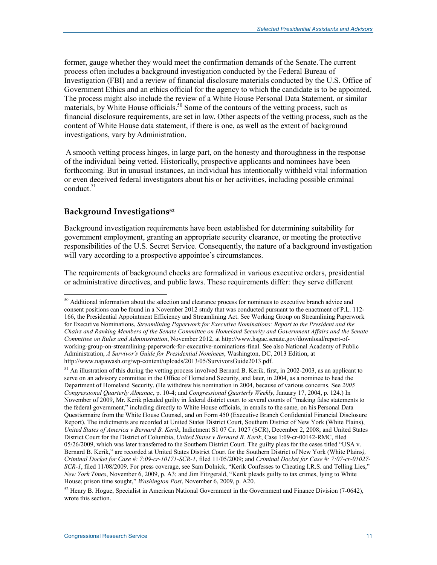former, gauge whether they would meet the confirmation demands of the Senate.The current process often includes a background investigation conducted by the Federal Bureau of Investigation (FBI) and a review of financial disclosure materials conducted by the U.S. Office of Government Ethics and an ethics official for the agency to which the candidate is to be appointed. The process might also include the review of a White House Personal Data Statement, or similar materials, by White House officials.<sup>50</sup> Some of the contours of the vetting process, such as financial disclosure requirements, are set in law. Other aspects of the vetting process, such as the content of White House data statement, if there is one, as well as the extent of background investigations, vary by Administration.

 A smooth vetting process hinges, in large part, on the honesty and thoroughness in the response of the individual being vetted. Historically, prospective applicants and nominees have been forthcoming. But in unusual instances, an individual has intentionally withheld vital information or even deceived federal investigators about his or her activities, including possible criminal conduct.<sup>51</sup>

#### **Background Investigations52**

1

Background investigation requirements have been established for determining suitability for government employment, granting an appropriate security clearance, or meeting the protective responsibilities of the U.S. Secret Service. Consequently, the nature of a background investigation will vary according to a prospective appointee's circumstances.

The requirements of background checks are formalized in various executive orders, presidential or administrative directives, and public laws. These requirements differ: they serve different

<sup>&</sup>lt;sup>50</sup> Additional information about the selection and clearance process for nominees to executive branch advice and consent positions can be found in a November 2012 study that was conducted pursuant to the enactment of P.L. 112- 166, the Presidential Appointment Efficiency and Streamlining Act. See Working Group on Streamlining Paperwork for Executive Nominations, *Streamlining Paperwork for Executive Nominations: Report to the President and the Chairs and Ranking Members of the Senate Committee on Homeland Security and Government Affairs and the Senate Committee on Rules and Administration*, November 2012, at http://www.hsgac.senate.gov/download/report-ofworking-group-on-streamlining-paperwork-for-executive-nominations-final. See also National Academy of Public Administration, *A Survivor's Guide for Presidential Nominees*, Washington, DC, 2013 Edition, at http://www.napawash.org/wp-content/uploads/2013/05/SurvivorsGuide2013.pdf.

<sup>&</sup>lt;sup>51</sup> An illustration of this during the vetting process involved Bernard B. Kerik, first, in 2002-2003, as an applicant to serve on an advisory committee in the Office of Homeland Security, and later, in 2004, as a nominee to head the Department of Homeland Security. (He withdrew his nomination in 2004, because of various concerns. See *2005 Congressional Quarterly Almanac*, p. 10-4; and *Congressional Quarterly Weekly*, January 17, 2004, p. 124.) In November of 2009, Mr. Kerik pleaded guilty in federal district court to several counts of "making false statements to the federal government," including directly to White House officials, in emails to the same, on his Personal Data Questionnaire from the White House Counsel, and on Form 450 (Executive Branch Confidential Financial Disclosure Report). The indictments are recorded at United States District Court, Southern District of New York (White Plains), *United States of America v Bernard B. Kerik*, Indictment S1 07 Cr. 1027 (SCR), December 2, 2008; and United States District Court for the District of Columbia, *United States v Bernard B. Kerik*, Case 1:09-cr-00142-RMC, filed 05/26/2009, which was later transferred to the Southern District Court. The guilty pleas for the cases titled "USA v. Bernard B. Kerik," are recorded at United States District Court for the Southern District of New York (White Plains*), Criminal Docket for Case #: 7:09-cr-10171-SCR-1*, filed 11/05/2009; and *Criminal Docket for Case #: 7:07-cr-01027- SCR-1*, filed 11/08/2009. For press coverage, see Sam Dolnick, "Kerik Confesses to Cheating I.R.S. and Telling Lies," *New York Times*, November 6, 2009, p. A3; and Jim Fitzgerald, "Kerik pleads guilty to tax crimes, lying to White House; prison time sought," *Washington Post*, November 6, 2009, p. A20.

<sup>&</sup>lt;sup>52</sup> Henry B. Hogue, Specialist in American National Government in the Government and Finance Division (7-0642), wrote this section.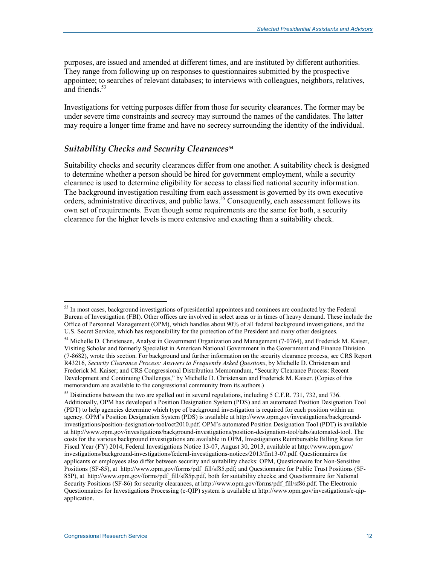purposes, are issued and amended at different times, and are instituted by different authorities. They range from following up on responses to questionnaires submitted by the prospective appointee; to searches of relevant databases; to interviews with colleagues, neighbors, relatives, and friends.<sup>53</sup>

Investigations for vetting purposes differ from those for security clearances. The former may be under severe time constraints and secrecy may surround the names of the candidates. The latter may require a longer time frame and have no secrecy surrounding the identity of the individual.

#### *Suitability Checks and Security Clearances54*

Suitability checks and security clearances differ from one another. A suitability check is designed to determine whether a person should be hired for government employment, while a security clearance is used to determine eligibility for access to classified national security information. The background investigation resulting from each assessment is governed by its own executive orders, administrative directives, and public laws.<sup>55</sup> Consequently, each assessment follows its own set of requirements. Even though some requirements are the same for both, a security clearance for the higher levels is more extensive and exacting than a suitability check.

<sup>&</sup>lt;sup>53</sup> In most cases, background investigations of presidential appointees and nominees are conducted by the Federal Bureau of Investigation (FBI). Other offices are involved in select areas or in times of heavy demand. These include the Office of Personnel Management (OPM), which handles about 90% of all federal background investigations, and the U.S. Secret Service, which has responsibility for the protection of the President and many other designees.

<sup>&</sup>lt;sup>54</sup> Michelle D. Christensen, Analyst in Government Organization and Management (7-0764), and Frederick M. Kaiser, Visiting Scholar and formerly Specialist in American National Government in the Government and Finance Division (7-8682), wrote this section. For background and further information on the security clearance process, see CRS Report R43216, *Security Clearance Process: Answers to Frequently Asked Questions*, by Michelle D. Christensen and Frederick M. Kaiser; and CRS Congressional Distribution Memorandum, "Security Clearance Process: Recent Development and Continuing Challenges," by Michelle D. Christensen and Frederick M. Kaiser. (Copies of this memorandum are available to the congressional community from its authors.)

<sup>&</sup>lt;sup>55</sup> Distinctions between the two are spelled out in several regulations, including 5 C.F.R. 731, 732, and 736. Additionally, OPM has developed a Position Designation System (PDS) and an automated Position Designation Tool (PDT) to help agencies determine which type of background investigation is required for each position within an agency. OPM's Position Designation System (PDS) is available at http://www.opm.gov/investigations/backgroundinvestigations/position-designation-tool/oct2010.pdf. OPM's automated Position Designation Tool (PDT) is available at http://www.opm.gov/investigations/background-investigations/position-designation-tool/tabs/automated-tool. The costs for the various background investigations are available in OPM, Investigations Reimbursable Billing Rates for Fiscal Year (FY) 2014, Federal Investigations Notice 13-07, August 30, 2013, available at http://www.opm.gov/ investigations/background-investigations/federal-investigations-notices/2013/fin13-07.pdf. Questionnaires for applicants or employees also differ between security and suitability checks: OPM, Questionnaire for Non-Sensitive Positions (SF-85), at http://www.opm.gov/forms/pdf\_fill/sf85.pdf; and Questionnaire for Public Trust Positions (SF-85P), at http://www.opm.gov/forms/pdf\_fill/sf85p.pdf, both for suitability checks; and Questionnaire for National Security Positions (SF-86) for security clearances, at http://www.opm.gov/forms/pdf fill/sf86.pdf. The Electronic Questionnaires for Investigations Processing (e-QIP) system is available at http://www.opm.gov/investigations/e-qipapplication.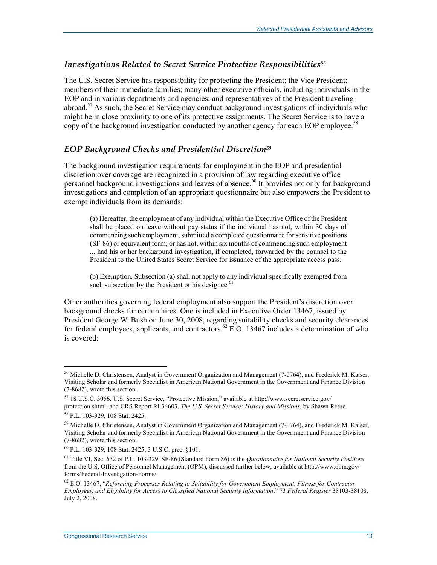### *Investigations Related to Secret Service Protective Responsibilities56*

The U.S. Secret Service has responsibility for protecting the President; the Vice President; members of their immediate families; many other executive officials, including individuals in the EOP and in various departments and agencies; and representatives of the President traveling abroad.<sup>57</sup> As such, the Secret Service may conduct background investigations of individuals who might be in close proximity to one of its protective assignments. The Secret Service is to have a copy of the background investigation conducted by another agency for each EOP employee.<sup>58</sup>

### *EOP Background Checks and Presidential Discretion59*

The background investigation requirements for employment in the EOP and presidential discretion over coverage are recognized in a provision of law regarding executive office personnel background investigations and leaves of absence.<sup>60</sup> It provides not only for background investigations and completion of an appropriate questionnaire but also empowers the President to exempt individuals from its demands:

(a) Hereafter, the employment of any individual within the Executive Office of the President shall be placed on leave without pay status if the individual has not, within 30 days of commencing such employment, submitted a completed questionnaire for sensitive positions (SF-86) or equivalent form; or has not, within six months of commencing such employment ... had his or her background investigation, if completed, forwarded by the counsel to the President to the United States Secret Service for issuance of the appropriate access pass.

(b) Exemption. Subsection (a) shall not apply to any individual specifically exempted from such subsection by the President or his designee.<sup>61</sup>

Other authorities governing federal employment also support the President's discretion over background checks for certain hires. One is included in Executive Order 13467, issued by President George W. Bush on June 30, 2008, regarding suitability checks and security clearances for federal employees, applicants, and contractors.<sup>62</sup> E.O. 13467 includes a determination of who is covered:

<sup>&</sup>lt;u>.</u> <sup>56</sup> Michelle D. Christensen, Analyst in Government Organization and Management (7-0764), and Frederick M. Kaiser, Visiting Scholar and formerly Specialist in American National Government in the Government and Finance Division (7-8682), wrote this section.

<sup>57 18</sup> U.S.C. 3056. U.S. Secret Service, "Protective Mission," available at http://www.secretservice.gov/ protection.shtml; and CRS Report RL34603, *The U.S. Secret Service: History and Missions*, by Shawn Reese. 58 P.L. 103-329, 108 Stat. 2425.

<sup>&</sup>lt;sup>59</sup> Michelle D. Christensen, Analyst in Government Organization and Management (7-0764), and Frederick M. Kaiser, Visiting Scholar and formerly Specialist in American National Government in the Government and Finance Division (7-8682), wrote this section.

<sup>60</sup> P.L. 103-329, 108 Stat. 2425; 3 U.S.C. prec. §101.

<sup>61</sup> Title VI, Sec. 632 of P.L. 103-329. SF-86 (Standard Form 86) is the *Questionnaire for National Security Positions* from the U.S. Office of Personnel Management (OPM), discussed further below, available at http://www.opm.gov/ forms/Federal-Investigation-Forms/.

<sup>62</sup> E.O. 13467, "*Reforming Processes Relating to Suitability for Government Employment, Fitness for Contractor Employees, and Eligibility for Access to Classified National Security Information*," 73 *Federal Register* 38103-38108, July 2, 2008.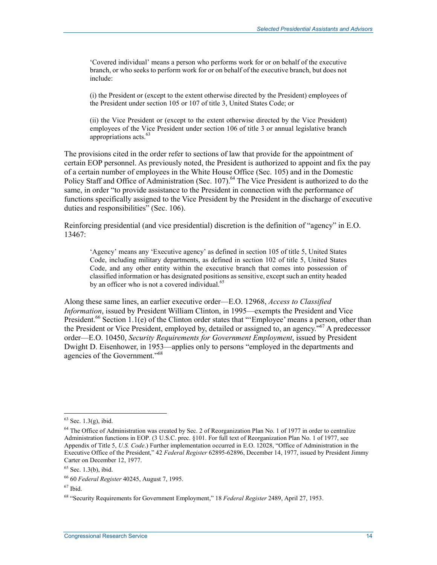'Covered individual' means a person who performs work for or on behalf of the executive branch, or who seeks to perform work for or on behalf of the executive branch, but does not include:

(i) the President or (except to the extent otherwise directed by the President) employees of the President under section 105 or 107 of title 3, United States Code; or

(ii) the Vice President or (except to the extent otherwise directed by the Vice President) employees of the Vice President under section 106 of title 3 or annual legislative branch appropriations acts.<sup>63</sup>

The provisions cited in the order refer to sections of law that provide for the appointment of certain EOP personnel. As previously noted, the President is authorized to appoint and fix the pay of a certain number of employees in the White House Office (Sec. 105) and in the Domestic Policy Staff and Office of Administration (Sec. 107).<sup>64</sup> The Vice President is authorized to do the same, in order "to provide assistance to the President in connection with the performance of functions specifically assigned to the Vice President by the President in the discharge of executive duties and responsibilities" (Sec. 106).

Reinforcing presidential (and vice presidential) discretion is the definition of "agency" in E.O. 13467:

'Agency' means any 'Executive agency' as defined in section 105 of title 5, United States Code, including military departments, as defined in section 102 of title 5, United States Code, and any other entity within the executive branch that comes into possession of classified information or has designated positions as sensitive, except such an entity headed by an officer who is not a covered individual.<sup>65</sup>

Along these same lines, an earlier executive order—E.O. 12968, *Access to Classified Information*, issued by President William Clinton, in 1995—exempts the President and Vice President.<sup>66</sup> Section 1.1(e) of the Clinton order states that "'Employee' means a person, other than the President or Vice President, employed by, detailed or assigned to, an agency.<sup>567</sup> A predecessor order—E.O. 10450, *Security Requirements for Government Employment*, issued by President Dwight D. Eisenhower, in 1953—applies only to persons "employed in the departments and agencies of the Government."68

 $67$  Ibid.

 $63$  Sec. 1.3(g), ibid.

<sup>&</sup>lt;sup>64</sup> The Office of Administration was created by Sec. 2 of Reorganization Plan No. 1 of 1977 in order to centralize Administration functions in EOP. (3 U.S.C. prec. §101. For full text of Reorganization Plan No. 1 of 1977, see Appendix of Title 5, *U.S. Code*.) Further implementation occurred in E.O. 12028, "Office of Administration in the Executive Office of the President," 42 *Federal Register* 62895-62896, December 14, 1977, issued by President Jimmy Carter on December 12, 1977.

 $65$  Sec. 1.3(b), ibid.

<sup>66 60</sup> *Federal Register* 40245, August 7, 1995.

<sup>68 &</sup>quot;Security Requirements for Government Employment," 18 *Federal Register* 2489, April 27, 1953.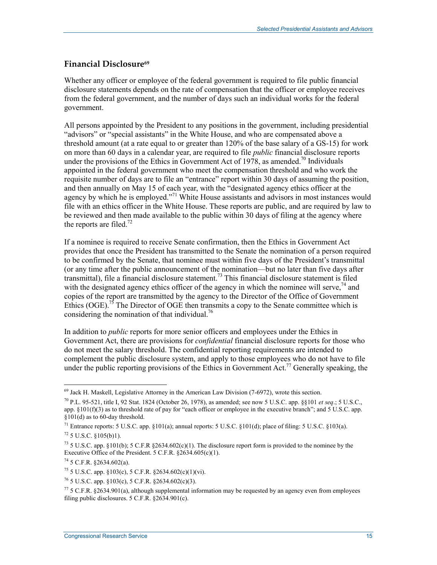### **Financial Disclosure69**

Whether any officer or employee of the federal government is required to file public financial disclosure statements depends on the rate of compensation that the officer or employee receives from the federal government, and the number of days such an individual works for the federal government.

All persons appointed by the President to any positions in the government, including presidential "advisors" or "special assistants" in the White House, and who are compensated above a threshold amount (at a rate equal to or greater than 120% of the base salary of a GS-15) for work on more than 60 days in a calendar year, are required to file *public* financial disclosure reports under the provisions of the Ethics in Government Act of 1978, as amended.<sup>70</sup> Individuals appointed in the federal government who meet the compensation threshold and who work the requisite number of days are to file an "entrance" report within 30 days of assuming the position, and then annually on May 15 of each year, with the "designated agency ethics officer at the agency by which he is employed."<sup>71</sup> White House assistants and advisors in most instances would file with an ethics officer in the White House. These reports are public, and are required by law to be reviewed and then made available to the public within 30 days of filing at the agency where the reports are filed.<sup>72</sup>

If a nominee is required to receive Senate confirmation, then the Ethics in Government Act provides that once the President has transmitted to the Senate the nomination of a person required to be confirmed by the Senate, that nominee must within five days of the President's transmittal (or any time after the public announcement of the nomination—but no later than five days after transmittal), file a financial disclosure statement.<sup>73</sup> This financial disclosure statement is filed with the designated agency ethics officer of the agency in which the nominee will serve,  $^{74}$  and copies of the report are transmitted by the agency to the Director of the Office of Government Ethics (OGE).<sup>75</sup> The Director of OGE then transmits a copy to the Senate committee which is considering the nomination of that individual.<sup>76</sup>

In addition to *public* reports for more senior officers and employees under the Ethics in Government Act, there are provisions for *confidential* financial disclosure reports for those who do not meet the salary threshold. The confidential reporting requirements are intended to complement the public disclosure system, and apply to those employees who do not have to file under the public reporting provisions of the Ethics in Government Act.<sup>77</sup> Generally speaking, the

 $69$  Jack H. Maskell, Legislative Attorney in the American Law Division (7-6972), wrote this section.

<sup>70</sup> P.L. 95-521, title I, 92 Stat. 1824 (October 26, 1978), as amended; see now 5 U.S.C. app. §§101 *et seq*.; 5 U.S.C., app.  $\S101(f)(3)$  as to threshold rate of pay for "each officer or employee in the executive branch"; and  $5 \text{ U.S.C.}$  app. §101(d) as to 60-day threshold.

<sup>&</sup>lt;sup>71</sup> Entrance reports: 5 U.S.C. app. §101(a); annual reports: 5 U.S.C. §101(d); place of filing: 5 U.S.C. §103(a).  $72$  5 U.S.C. §105(b)1).

<sup>&</sup>lt;sup>73</sup> 5 U.S.C. app. §101(b); 5 C.F.R §2634.602(c)(1). The disclosure report form is provided to the nominee by the Executive Office of the President. 5 C.F.R. §2634.605(c)(1).

 $74$  5 C.F.R. §2634.602(a).

 $^{75}$  5 U.S.C. app. §103(c), 5 C.F.R. §2634.602(c)(1)(vi).

 $^{76}$  5 U.S.C. app. §103(c), 5 C.F.R. §2634.602(c)(3).

 $77$  5 C.F.R. §2634.901(a), although supplemental information may be requested by an agency even from employees filing public disclosures. 5 C.F.R. §2634.901(c).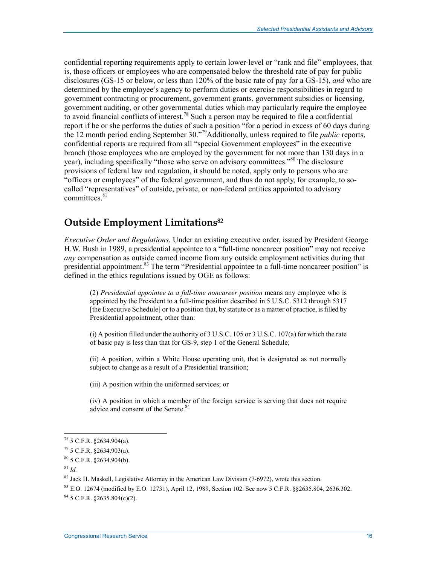confidential reporting requirements apply to certain lower-level or "rank and file" employees, that is, those officers or employees who are compensated below the threshold rate of pay for public disclosures (GS-15 or below, or less than 120% of the basic rate of pay for a GS-15), *and* who are determined by the employee's agency to perform duties or exercise responsibilities in regard to government contracting or procurement, government grants, government subsidies or licensing, government auditing, or other governmental duties which may particularly require the employee to avoid financial conflicts of interest.<sup>78</sup> Such a person may be required to file a confidential report if he or she performs the duties of such a position "for a period in excess of 60 days during the 12 month period ending September 30."79Additionally, unless required to file *public* reports, confidential reports are required from all "special Government employees" in the executive branch (those employees who are employed by the government for not more than 130 days in a year), including specifically "those who serve on advisory committees."<sup>80</sup> The disclosure provisions of federal law and regulation, it should be noted, apply only to persons who are "officers or employees" of the federal government, and thus do not apply, for example, to socalled "representatives" of outside, private, or non-federal entities appointed to advisory  $committees.$ <sup>81</sup>

### **Outside Employment Limitations82**

*Executive Order and Regulations.* Under an existing executive order, issued by President George H.W. Bush in 1989, a presidential appointee to a "full-time noncareer position" may not receive *any* compensation as outside earned income from any outside employment activities during that presidential appointment.<sup>83</sup> The term "Presidential appointee to a full-time noncareer position" is defined in the ethics regulations issued by OGE as follows:

(2) *Presidential appointee to a full-time noncareer position* means any employee who is appointed by the President to a full-time position described in 5 U.S.C. 5312 through 5317 [the Executive Schedule] or to a position that, by statute or as a matter of practice, is filled by Presidential appointment, other than:

(i) A position filled under the authority of 3 U.S.C. 105 or 3 U.S.C. 107(a) for which the rate of basic pay is less than that for GS-9, step 1 of the General Schedule;

(ii) A position, within a White House operating unit, that is designated as not normally subject to change as a result of a Presidential transition;

(iii) A position within the uniformed services; or

(iv) A position in which a member of the foreign service is serving that does not require advice and consent of the Senate.<sup>84</sup>

 $^{78}$  5 C.F.R. §2634.904(a).

 $79$  5 C.F.R. §2634.903(a).

 $80$  5 C.F.R.  $$2634.904(b)$ .

 $81$  *Id.* 

<sup>&</sup>lt;sup>82</sup> Jack H. Maskell, Legislative Attorney in the American Law Division (7-6972), wrote this section.

 $83$  E.O. 12674 (modified by E.O. 12731), April 12, 1989, Section 102. See now 5 C.F.R. §§2635.804, 2636.302.

 $84$  5 C.F.R.  $$2635.804(c)(2)$ .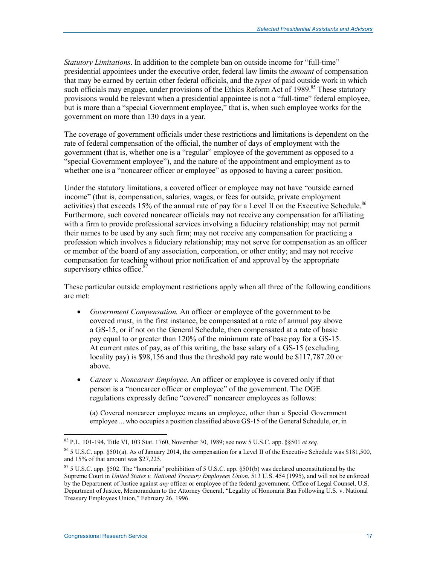*Statutory Limitations*. In addition to the complete ban on outside income for "full-time" presidential appointees under the executive order, federal law limits the *amount* of compensation that may be earned by certain other federal officials, and the *types* of paid outside work in which such officials may engage, under provisions of the Ethics Reform Act of 1989.<sup>85</sup> These statutory provisions would be relevant when a presidential appointee is not a "full-time" federal employee, but is more than a "special Government employee," that is, when such employee works for the government on more than 130 days in a year.

The coverage of government officials under these restrictions and limitations is dependent on the rate of federal compensation of the official, the number of days of employment with the government (that is, whether one is a "regular" employee of the government as opposed to a "special Government employee"), and the nature of the appointment and employment as to whether one is a "noncareer officer or employee" as opposed to having a career position.

Under the statutory limitations, a covered officer or employee may not have "outside earned income" (that is, compensation, salaries, wages, or fees for outside, private employment activities) that exceeds 15% of the annual rate of pay for a Level II on the Executive Schedule.<sup>86</sup> Furthermore, such covered noncareer officials may not receive any compensation for affiliating with a firm to provide professional services involving a fiduciary relationship; may not permit their names to be used by any such firm; may not receive any compensation for practicing a profession which involves a fiduciary relationship; may not serve for compensation as an officer or member of the board of any association, corporation, or other entity; and may not receive compensation for teaching without prior notification of and approval by the appropriate supervisory ethics office. $87$ 

These particular outside employment restrictions apply when all three of the following conditions are met:

- *Government Compensation.* An officer or employee of the government to be covered must, in the first instance, be compensated at a rate of annual pay above a GS-15, or if not on the General Schedule, then compensated at a rate of basic pay equal to or greater than 120% of the minimum rate of base pay for a GS-15. At current rates of pay, as of this writing, the base salary of a GS-15 (excluding locality pay) is \$98,156 and thus the threshold pay rate would be \$117,787.20 or above.
- *Career v. Noncareer Employee.* An officer or employee is covered only if that person is a "noncareer officer or employee" of the government. The OGE regulations expressly define "covered" noncareer employees as follows:

(a) Covered noncareer employee means an employee, other than a Special Government employee ... who occupies a position classified above GS-15 of the General Schedule, or, in

<sup>85</sup> P.L. 101-194, Title VI, 103 Stat. 1760, November 30, 1989; see now 5 U.S.C. app. §§501 *et seq*.

 $86\,$  5 U.S.C. app. §501(a). As of January 2014, the compensation for a Level II of the Executive Schedule was \$181,500, and 15% of that amount was \$27,225.

 $875$  U.S.C. app. §502. The "honoraria" prohibition of 5 U.S.C. app. §501(b) was declared unconstitutional by the Supreme Court in *United States v. National Treasury Employees Union*, 513 U.S. 454 (1995), and will not be enforced by the Department of Justice against *any* officer or employee of the federal government. Office of Legal Counsel, U.S. Department of Justice, Memorandum to the Attorney General, "Legality of Honoraria Ban Following U.S. v. National Treasury Employees Union," February 26, 1996.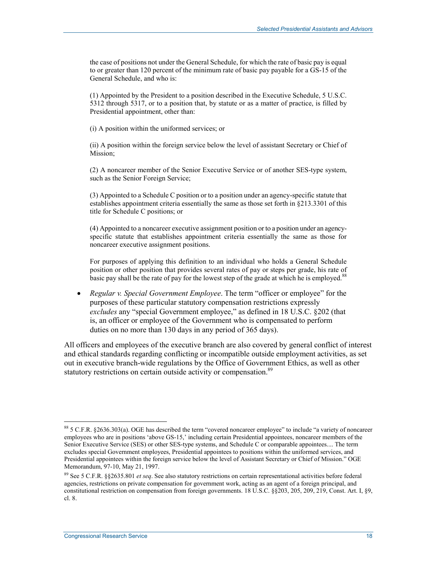the case of positions not under the General Schedule, for which the rate of basic pay is equal to or greater than 120 percent of the minimum rate of basic pay payable for a GS-15 of the General Schedule, and who is:

(1) Appointed by the President to a position described in the Executive Schedule, 5 U.S.C. 5312 through 5317, or to a position that, by statute or as a matter of practice, is filled by Presidential appointment, other than:

(i) A position within the uniformed services; or

(ii) A position within the foreign service below the level of assistant Secretary or Chief of Mission;

(2) A noncareer member of the Senior Executive Service or of another SES-type system, such as the Senior Foreign Service;

(3) Appointed to a Schedule C position or to a position under an agency-specific statute that establishes appointment criteria essentially the same as those set forth in §213.3301 of this title for Schedule C positions; or

(4) Appointed to a noncareer executive assignment position or to a position under an agencyspecific statute that establishes appointment criteria essentially the same as those for noncareer executive assignment positions.

For purposes of applying this definition to an individual who holds a General Schedule position or other position that provides several rates of pay or steps per grade, his rate of basic pay shall be the rate of pay for the lowest step of the grade at which he is employed.<sup>88</sup>

• *Regular v. Special Government Employee*. The term "officer or employee" for the purposes of these particular statutory compensation restrictions expressly *excludes* any "special Government employee," as defined in 18 U.S.C. §202 (that is, an officer or employee of the Government who is compensated to perform duties on no more than 130 days in any period of 365 days).

All officers and employees of the executive branch are also covered by general conflict of interest and ethical standards regarding conflicting or incompatible outside employment activities, as set out in executive branch-wide regulations by the Office of Government Ethics, as well as other statutory restrictions on certain outside activity or compensation.<sup>89</sup>

<sup>88 5</sup> C.F.R. §2636.303(a). OGE has described the term "covered noncareer employee" to include "a variety of noncareer employees who are in positions 'above GS-15,' including certain Presidential appointees, noncareer members of the Senior Executive Service (SES) or other SES-type systems, and Schedule C or comparable appointees.... The term excludes special Government employees, Presidential appointees to positions within the uniformed services, and Presidential appointees within the foreign service below the level of Assistant Secretary or Chief of Mission." OGE Memorandum, 97-10, May 21, 1997.

<sup>89</sup> See 5 C.F.R. §§2635.801 *et seq*. See also statutory restrictions on certain representational activities before federal agencies, restrictions on private compensation for government work, acting as an agent of a foreign principal, and constitutional restriction on compensation from foreign governments. 18 U.S.C. §§203, 205, 209, 219, Const. Art. I, §9, cl. 8.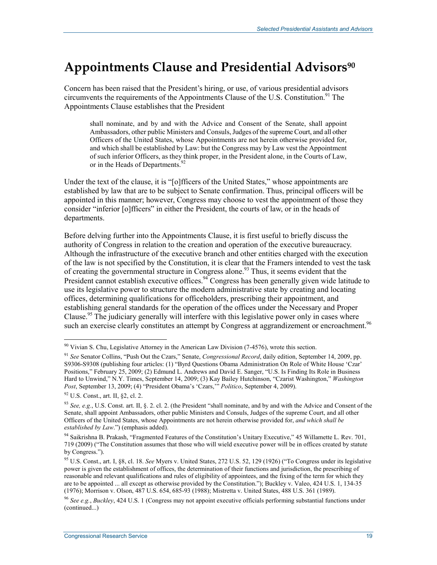## **Appointments Clause and Presidential Advisors90**

Concern has been raised that the President's hiring, or use, of various presidential advisors circumvents the requirements of the Appointments Clause of the U.S. Constitution.<sup>91</sup> The Appointments Clause establishes that the President

shall nominate, and by and with the Advice and Consent of the Senate, shall appoint Ambassadors, other public Ministers and Consuls, Judges of the supreme Court, and all other Officers of the United States, whose Appointments are not herein otherwise provided for, and which shall be established by Law: but the Congress may by Law vest the Appointment of such inferior Officers, as they think proper, in the President alone, in the Courts of Law, or in the Heads of Departments.<sup>92</sup>

Under the text of the clause, it is "[o]fficers of the United States," whose appointments are established by law that are to be subject to Senate confirmation. Thus, principal officers will be appointed in this manner; however, Congress may choose to vest the appointment of those they consider "inferior [o]fficers" in either the President, the courts of law, or in the heads of departments.

Before delving further into the Appointments Clause, it is first useful to briefly discuss the authority of Congress in relation to the creation and operation of the executive bureaucracy. Although the infrastructure of the executive branch and other entities charged with the execution of the law is not specified by the Constitution, it is clear that the Framers intended to vest the task of creating the governmental structure in Congress alone.<sup>93</sup> Thus, it seems evident that the President cannot establish executive offices.<sup>94</sup> Congress has been generally given wide latitude to use its legislative power to structure the modern administrative state by creating and locating offices, determining qualifications for officeholders, prescribing their appointment, and establishing general standards for the operation of the offices under the Necessary and Proper Clause.<sup>95</sup> The judiciary generally will interfere with this legislative power only in cases where such an exercise clearly constitutes an attempt by Congress at aggrandizement or encroachment.<sup>96</sup>

<sup>&</sup>lt;sup>90</sup> Vivian S. Chu, Legislative Attorney in the American Law Division (7-4576), wrote this section.

<sup>91</sup> *See* Senator Collins, "Push Out the Czars," Senate, *Congressional Record*, daily edition, September 14, 2009, pp. S9306-S9308 (publishing four articles: (1) "Byrd Questions Obama Administration On Role of White House 'Czar' Positions," February 25, 2009; (2) Edmund L. Andrews and David E. Sanger, "U.S. Is Finding Its Role in Business Hard to Unwind," N.Y. Times, September 14, 2009; (3) Kay Bailey Hutchinson, "Czarist Washington," *Washington Post*, September 13, 2009; (4) "President Obama's 'Czars,'" *Politico*, September 4, 2009).

 $92$  U.S. Const., art. II, §2, cl. 2.

<sup>93</sup> *See, e.g.*, U.S. Const. art. II, §. 2. cl. 2. (the President "shall nominate, and by and with the Advice and Consent of the Senate, shall appoint Ambassadors, other public Ministers and Consuls, Judges of the supreme Court, and all other Officers of the United States, whose Appointments are not herein otherwise provided for, *and which shall be established by Law*.") (emphasis added).

<sup>&</sup>lt;sup>94</sup> Saikrishna B. Prakash, "Fragmented Features of the Constitution's Unitary Executive," 45 Willamette L. Rev. 701, 719 (2009) ("The Constitution assumes that those who will wield executive power will be in offices created by statute by Congress.").

<sup>95</sup> U.S. Const., art. I, §8, cl. 18. *See* Myers v. United States, 272 U.S. 52, 129 (1926) ("To Congress under its legislative power is given the establishment of offices, the determination of their functions and jurisdiction, the prescribing of reasonable and relevant qualifications and rules of eligibility of appointees, and the fixing of the term for which they are to be appointed ... all except as otherwise provided by the Constitution."); Buckley v. Valeo, 424 U.S. 1, 134-35 (1976); Morrison v. Olson, 487 U.S. 654, 685-93 (1988); Mistretta v. United States, 488 U.S. 361 (1989).

<sup>96</sup> *See e.g.*, *Buckley*, 424 U.S. 1 (Congress may not appoint executive officials performing substantial functions under (continued...)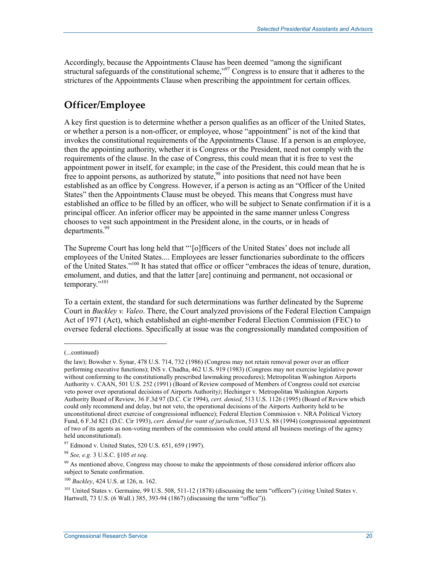Accordingly, because the Appointments Clause has been deemed "among the significant structural safeguards of the constitutional scheme,"<sup>97</sup> Congress is to ensure that it adheres to the strictures of the Appointments Clause when prescribing the appointment for certain offices.

## **Officer/Employee**

A key first question is to determine whether a person qualifies as an officer of the United States, or whether a person is a non-officer, or employee, whose "appointment" is not of the kind that invokes the constitutional requirements of the Appointments Clause. If a person is an employee, then the appointing authority, whether it is Congress or the President, need not comply with the requirements of the clause. In the case of Congress, this could mean that it is free to vest the appointment power in itself, for example; in the case of the President, this could mean that he is free to appoint persons, as authorized by statute,<sup>98</sup> into positions that need not have been established as an office by Congress. However, if a person is acting as an "Officer of the United States" then the Appointments Clause must be obeyed. This means that Congress must have established an office to be filled by an officer, who will be subject to Senate confirmation if it is a principal officer. An inferior officer may be appointed in the same manner unless Congress chooses to vest such appointment in the President alone, in the courts, or in heads of departments.<sup>99</sup>

The Supreme Court has long held that "'[o]fficers of the United States' does not include all employees of the United States.... Employees are lesser functionaries subordinate to the officers of the United States."100 It has stated that office or officer "embraces the ideas of tenure, duration, emolument, and duties, and that the latter [are] continuing and permanent, not occasional or temporary."<sup>101</sup>

To a certain extent, the standard for such determinations was further delineated by the Supreme Court in *Buckley v. Valeo*. There, the Court analyzed provisions of the Federal Election Campaign Act of 1971 (Act), which established an eight-member Federal Election Commission (FEC) to oversee federal elections. Specifically at issue was the congressionally mandated composition of

 $\overline{\phantom{a}}$ 

<sup>(...</sup>continued)

the law); Bowsher v. Synar, 478 U.S. 714, 732 (1986) (Congress may not retain removal power over an officer performing executive functions); INS v. Chadha, 462 U.S. 919 (1983) (Congress may not exercise legislative power without conforming to the constitutionally prescribed lawmaking procedures); Metropolitan Washington Airports Authority v. CAAN, 501 U.S. 252 (1991) (Board of Review composed of Members of Congress could not exercise veto power over operational decisions of Airports Authority*)*; Hechinger v. Metropolitan Washington Airports Authority Board of Review, 36 F.3d 97 (D.C. Cir 1994), *cert. denied*, 513 U.S. 1126 (1995) (Board of Review which could only recommend and delay, but not veto, the operational decisions of the Airports Authority held to be unconstitutional direct exercise of congressional influence); Federal Election Commission v. NRA Political Victory Fund, 6 F.3d 821 (D.C. Cir 1993), *cert. denied for want of jurisdiction*, 513 U.S. 88 (1994) (congressional appointment of two of its agents as non-voting members of the commission who could attend all business meetings of the agency held unconstitutional).

<sup>&</sup>lt;sup>97</sup> Edmond v. United States, 520 U.S. 651, 659 (1997).

<sup>98</sup> *See, e.g.* 3 U.S.C. §105 *et seq*.

<sup>&</sup>lt;sup>99</sup> As mentioned above, Congress may choose to make the appointments of those considered inferior officers also subject to Senate confirmation.

<sup>100</sup> *Buckley*, 424 U.S. at 126, n. 162.

<sup>101</sup> United States v. Germaine, 99 U.S. 508, 511-12 (1878) (discussing the term "officers") (*citing* United States v. Hartwell, 73 U.S. (6 Wall.) 385, 393-94 (1867) (discussing the term "office")).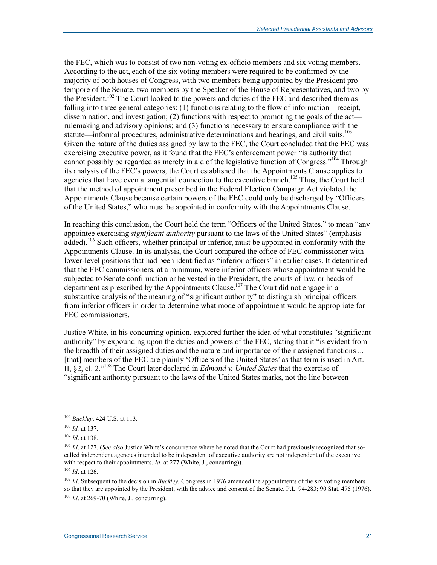the FEC, which was to consist of two non-voting ex-officio members and six voting members. According to the act, each of the six voting members were required to be confirmed by the majority of both houses of Congress, with two members being appointed by the President pro tempore of the Senate, two members by the Speaker of the House of Representatives, and two by the President.<sup>102</sup> The Court looked to the powers and duties of the FEC and described them as falling into three general categories: (1) functions relating to the flow of information—receipt, dissemination, and investigation; (2) functions with respect to promoting the goals of the act rulemaking and advisory opinions; and (3) functions necessary to ensure compliance with the statute—informal procedures, administrative determinations and hearings, and civil suits.<sup>103</sup> Given the nature of the duties assigned by law to the FEC, the Court concluded that the FEC was exercising executive power, as it found that the FEC's enforcement power "is authority that cannot possibly be regarded as merely in aid of the legislative function of Congress."<sup>104</sup> Through its analysis of the FEC's powers, the Court established that the Appointments Clause applies to agencies that have even a tangential connection to the executive branch.<sup>105</sup> Thus, the Court held that the method of appointment prescribed in the Federal Election Campaign Act violated the Appointments Clause because certain powers of the FEC could only be discharged by "Officers of the United States," who must be appointed in conformity with the Appointments Clause.

In reaching this conclusion, the Court held the term "Officers of the United States," to mean "any appointee exercising *significant authority* pursuant to the laws of the United States" (emphasis added).<sup>106</sup> Such officers, whether principal or inferior, must be appointed in conformity with the Appointments Clause. In its analysis, the Court compared the office of FEC commissioner with lower-level positions that had been identified as "inferior officers" in earlier cases. It determined that the FEC commissioners, at a minimum, were inferior officers whose appointment would be subjected to Senate confirmation or be vested in the President, the courts of law, or heads of department as prescribed by the Appointments Clause.<sup>107</sup> The Court did not engage in a substantive analysis of the meaning of "significant authority" to distinguish principal officers from inferior officers in order to determine what mode of appointment would be appropriate for FEC commissioners.

Justice White, in his concurring opinion, explored further the idea of what constitutes "significant authority" by expounding upon the duties and powers of the FEC, stating that it "is evident from the breadth of their assigned duties and the nature and importance of their assigned functions ... [that] members of the FEC are plainly 'Officers of the United States' as that term is used in Art. II, §2, cl. 2."108 The Court later declared in *Edmond v. United States* that the exercise of "significant authority pursuant to the laws of the United States marks, not the line between

<sup>102</sup> *Buckley*, 424 U.S. at 113.

<sup>103</sup> *Id.* at 137.

<sup>104</sup> *Id*. at 138.

<sup>&</sup>lt;sup>105</sup> *Id.* at 127. (*See also* Justice White's concurrence where he noted that the Court had previously recognized that socalled independent agencies intended to be independent of executive authority are not independent of the executive with respect to their appointments. *Id.* at 277 (White, J., concurring)).

<sup>106</sup> *Id*. at 126.

<sup>&</sup>lt;sup>107</sup> *Id*. Subsequent to the decision in *Buckley*, Congress in 1976 amended the appointments of the six voting members so that they are appointed by the President, with the advice and consent of the Senate. P.L. 94-283; 90 Stat. 475 (1976). <sup>108</sup> *Id*. at 269-70 (White, J., concurring).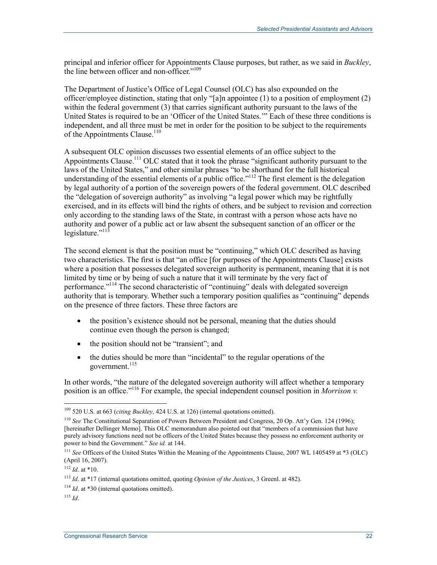principal and inferior officer for Appointments Clause purposes, but rather, as we said in *Buckley*, the line between officer and non-officer."<sup>109</sup>

The Department of Justice's Office of Legal Counsel (OLC) has also expounded on the officer/employee distinction, stating that only "[a]n appointee (1) to a position of employment (2) within the federal government (3) that carries significant authority pursuant to the laws of the United States is required to be an 'Officer of the United States.'" Each of these three conditions is independent, and all three must be met in order for the position to be subject to the requirements of the Appointments Clause.<sup>110</sup>

A subsequent OLC opinion discusses two essential elements of an office subject to the Appointments Clause.<sup>111</sup> OLC stated that it took the phrase "significant authority pursuant to the laws of the United States," and other similar phrases "to be shorthand for the full historical understanding of the essential elements of a public office.<sup>"112</sup> The first element is the delegation by legal authority of a portion of the sovereign powers of the federal government. OLC described the "delegation of sovereign authority" as involving "a legal power which may be rightfully exercised, and in its effects will bind the rights of others, and be subject to revision and correction only according to the standing laws of the State, in contrast with a person whose acts have no authority and power of a public act or law absent the subsequent sanction of an officer or the legislature."<sup>113</sup>

The second element is that the position must be "continuing," which OLC described as having two characteristics. The first is that "an office [for purposes of the Appointments Clause] exists where a position that possesses delegated sovereign authority is permanent, meaning that it is not limited by time or by being of such a nature that it will terminate by the very fact of performance."<sup>114</sup> The second characteristic of "continuing" deals with delegated sovereign authority that is temporary. Whether such a temporary position qualifies as "continuing" depends on the presence of three factors. These three factors are

- the position's existence should not be personal, meaning that the duties should continue even though the person is changed;
- the position should not be "transient"; and
- the duties should be more than "incidental" to the regular operations of the government.<sup>115</sup>

In other words, "the nature of the delegated sovereign authority will affect whether a temporary position is an office."116 For example, the special independent counsel position in *Morrison v.* 

<sup>109 520</sup> U.S. at 663 (*citing Buckley*, 424 U.S. at 126) (internal quotations omitted).

<sup>110</sup> *See* The Constitutional Separation of Powers Between President and Congress, 20 Op. Att'y Gen. 124 (1996); [hereinafter Dellinger Memo]. This OLC memorandum also pointed out that "members of a commission that have purely advisory functions need not be officers of the United States because they possess no enforcement authority or power to bind the Government." *See id.* at 144.

<sup>111</sup> *See* Officers of the United States Within the Meaning of the Appointments Clause, 2007 WL 1405459 at \*3 (OLC) (April 16, 2007).

 $112$  *Id.* at \*10.

<sup>113</sup> *Id*. at \*17 (internal quotations omitted, quoting *Opinion of the Justices*, 3 Greenl. at 482).

<sup>&</sup>lt;sup>114</sup> *Id.* at \*30 (internal quotations omitted).

<sup>115</sup> *Id*.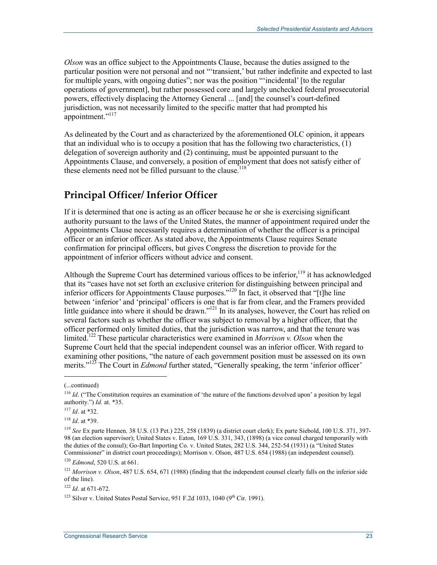*Olson* was an office subject to the Appointments Clause, because the duties assigned to the particular position were not personal and not "'transient,' but rather indefinite and expected to last for multiple years, with ongoing duties"; nor was the position "'incidental' [to the regular operations of government], but rather possessed core and largely unchecked federal prosecutorial powers, effectively displacing the Attorney General ... [and] the counsel's court-defined jurisdiction, was not necessarily limited to the specific matter that had prompted his appointment."<sup>117</sup>

As delineated by the Court and as characterized by the aforementioned OLC opinion, it appears that an individual who is to occupy a position that has the following two characteristics,  $(1)$ delegation of sovereign authority and (2) continuing, must be appointed pursuant to the Appointments Clause, and conversely, a position of employment that does not satisfy either of these elements need not be filled pursuant to the clause.<sup>118</sup>

## **Principal Officer/ Inferior Officer**

If it is determined that one is acting as an officer because he or she is exercising significant authority pursuant to the laws of the United States, the manner of appointment required under the Appointments Clause necessarily requires a determination of whether the officer is a principal officer or an inferior officer. As stated above, the Appointments Clause requires Senate confirmation for principal officers, but gives Congress the discretion to provide for the appointment of inferior officers without advice and consent.

Although the Supreme Court has determined various offices to be inferior,<sup>119</sup> it has acknowledged that its "cases have not set forth an exclusive criterion for distinguishing between principal and inferior officers for Appointments Clause purposes."<sup>120</sup> In fact, it observed that "[t]he line between 'inferior' and 'principal' officers is one that is far from clear, and the Framers provided little guidance into where it should be drawn."<sup>121</sup> In its analyses, however, the Court has relied on several factors such as whether the officer was subject to removal by a higher officer, that the officer performed only limited duties, that the jurisdiction was narrow, and that the tenure was limited.122 These particular characteristics were examined in *Morrison v. Olson* when the Supreme Court held that the special independent counsel was an inferior officer. With regard to examining other positions, "the nature of each government position must be assessed on its own merits."<sup>123</sup> The Court in *Edmond* further stated, "Generally speaking, the term 'inferior officer'

 $\overline{\phantom{a}}$ 

<sup>(...</sup>continued)

<sup>&</sup>lt;sup>116</sup> *Id.* ("The Constitution requires an examination of 'the nature of the functions devolved upon' a position by legal authority.") *Id.* at. \*35.

<sup>117</sup> *Id*. at \*32.

<sup>118</sup> *Id*. at \*39.

<sup>119</sup> *See* Ex parte Hennen*,* 38 U.S. (13 Pet.) 225, 258 (1839) (a district court clerk); Ex parte Siebold, 100 U.S. 371, 397- 98 (an election supervisor); United States v. Eaton, 169 U.S. 331, 343, (1898) (a vice consul charged temporarily with the duties of the consul); Go-Bart Importing Co. v. United States, 282 U.S. 344, 252-54 (1931) (a "United States Commissioner" in district court proceedings); Morrison v. Olson, 487 U.S. 654 (1988) (an independent counsel).

<sup>120</sup> *Edmond*, 520 U.S. at 661.

<sup>&</sup>lt;sup>121</sup> *Morrison v. Olson*, 487 U.S. 654, 671 (1988) (finding that the independent counsel clearly falls on the inferior side of the line).

<sup>122</sup> *Id*. at 671-672.

<sup>&</sup>lt;sup>123</sup> Silver v. United States Postal Service, 951 F.2d 1033, 1040 (9<sup>th</sup> Cir. 1991).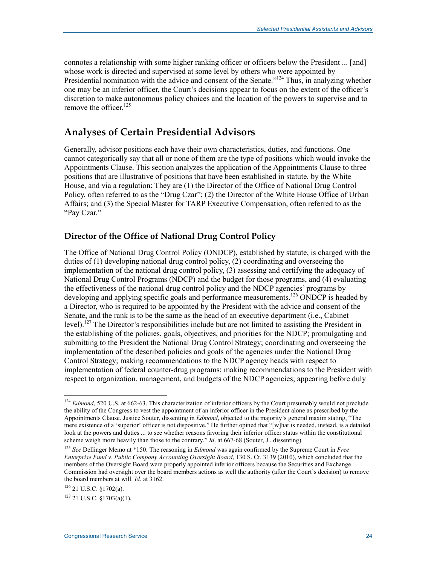connotes a relationship with some higher ranking officer or officers below the President ... [and] whose work is directed and supervised at some level by others who were appointed by Presidential nomination with the advice and consent of the Senate."<sup>124</sup> Thus, in analyzing whether one may be an inferior officer, the Court's decisions appear to focus on the extent of the officer's discretion to make autonomous policy choices and the location of the powers to supervise and to remove the officer  $125$ 

### **Analyses of Certain Presidential Advisors**

Generally, advisor positions each have their own characteristics, duties, and functions. One cannot categorically say that all or none of them are the type of positions which would invoke the Appointments Clause. This section analyzes the application of the Appointments Clause to three positions that are illustrative of positions that have been established in statute, by the White House, and via a regulation: They are (1) the Director of the Office of National Drug Control Policy, often referred to as the "Drug Czar"; (2) the Director of the White House Office of Urban Affairs; and (3) the Special Master for TARP Executive Compensation, often referred to as the "Pay Czar."

#### **Director of the Office of National Drug Control Policy**

The Office of National Drug Control Policy (ONDCP), established by statute, is charged with the duties of (1) developing national drug control policy, (2) coordinating and overseeing the implementation of the national drug control policy, (3) assessing and certifying the adequacy of National Drug Control Programs (NDCP) and the budget for those programs, and (4) evaluating the effectiveness of the national drug control policy and the NDCP agencies' programs by developing and applying specific goals and performance measurements.<sup>126</sup> ONDCP is headed by a Director, who is required to be appointed by the President with the advice and consent of the Senate, and the rank is to be the same as the head of an executive department (i.e., Cabinet level).<sup>127</sup> The Director's responsibilities include but are not limited to assisting the President in the establishing of the policies, goals, objectives, and priorities for the NDCP; promulgating and submitting to the President the National Drug Control Strategy; coordinating and overseeing the implementation of the described policies and goals of the agencies under the National Drug Control Strategy; making recommendations to the NDCP agency heads with respect to implementation of federal counter-drug programs; making recommendations to the President with respect to organization, management, and budgets of the NDCP agencies; appearing before duly

<sup>&</sup>lt;sup>124</sup> *Edmond*, 520 U.S. at 662-63. This characterization of inferior officers by the Court presumably would not preclude the ability of the Congress to vest the appointment of an inferior officer in the President alone as prescribed by the Appointments Clause. Justice Souter, dissenting in *Edmond*, objected to the majority's general maxim stating, "The mere existence of a 'superior' officer is not dispositive." He further opined that "[w]hat is needed, instead, is a detailed look at the powers and duties ... to see whether reasons favoring their inferior officer status within the constitutional scheme weigh more heavily than those to the contrary." *Id*. at 667-68 (Souter, J., dissenting).

<sup>125</sup> *See* Dellinger Memo at \*150. The reasoning in *Edmond* was again confirmed by the Supreme Court in *Free Enterprise Fund v. Public Company Accounting Oversight Board*, 130 S. Ct. 3139 (2010), which concluded that the members of the Oversight Board were properly appointed inferior officers because the Securities and Exchange Commission had oversight over the board members actions as well the authority (after the Court's decision) to remove the board members at will. *Id*. at 3162.

<sup>126 21</sup> U.S.C. §1702(a).

 $127$  21 U.S.C. §1703(a)(1).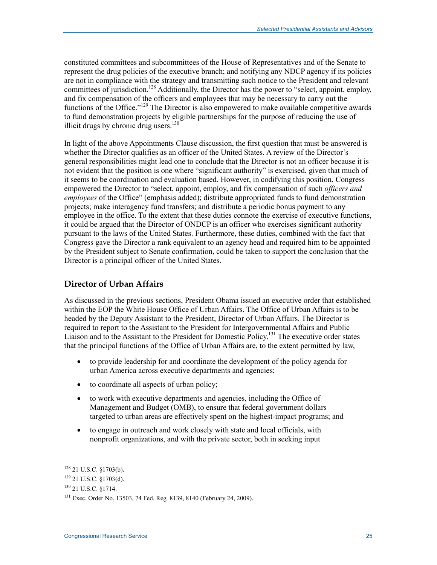constituted committees and subcommittees of the House of Representatives and of the Senate to represent the drug policies of the executive branch; and notifying any NDCP agency if its policies are not in compliance with the strategy and transmitting such notice to the President and relevant committees of jurisdiction.<sup>128</sup> Additionally, the Director has the power to "select, appoint, employ, and fix compensation of the officers and employees that may be necessary to carry out the functions of the Office."129 The Director is also empowered to make available competitive awards to fund demonstration projects by eligible partnerships for the purpose of reducing the use of illicit drugs by chronic drug users. $130$ 

In light of the above Appointments Clause discussion, the first question that must be answered is whether the Director qualifies as an officer of the United States. A review of the Director's general responsibilities might lead one to conclude that the Director is not an officer because it is not evident that the position is one where "significant authority" is exercised, given that much of it seems to be coordination and evaluation based. However, in codifying this position, Congress empowered the Director to "select, appoint, employ, and fix compensation of such *officers and employees* of the Office" (emphasis added); distribute appropriated funds to fund demonstration projects; make interagency fund transfers; and distribute a periodic bonus payment to any employee in the office. To the extent that these duties connote the exercise of executive functions, it could be argued that the Director of ONDCP is an officer who exercises significant authority pursuant to the laws of the United States. Furthermore, these duties, combined with the fact that Congress gave the Director a rank equivalent to an agency head and required him to be appointed by the President subject to Senate confirmation, could be taken to support the conclusion that the Director is a principal officer of the United States.

#### **Director of Urban Affairs**

As discussed in the previous sections, President Obama issued an executive order that established within the EOP the White House Office of Urban Affairs. The Office of Urban Affairs is to be headed by the Deputy Assistant to the President, Director of Urban Affairs. The Director is required to report to the Assistant to the President for Intergovernmental Affairs and Public Liaison and to the Assistant to the President for Domestic Policy.<sup>131</sup> The executive order states that the principal functions of the Office of Urban Affairs are, to the extent permitted by law,

- to provide leadership for and coordinate the development of the policy agenda for urban America across executive departments and agencies;
- to coordinate all aspects of urban policy;
- to work with executive departments and agencies, including the Office of Management and Budget (OMB), to ensure that federal government dollars targeted to urban areas are effectively spent on the highest-impact programs; and
- to engage in outreach and work closely with state and local officials, with nonprofit organizations, and with the private sector, both in seeking input

 $128$  21 U.S.C. §1703(b).

<sup>129 21</sup> U.S.C. §1703(d).

<sup>130 21</sup> U.S.C. §1714.

<sup>131</sup> Exec. Order No. 13503, 74 Fed. Reg. 8139, 8140 (February 24, 2009).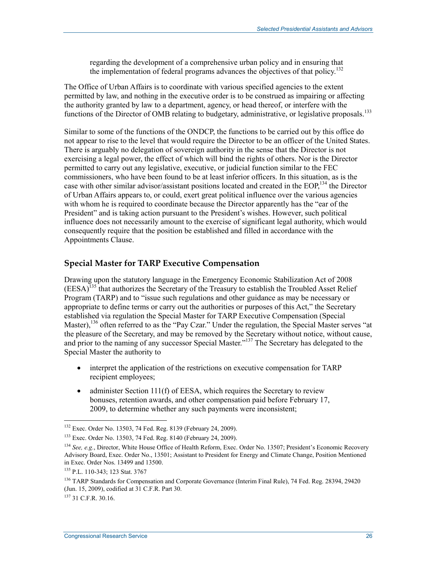regarding the development of a comprehensive urban policy and in ensuring that the implementation of federal programs advances the objectives of that policy.132

The Office of Urban Affairs is to coordinate with various specified agencies to the extent permitted by law, and nothing in the executive order is to be construed as impairing or affecting the authority granted by law to a department, agency, or head thereof, or interfere with the functions of the Director of OMB relating to budgetary, administrative, or legislative proposals.<sup>133</sup>

Similar to some of the functions of the ONDCP, the functions to be carried out by this office do not appear to rise to the level that would require the Director to be an officer of the United States. There is arguably no delegation of sovereign authority in the sense that the Director is not exercising a legal power, the effect of which will bind the rights of others. Nor is the Director permitted to carry out any legislative, executive, or judicial function similar to the FEC commissioners, who have been found to be at least inferior officers. In this situation, as is the case with other similar advisor/assistant positions located and created in the EOP,<sup>134</sup> the Director of Urban Affairs appears to, or could, exert great political influence over the various agencies with whom he is required to coordinate because the Director apparently has the "ear of the President" and is taking action pursuant to the President's wishes. However, such political influence does not necessarily amount to the exercise of significant legal authority, which would consequently require that the position be established and filled in accordance with the Appointments Clause.

#### **Special Master for TARP Executive Compensation**

Drawing upon the statutory language in the Emergency Economic Stabilization Act of 2008 (EESA)135 that authorizes the Secretary of the Treasury to establish the Troubled Asset Relief Program (TARP) and to "issue such regulations and other guidance as may be necessary or appropriate to define terms or carry out the authorities or purposes of this Act," the Secretary established via regulation the Special Master for TARP Executive Compensation (Special Master),<sup>136</sup> often referred to as the "Pay Czar." Under the regulation, the Special Master serves "at the pleasure of the Secretary, and may be removed by the Secretary without notice, without cause, and prior to the naming of any successor Special Master."<sup>137</sup> The Secretary has delegated to the Special Master the authority to

- interpret the application of the restrictions on executive compensation for TARP recipient employees;
- administer Section 111(f) of EESA, which requires the Secretary to review bonuses, retention awards, and other compensation paid before February 17, 2009, to determine whether any such payments were inconsistent;

<sup>&</sup>lt;sup>132</sup> Exec. Order No. 13503, 74 Fed. Reg. 8139 (February 24, 2009).

<sup>133</sup> Exec. Order No. 13503, 74 Fed. Reg. 8140 (February 24, 2009).

<sup>134</sup> *See, e.g.*, Director, White House Office of Health Reform, Exec. Order No. 13507; President's Economic Recovery Advisory Board, Exec. Order No., 13501; Assistant to President for Energy and Climate Change, Position Mentioned in Exec. Order Nos. 13499 and 13500.

<sup>135</sup> P.L. 110-343; 123 Stat. 3767

<sup>&</sup>lt;sup>136</sup> TARP Standards for Compensation and Corporate Governance (Interim Final Rule), 74 Fed. Reg. 28394, 29420 (Jun. 15, 2009), codified at 31 C.F.R. Part 30.

 $137$  31 C.F.R. 30.16.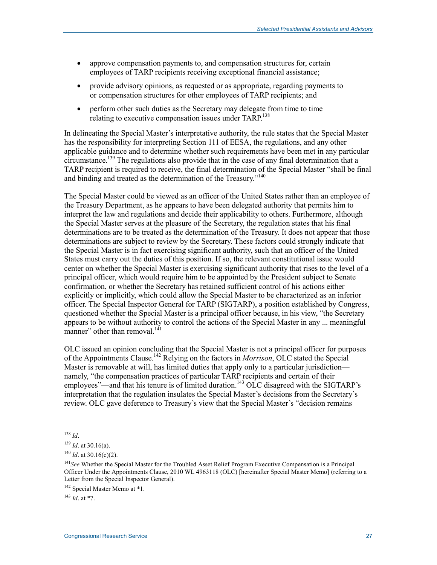- approve compensation payments to, and compensation structures for, certain employees of TARP recipients receiving exceptional financial assistance;
- provide advisory opinions, as requested or as appropriate, regarding payments to or compensation structures for other employees of TARP recipients; and
- perform other such duties as the Secretary may delegate from time to time relating to executive compensation issues under TARP.<sup>138</sup>

In delineating the Special Master's interpretative authority, the rule states that the Special Master has the responsibility for interpreting Section 111 of EESA, the regulations, and any other applicable guidance and to determine whether such requirements have been met in any particular circumstance.<sup>139</sup> The regulations also provide that in the case of any final determination that a TARP recipient is required to receive, the final determination of the Special Master "shall be final and binding and treated as the determination of the Treasury."<sup>140</sup>

The Special Master could be viewed as an officer of the United States rather than an employee of the Treasury Department, as he appears to have been delegated authority that permits him to interpret the law and regulations and decide their applicability to others. Furthermore, although the Special Master serves at the pleasure of the Secretary, the regulation states that his final determinations are to be treated as the determination of the Treasury. It does not appear that those determinations are subject to review by the Secretary. These factors could strongly indicate that the Special Master is in fact exercising significant authority, such that an officer of the United States must carry out the duties of this position. If so, the relevant constitutional issue would center on whether the Special Master is exercising significant authority that rises to the level of a principal officer, which would require him to be appointed by the President subject to Senate confirmation, or whether the Secretary has retained sufficient control of his actions either explicitly or implicitly, which could allow the Special Master to be characterized as an inferior officer. The Special Inspector General for TARP (SIGTARP), a position established by Congress, questioned whether the Special Master is a principal officer because, in his view, "the Secretary appears to be without authority to control the actions of the Special Master in any ... meaningful manner" other than removal. $141$ 

OLC issued an opinion concluding that the Special Master is not a principal officer for purposes of the Appointments Clause.142 Relying on the factors in *Morrison*, OLC stated the Special Master is removable at will, has limited duties that apply only to a particular jurisdiction namely, "the compensation practices of particular TARP recipients and certain of their employees"—and that his tenure is of limited duration.<sup>143</sup> OLC disagreed with the SIGTARP's interpretation that the regulation insulates the Special Master's decisions from the Secretary's review. OLC gave deference to Treasury's view that the Special Master's "decision remains

<sup>143</sup> *Id*. at \*7.

<sup>1</sup> <sup>138</sup> *Id*.

<sup>139</sup> *Id*. at 30.16(a).

 $140$  *Id.* at 30.16(c)(2).

<sup>141</sup>*See* Whether the Special Master for the Troubled Asset Relief Program Executive Compensation is a Principal Officer Under the Appointments Clause, 2010 WL 4963118 (OLC) [hereinafter Special Master Memo] (referring to a Letter from the Special Inspector General).

<sup>&</sup>lt;sup>142</sup> Special Master Memo at \*1.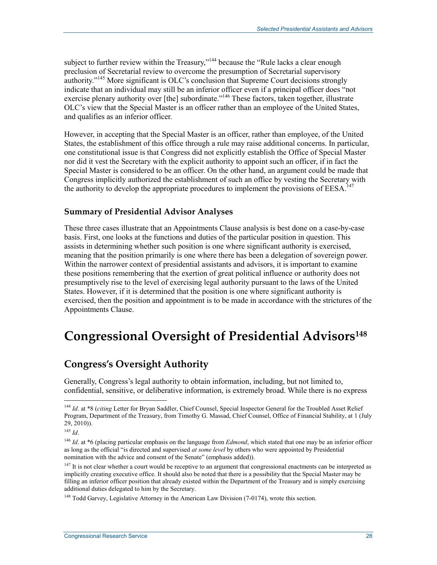subject to further review within the Treasury,"<sup>144</sup> because the "Rule lacks a clear enough preclusion of Secretarial review to overcome the presumption of Secretarial supervisory authority.<sup>"145</sup> More significant is OLC's conclusion that Supreme Court decisions strongly indicate that an individual may still be an inferior officer even if a principal officer does "not exercise plenary authority over [the] subordinate.<sup>"146</sup> These factors, taken together, illustrate OLC's view that the Special Master is an officer rather than an employee of the United States, and qualifies as an inferior officer.

However, in accepting that the Special Master is an officer, rather than employee, of the United States, the establishment of this office through a rule may raise additional concerns. In particular, one constitutional issue is that Congress did not explicitly establish the Office of Special Master nor did it vest the Secretary with the explicit authority to appoint such an officer, if in fact the Special Master is considered to be an officer. On the other hand, an argument could be made that Congress implicitly authorized the establishment of such an office by vesting the Secretary with the authority to develop the appropriate procedures to implement the provisions of  $EESA$ <sup>147</sup>

#### **Summary of Presidential Advisor Analyses**

These three cases illustrate that an Appointments Clause analysis is best done on a case-by-case basis. First, one looks at the functions and duties of the particular position in question. This assists in determining whether such position is one where significant authority is exercised, meaning that the position primarily is one where there has been a delegation of sovereign power. Within the narrower context of presidential assistants and advisors, it is important to examine these positions remembering that the exertion of great political influence or authority does not presumptively rise to the level of exercising legal authority pursuant to the laws of the United States. However, if it is determined that the position is one where significant authority is exercised, then the position and appointment is to be made in accordance with the strictures of the Appointments Clause.

## **Congressional Oversight of Presidential Advisors148**

## **Congress's Oversight Authority**

Generally, Congress's legal authority to obtain information, including, but not limited to, confidential, sensitive, or deliberative information, is extremely broad. While there is no express

<sup>144</sup> *Id*. at \*8 (*citing* Letter for Bryan Saddler, Chief Counsel, Special Inspector General for the Troubled Asset Relief Program, Department of the Treasury, from Timothy G. Massad, Chief Counsel, Office of Financial Stability, at 1 (July 29, 2010)).

<sup>145</sup> *Id*.

<sup>&</sup>lt;sup>146</sup> *Id.* at \*6 (placing particular emphasis on the language from *Edmond*, which stated that one may be an inferior officer as long as the official "is directed and supervised *at some level* by others who were appointed by Presidential nomination with the advice and consent of the Senate" (emphasis added)).

<sup>&</sup>lt;sup>147</sup> It is not clear whether a court would be receptive to an argument that congressional enactments can be interpreted as implicitly creating executive office. It should also be noted that there is a possibility that the Special Master may be filling an inferior officer position that already existed within the Department of the Treasury and is simply exercising additional duties delegated to him by the Secretary.

<sup>&</sup>lt;sup>148</sup> Todd Garvey, Legislative Attorney in the American Law Division (7-0174), wrote this section.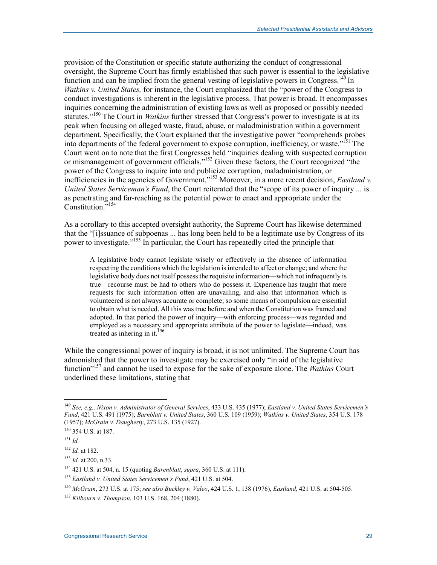provision of the Constitution or specific statute authorizing the conduct of congressional oversight, the Supreme Court has firmly established that such power is essential to the legislative function and can be implied from the general vesting of legislative powers in Congress.<sup>149</sup> In *Watkins v. United States,* for instance, the Court emphasized that the "power of the Congress to conduct investigations is inherent in the legislative process. That power is broad. It encompasses inquiries concerning the administration of existing laws as well as proposed or possibly needed statutes."150 The Court in *Watkins* further stressed that Congress's power to investigate is at its peak when focusing on alleged waste, fraud, abuse, or maladministration within a government department. Specifically, the Court explained that the investigative power "comprehends probes into departments of the federal government to expose corruption, inefficiency, or waste."151 The Court went on to note that the first Congresses held "inquiries dealing with suspected corruption or mismanagement of government officials."152 Given these factors, the Court recognized "the power of the Congress to inquire into and publicize corruption, maladministration, or inefficiencies in the agencies of Government.<sup>"153</sup> Moreover, in a more recent decision, *Eastland v. United States Serviceman's Fund*, the Court reiterated that the "scope of its power of inquiry ... is as penetrating and far-reaching as the potential power to enact and appropriate under the Constitution."154

As a corollary to this accepted oversight authority, the Supreme Court has likewise determined that the "[i]ssuance of subpoenas ... has long been held to be a legitimate use by Congress of its power to investigate."155 In particular, the Court has repeatedly cited the principle that

A legislative body cannot legislate wisely or effectively in the absence of information respecting the conditions which the legislation is intended to affect or change; and where the legislative body does not itself possess the requisite information—which not infrequently is true—recourse must be had to others who do possess it. Experience has taught that mere requests for such information often are unavailing, and also that information which is volunteered is not always accurate or complete; so some means of compulsion are essential to obtain what is needed. All this was true before and when the Constitution was framed and adopted. In that period the power of inquiry—with enforcing process—was regarded and employed as a necessary and appropriate attribute of the power to legislate—indeed, was treated as inhering in it.<sup>156</sup>

While the congressional power of inquiry is broad, it is not unlimited. The Supreme Court has admonished that the power to investigate may be exercised only "in aid of the legislative function"157 and cannot be used to expose for the sake of exposure alone. The *Watkins* Court underlined these limitations, stating that

<sup>149</sup> *See, e.g., Nixon v. Administrator of General Services*, 433 U.S. 435 (1977); *Eastland v. United States Servicemen's Fund*, 421 U.S. 491 (1975); *Barnblatt v. United States*, 360 U.S. 109 (1959); *Watkins v. United States*, 354 U.S. 178 (1957); *McGrain v. Daugherty*, 273 U.S. 135 (1927).

<sup>150 354</sup> U.S. at 187.

<sup>151</sup> *Id.*

<sup>152</sup> *Id.* at 182.

<sup>153</sup> *Id.* at 200, n.33.

<sup>154 421</sup> U.S. at 504, n. 15 (quoting *Barenblatt*, *supra*, 360 U.S. at 111).

<sup>155</sup> *Eastland v. United States Servicemen's Fund*, 421 U.S. at 504.

<sup>156</sup> *McGrain*, 273 U.S. at 175; *see also Buckley v. Valeo*, 424 U.S. 1, 138 (1976), *Eastland*, 421 U.S. at 504-505.

<sup>157</sup> *Kilbourn v. Thompson*, 103 U.S. 168, 204 (1880).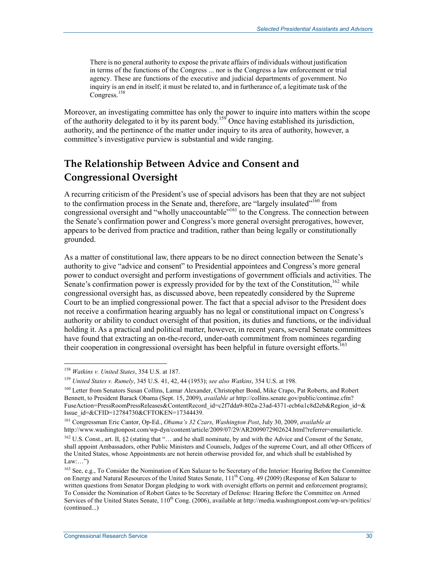There is no general authority to expose the private affairs of individuals without justification in terms of the functions of the Congress ... nor is the Congress a law enforcement or trial agency. These are functions of the executive and judicial departments of government. No inquiry is an end in itself; it must be related to, and in furtherance of, a legitimate task of the Congress.<sup>158</sup>

Moreover, an investigating committee has only the power to inquire into matters within the scope of the authority delegated to it by its parent body.159 Once having established its jurisdiction, authority, and the pertinence of the matter under inquiry to its area of authority, however, a committee's investigative purview is substantial and wide ranging.

## **The Relationship Between Advice and Consent and Congressional Oversight**

A recurring criticism of the President's use of special advisors has been that they are not subject to the confirmation process in the Senate and, therefore, are "largely insulated"<sup>160</sup> from congressional oversight and "wholly unaccountable"<sup>161</sup> to the Congress. The connection between the Senate's confirmation power and Congress's more general oversight prerogatives, however, appears to be derived from practice and tradition, rather than being legally or constitutionally grounded.

As a matter of constitutional law, there appears to be no direct connection between the Senate's authority to give "advice and consent" to Presidential appointees and Congress's more general power to conduct oversight and perform investigations of government officials and activities. The Senate's confirmation power is expressly provided for by the text of the Constitution.<sup>162</sup> while congressional oversight has, as discussed above, been repeatedly considered by the Supreme Court to be an implied congressional power. The fact that a special advisor to the President does not receive a confirmation hearing arguably has no legal or constitutional impact on Congress's authority or ability to conduct oversight of that position, its duties and functions, or the individual holding it. As a practical and political matter, however, in recent years, several Senate committees have found that extracting an on-the-record, under-oath commitment from nominees regarding their cooperation in congressional oversight has been helpful in future oversight efforts.<sup>163</sup>

<sup>158</sup> *Watkins v. United States*, 354 U.S. at 187.

<sup>159</sup> *United States v. Rumely*, 345 U.S. 41, 42, 44 (1953); *see also Watkins*, 354 U.S. at 198.

<sup>&</sup>lt;sup>160</sup> Letter from Senators Susan Collins, Lamar Alexander, Christopher Bond, Mike Crapo, Pat Roberts, and Robert Bennett, to President Barack Obama (Sept. 15, 2009), *available at* http://collins.senate.gov/public/continue.cfm? FuseAction=PressRoomPressReleases&ContentRecord\_id=c2f7dda9-802a-23ad-4371-ecb6a1c8d2eb&Region\_id=& Issue\_id=&CFID=12784730&CFTOKEN=17344439.

<sup>161</sup> Congressman Eric Cantor, Op-Ed., *Obama's 32 Czars*, *Washington Post*, July 30, 2009, *available at* http://www.washingtonpost.com/wp-dyn/content/article/2009/07/29/AR2009072902624.html?referrer=emailarticle.

<sup>&</sup>lt;sup>162</sup> U.S. Const., art. II, §2 (stating that "... and he shall nominate, by and with the Advice and Consent of the Senate, shall appoint Ambassadors, other Public Ministers and Counsels, Judges of the supreme Court, and all other Officers of the United States, whose Appointments are not herein otherwise provided for, and which shall be established by  $Law: ...$ ")

<sup>&</sup>lt;sup>163</sup> See, e.g., To Consider the Nomination of Ken Salazar to be Secretary of the Interior: Hearing Before the Committee on Energy and Natural Resources of the United States Senate, 111<sup>th</sup> Cong. 49 (2009) (Response of Ken Salazar to written questions from Senator Dorgan pledging to work with oversight efforts on permit and enforcement programs); To Consider the Nomination of Robert Gates to be Secretary of Defense: Hearing Before the Committee on Armed Services of the United States Senate,  $110^{th}$  Cong. (2006), available at http://media.washingtonpost.com/wp-srv/politics/ (continued...)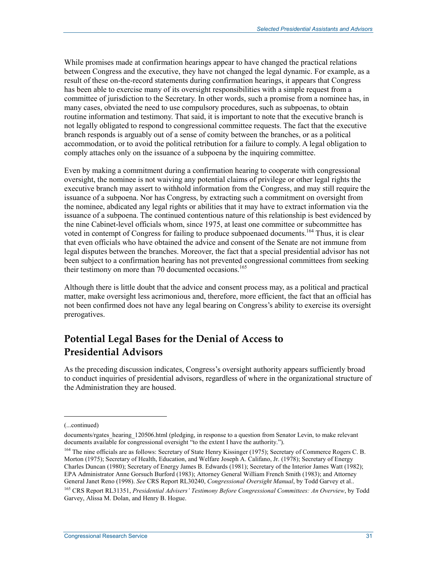While promises made at confirmation hearings appear to have changed the practical relations between Congress and the executive, they have not changed the legal dynamic. For example, as a result of these on-the-record statements during confirmation hearings, it appears that Congress has been able to exercise many of its oversight responsibilities with a simple request from a committee of jurisdiction to the Secretary. In other words, such a promise from a nominee has, in many cases, obviated the need to use compulsory procedures, such as subpoenas, to obtain routine information and testimony. That said, it is important to note that the executive branch is not legally obligated to respond to congressional committee requests. The fact that the executive branch responds is arguably out of a sense of comity between the branches, or as a political accommodation, or to avoid the political retribution for a failure to comply. A legal obligation to comply attaches only on the issuance of a subpoena by the inquiring committee.

Even by making a commitment during a confirmation hearing to cooperate with congressional oversight, the nominee is not waiving any potential claims of privilege or other legal rights the executive branch may assert to withhold information from the Congress, and may still require the issuance of a subpoena. Nor has Congress, by extracting such a commitment on oversight from the nominee, abdicated any legal rights or abilities that it may have to extract information via the issuance of a subpoena. The continued contentious nature of this relationship is best evidenced by the nine Cabinet-level officials whom, since 1975, at least one committee or subcommittee has voted in contempt of Congress for failing to produce subpoenaed documents.<sup>164</sup> Thus, it is clear that even officials who have obtained the advice and consent of the Senate are not immune from legal disputes between the branches. Moreover, the fact that a special presidential advisor has not been subject to a confirmation hearing has not prevented congressional committees from seeking their testimony on more than 70 documented occasions.<sup>165</sup>

Although there is little doubt that the advice and consent process may, as a political and practical matter, make oversight less acrimonious and, therefore, more efficient, the fact that an official has not been confirmed does not have any legal bearing on Congress's ability to exercise its oversight prerogatives.

## **Potential Legal Bases for the Denial of Access to Presidential Advisors**

As the preceding discussion indicates, Congress's oversight authority appears sufficiently broad to conduct inquiries of presidential advisors, regardless of where in the organizational structure of the Administration they are housed.

<sup>(...</sup>continued)

documents/rgates\_hearing\_120506.html (pledging, in response to a question from Senator Levin, to make relevant documents available for congressional oversight "to the extent I have the authority.").

<sup>&</sup>lt;sup>164</sup> The nine officials are as follows: Secretary of State Henry Kissinger (1975); Secretary of Commerce Rogers C. B. Morton (1975); Secretary of Health, Education, and Welfare Joseph A. Califano, Jr. (1978); Secretary of Energy Charles Duncan (1980); Secretary of Energy James B. Edwards (1981); Secretary of the Interior James Watt (1982); EPA Administrator Anne Gorsuch Burford (1983); Attorney General William French Smith (1983); and Attorney General Janet Reno (1998). *See* CRS Report RL30240, *Congressional Oversight Manual*, by Todd Garvey et al..

<sup>165</sup> CRS Report RL31351, *Presidential Advisers' Testimony Before Congressional Committees: An Overview*, by Todd Garvey, Alissa M. Dolan, and Henry B. Hogue.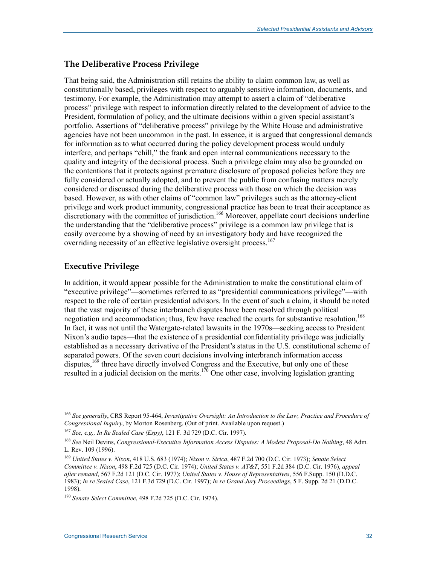#### **The Deliberative Process Privilege**

That being said, the Administration still retains the ability to claim common law, as well as constitutionally based, privileges with respect to arguably sensitive information, documents, and testimony. For example, the Administration may attempt to assert a claim of "deliberative process" privilege with respect to information directly related to the development of advice to the President, formulation of policy, and the ultimate decisions within a given special assistant's portfolio. Assertions of "deliberative process" privilege by the White House and administrative agencies have not been uncommon in the past. In essence, it is argued that congressional demands for information as to what occurred during the policy development process would unduly interfere, and perhaps "chill," the frank and open internal communications necessary to the quality and integrity of the decisional process. Such a privilege claim may also be grounded on the contentions that it protects against premature disclosure of proposed policies before they are fully considered or actually adopted, and to prevent the public from confusing matters merely considered or discussed during the deliberative process with those on which the decision was based. However, as with other claims of "common law" privileges such as the attorney-client privilege and work product immunity, congressional practice has been to treat their acceptance as discretionary with the committee of jurisdiction.<sup>166</sup> Moreover, appellate court decisions underline the understanding that the "deliberative process" privilege is a common law privilege that is easily overcome by a showing of need by an investigatory body and have recognized the overriding necessity of an effective legislative oversight process.<sup>167</sup>

### **Executive Privilege**

<u>.</u>

In addition, it would appear possible for the Administration to make the constitutional claim of "executive privilege"—sometimes referred to as "presidential communications privilege"—with respect to the role of certain presidential advisors. In the event of such a claim, it should be noted that the vast majority of these interbranch disputes have been resolved through political negotiation and accommodation; thus, few have reached the courts for substantive resolution.<sup>168</sup> In fact, it was not until the Watergate-related lawsuits in the 1970s—seeking access to President Nixon's audio tapes—that the existence of a presidential confidentiality privilege was judicially established as a necessary derivative of the President's status in the U.S. constitutional scheme of separated powers. Of the seven court decisions involving interbranch information access disputes,<sup>169</sup> three have directly involved Congress and the Executive, but only one of these resulted in a judicial decision on the merits.<sup>170</sup> One other case, involving legislation granting

<sup>166</sup> *See generally*, CRS Report 95-464, *Investigative Oversight: An Introduction to the Law, Practice and Procedure of Congressional Inquiry*, by Morton Rosenberg. (Out of print. Available upon request.)

<sup>167</sup> *See, e.g., In Re Sealed Case (Espy)*, 121 F. 3d 729 (D.C. Cir. 1997).

<sup>168</sup> *See* Neil Devins, *Congressional-Executive Information Access Disputes: A Modest Proposal-Do Nothing*, 48 Adm. L. Rev. 109 (1996).

<sup>169</sup> *United States v. Nixon*, 418 U.S. 683 (1974); *Nixon v. Sirica*, 487 F.2d 700 (D.C. Cir. 1973); *Senate Select Committee v. Nixon*, 498 F.2d 725 (D.C. Cir. 1974); *United States v. AT&T*, 551 F.2d 384 (D.C. Cir. 1976), *appeal after remand*, 567 F.2d 121 (D.C. Cir. 1977); *United States v. House of Representatives*, 556 F.Supp. 150 (D.D.C. 1983); *In re Sealed Case*, 121 F.3d 729 (D.C. Cir. 1997); *In re Grand Jury Proceedings*, 5 F. Supp. 2d 21 (D.D.C. 1998).

<sup>170</sup> *Senate Select Committee*, 498 F.2d 725 (D.C. Cir. 1974).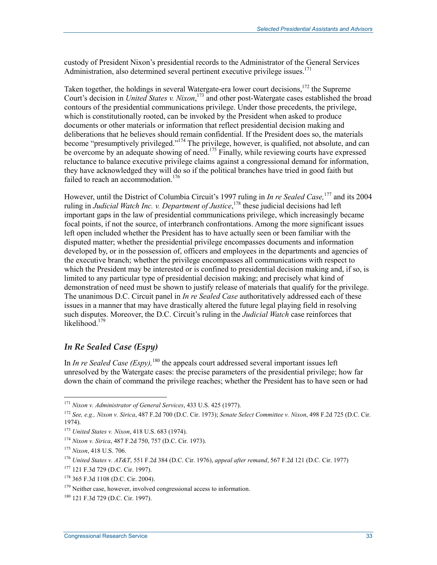custody of President Nixon's presidential records to the Administrator of the General Services Administration, also determined several pertinent executive privilege issues.<sup>171</sup>

Taken together, the holdings in several Watergate-era lower court decisions,<sup>172</sup> the Supreme Court's decision in *United States v. Nixon*, 173 and other post-Watergate cases established the broad contours of the presidential communications privilege. Under those precedents, the privilege, which is constitutionally rooted, can be invoked by the President when asked to produce documents or other materials or information that reflect presidential decision making and deliberations that he believes should remain confidential. If the President does so, the materials become "presumptively privileged."<sup>174</sup> The privilege, however, is qualified, not absolute, and can be overcome by an adequate showing of need.<sup>175</sup> Finally, while reviewing courts have expressed reluctance to balance executive privilege claims against a congressional demand for information, they have acknowledged they will do so if the political branches have tried in good faith but failed to reach an accommodation.<sup>176</sup>

However, until the District of Columbia Circuit's 1997 ruling in *In re Sealed Case,*177 and its 2004 ruling in *Judicial Watch Inc. v. Department of Justice*, 178 these judicial decisions had left important gaps in the law of presidential communications privilege, which increasingly became focal points, if not the source, of interbranch confrontations. Among the more significant issues left open included whether the President has to have actually seen or been familiar with the disputed matter; whether the presidential privilege encompasses documents and information developed by, or in the possession of, officers and employees in the departments and agencies of the executive branch; whether the privilege encompasses all communications with respect to which the President may be interested or is confined to presidential decision making and, if so, is limited to any particular type of presidential decision making; and precisely what kind of demonstration of need must be shown to justify release of materials that qualify for the privilege. The unanimous D.C. Circuit panel in *In re Sealed Case* authoritatively addressed each of these issues in a manner that may have drastically altered the future legal playing field in resolving such disputes. Moreover, the D.C. Circuit's ruling in the *Judicial Watch* case reinforces that likelihood $179$ 

#### *In Re Sealed Case (Espy)*

In *In re Sealed Case (Espy)*,<sup>180</sup> the appeals court addressed several important issues left unresolved by the Watergate cases: the precise parameters of the presidential privilege; how far down the chain of command the privilege reaches; whether the President has to have seen or had

<sup>171</sup> *Nixon v. Administrator of General Services*, 433 U.S. 425 (1977).

<sup>172</sup> *See, e.g., Nixon v. Sirica*, 487 F.2d 700 (D.C. Cir. 1973); *Senate Select Committee v. Nixon*, 498 F.2d 725 (D.C. Cir. 1974).

<sup>173</sup> *United States v. Nixon*, 418 U.S. 683 (1974).

<sup>174</sup> *Nixon v. Sirica*, 487 F.2d 750, 757 (D.C. Cir. 1973).

<sup>175</sup> *Nixon*, 418 U.S. 706.

<sup>176</sup> *United States v. AT&T*, 551 F.2d 384 (D.C. Cir. 1976), *appeal after remand*, 567 F.2d 121 (D.C. Cir. 1977)

<sup>177 121</sup> F.3d 729 (D.C. Cir. 1997).

<sup>178 365</sup> F.3d 1108 (D.C. Cir. 2004).

<sup>&</sup>lt;sup>179</sup> Neither case, however, involved congressional access to information.

<sup>180 121</sup> F.3d 729 (D.C. Cir. 1997).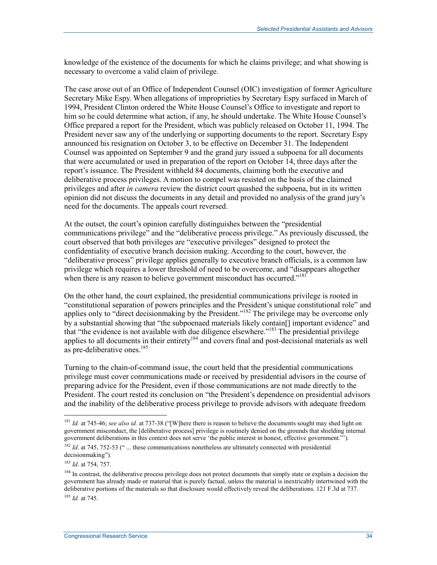knowledge of the existence of the documents for which he claims privilege; and what showing is necessary to overcome a valid claim of privilege.

The case arose out of an Office of Independent Counsel (OIC) investigation of former Agriculture Secretary Mike Espy. When allegations of improprieties by Secretary Espy surfaced in March of 1994, President Clinton ordered the White House Counsel's Office to investigate and report to him so he could determine what action, if any, he should undertake. The White House Counsel's Office prepared a report for the President, which was publicly released on October 11, 1994. The President never saw any of the underlying or supporting documents to the report. Secretary Espy announced his resignation on October 3, to be effective on December 31. The Independent Counsel was appointed on September 9 and the grand jury issued a subpoena for all documents that were accumulated or used in preparation of the report on October 14, three days after the report's issuance. The President withheld 84 documents, claiming both the executive and deliberative process privileges. A motion to compel was resisted on the basis of the claimed privileges and after *in camera* review the district court quashed the subpoena, but in its written opinion did not discuss the documents in any detail and provided no analysis of the grand jury's need for the documents. The appeals court reversed.

At the outset, the court's opinion carefully distinguishes between the "presidential communications privilege" and the "deliberative process privilege." As previously discussed, the court observed that both privileges are "executive privileges" designed to protect the confidentiality of executive branch decision making. According to the court, however, the "deliberative process" privilege applies generally to executive branch officials, is a common law privilege which requires a lower threshold of need to be overcome, and "disappears altogether when there is any reason to believe government misconduct has occurred."<sup>181</sup>

On the other hand, the court explained, the presidential communications privilege is rooted in "constitutional separation of powers principles and the President's unique constitutional role" and applies only to "direct decisionmaking by the President."<sup>182</sup> The privilege may be overcome only by a substantial showing that "the subpoenaed materials likely contain[] important evidence" and that "the evidence is not available with due diligence elsewhere."183 The presidential privilege applies to all documents in their entirety<sup>184</sup> and covers final and post-decisional materials as well as pre-deliberative ones.<sup>185</sup>

Turning to the chain-of-command issue, the court held that the presidential communications privilege must cover communications made or received by presidential advisors in the course of preparing advice for the President, even if those communications are not made directly to the President. The court rested its conclusion on "the President's dependence on presidential advisors and the inability of the deliberative process privilege to provide advisors with adequate freedom

<sup>181</sup> *Id.* at 745-46; *see also id.* at 737-38 ("[W]here there is reason to believe the documents sought may shed light on government misconduct, the [deliberative process] privilege is routinely denied on the grounds that shielding internal government deliberations in this context does not serve 'the public interest in honest, effective government."').

<sup>&</sup>lt;sup>182</sup> *Id.* at 745, 752-53 (" ... these communications nonetheless are ultimately connected with presidential decisionmaking").

<sup>183</sup> *Id*. at 754, 757.

<sup>&</sup>lt;sup>184</sup> In contrast, the deliberative process privilege does not protect documents that simply state or explain a decision the government has already made or material that is purely factual, unless the material is inextricably intertwined with the deliberative portions of the materials so that disclosure would effectively reveal the deliberations. 121 F.3d at 737. <sup>185</sup> *Id.* at 745.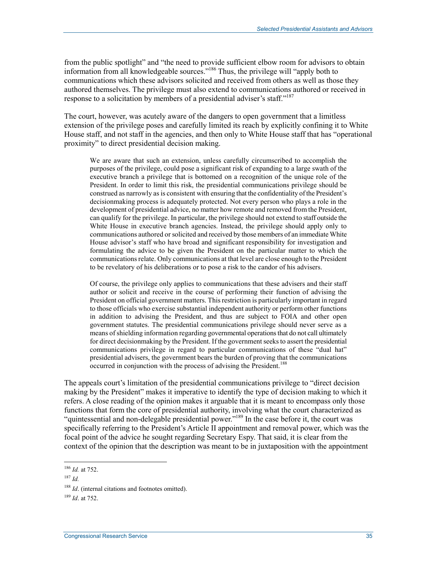from the public spotlight" and "the need to provide sufficient elbow room for advisors to obtain information from all knowledgeable sources."<sup>186</sup> Thus, the privilege will "apply both to communications which these advisors solicited and received from others as well as those they authored themselves. The privilege must also extend to communications authored or received in response to a solicitation by members of a presidential adviser's staff."<sup>187</sup>

The court, however, was acutely aware of the dangers to open government that a limitless extension of the privilege poses and carefully limited its reach by explicitly confining it to White House staff, and not staff in the agencies, and then only to White House staff that has "operational proximity" to direct presidential decision making.

We are aware that such an extension, unless carefully circumscribed to accomplish the purposes of the privilege, could pose a significant risk of expanding to a large swath of the executive branch a privilege that is bottomed on a recognition of the unique role of the President. In order to limit this risk, the presidential communications privilege should be construed as narrowly as is consistent with ensuring that the confidentiality of the President's decisionmaking process is adequately protected. Not every person who plays a role in the development of presidential advice, no matter how remote and removed from the President, can qualify for the privilege. In particular, the privilege should not extend to staff outside the White House in executive branch agencies. Instead, the privilege should apply only to communications authored or solicited and received by those members of an immediate White House advisor's staff who have broad and significant responsibility for investigation and formulating the advice to be given the President on the particular matter to which the communications relate. Only communications at that level are close enough to the President to be revelatory of his deliberations or to pose a risk to the candor of his advisers.

Of course, the privilege only applies to communications that these advisers and their staff author or solicit and receive in the course of performing their function of advising the President on official government matters. This restriction is particularly important in regard to those officials who exercise substantial independent authority or perform other functions in addition to advising the President, and thus are subject to FOIA and other open government statutes. The presidential communications privilege should never serve as a means of shielding information regarding governmental operations that do not call ultimately for direct decisionmaking by the President. If the government seeks to assert the presidential communications privilege in regard to particular communications of these "dual hat" presidential advisers, the government bears the burden of proving that the communications occurred in conjunction with the process of advising the President.<sup>188</sup>

The appeals court's limitation of the presidential communications privilege to "direct decision making by the President" makes it imperative to identify the type of decision making to which it refers. A close reading of the opinion makes it arguable that it is meant to encompass only those functions that form the core of presidential authority, involving what the court characterized as "quintessential and non-delegable presidential power."<sup>189</sup> In the case before it, the court was specifically referring to the President's Article II appointment and removal power, which was the focal point of the advice he sought regarding Secretary Espy. That said, it is clear from the context of the opinion that the description was meant to be in juxtaposition with the appointment

<sup>186</sup> *Id.* at 752.

<sup>187</sup> *Id.*

<sup>188</sup> *Id*. (internal citations and footnotes omitted).

<sup>189</sup> *Id*. at 752.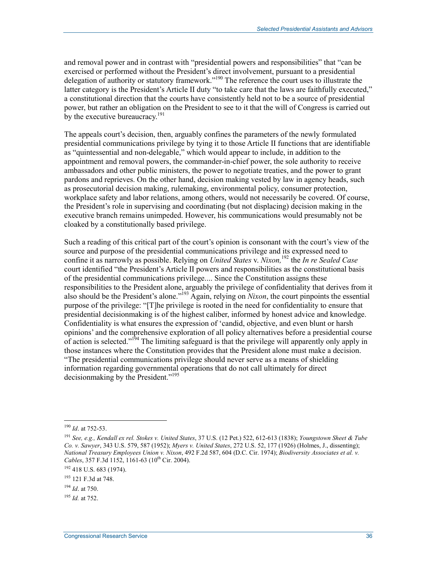and removal power and in contrast with "presidential powers and responsibilities" that "can be exercised or performed without the President's direct involvement, pursuant to a presidential delegation of authority or statutory framework."190 The reference the court uses to illustrate the latter category is the President's Article II duty "to take care that the laws are faithfully executed," a constitutional direction that the courts have consistently held not to be a source of presidential power, but rather an obligation on the President to see to it that the will of Congress is carried out by the executive bureaucracy.<sup>191</sup>

The appeals court's decision, then, arguably confines the parameters of the newly formulated presidential communications privilege by tying it to those Article II functions that are identifiable as "quintessential and non-delegable," which would appear to include, in addition to the appointment and removal powers, the commander-in-chief power, the sole authority to receive ambassadors and other public ministers, the power to negotiate treaties, and the power to grant pardons and reprieves. On the other hand, decision making vested by law in agency heads, such as prosecutorial decision making, rulemaking, environmental policy, consumer protection, workplace safety and labor relations, among others, would not necessarily be covered. Of course, the President's role in supervising and coordinating (but not displacing) decision making in the executive branch remains unimpeded. However, his communications would presumably not be cloaked by a constitutionally based privilege.

Such a reading of this critical part of the court's opinion is consonant with the court's view of the source and purpose of the presidential communications privilege and its expressed need to confine it as narrowly as possible. Relying on *United States* v. *Nixon,*<sup>192</sup> the *In re Sealed Case*  court identified "the President's Article II powers and responsibilities as the constitutional basis of the presidential communications privilege.... Since the Constitution assigns these responsibilities to the President alone, arguably the privilege of confidentiality that derives from it also should be the President's alone."193 Again, relying on *Nixon*, the court pinpoints the essential purpose of the privilege: "[T]he privilege is rooted in the need for confidentiality to ensure that presidential decisionmaking is of the highest caliber, informed by honest advice and knowledge. Confidentiality is what ensures the expression of 'candid, objective, and even blunt or harsh opinions' and the comprehensive exploration of all policy alternatives before a presidential course of action is selected."194 The limiting safeguard is that the privilege will apparently only apply in those instances where the Constitution provides that the President alone must make a decision. "The presidential communications privilege should never serve as a means of shielding information regarding governmental operations that do not call ultimately for direct decisionmaking by the President."<sup>195</sup>

<sup>190</sup> *Id*. at 752-53.

<sup>191</sup> *See, e.g., Kendall ex rel. Stokes v. United States*, 37 U.S. (12 Pet.) 522, 612-613 (1838); *Youngstown Sheet & Tube Co. v. Sawyer*, 343 U.S. 579, 587 (1952); *Myers v. United States*, 272 U.S. 52, 177 (1926) (Holmes, J., dissenting); *National Treasury Employees Union v. Nixon*, 492 F.2d 587, 604 (D.C. Cir. 1974); *Biodiversity Associates et al. v. Cables*, 357 F.3d 1152, 1161-63 (10<sup>th</sup> Cir. 2004).

 $192$  418 U.S. 683 (1974).

<sup>193 121</sup> F.3d at 748.

<sup>194</sup> *Id*. at 750.

<sup>195</sup> *Id.* at 752.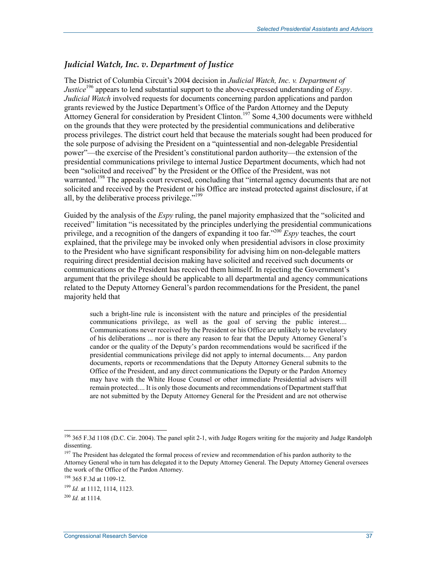#### *Judicial Watch, Inc. v. Department of Justice*

The District of Columbia Circuit's 2004 decision in *Judicial Watch, Inc. v. Department of Justice*196 appears to lend substantial support to the above-expressed understanding of *Espy*. *Judicial Watch* involved requests for documents concerning pardon applications and pardon grants reviewed by the Justice Department's Office of the Pardon Attorney and the Deputy Attorney General for consideration by President Clinton.<sup>197</sup> Some 4,300 documents were withheld on the grounds that they were protected by the presidential communications and deliberative process privileges. The district court held that because the materials sought had been produced for the sole purpose of advising the President on a "quintessential and non-delegable Presidential power"—the exercise of the President's constitutional pardon authority—the extension of the presidential communications privilege to internal Justice Department documents, which had not been "solicited and received" by the President or the Office of the President, was not warranted.<sup>198</sup> The appeals court reversed, concluding that "internal agency documents that are not solicited and received by the President or his Office are instead protected against disclosure, if at all, by the deliberative process privilege."199

Guided by the analysis of the *Espy* ruling, the panel majority emphasized that the "solicited and received" limitation "is necessitated by the principles underlying the presidential communications privilege, and a recognition of the dangers of expanding it too far."200 *Espy* teaches, the court explained, that the privilege may be invoked only when presidential advisors in close proximity to the President who have significant responsibility for advising him on non-delegable matters requiring direct presidential decision making have solicited and received such documents or communications or the President has received them himself. In rejecting the Government's argument that the privilege should be applicable to all departmental and agency communications related to the Deputy Attorney General's pardon recommendations for the President, the panel majority held that

such a bright-line rule is inconsistent with the nature and principles of the presidential communications privilege, as well as the goal of serving the public interest.... Communications never received by the President or his Office are unlikely to be revelatory of his deliberations ... nor is there any reason to fear that the Deputy Attorney General's candor or the quality of the Deputy's pardon recommendations would be sacrificed if the presidential communications privilege did not apply to internal documents.... Any pardon documents, reports or recommendations that the Deputy Attorney General submits to the Office of the President, and any direct communications the Deputy or the Pardon Attorney may have with the White House Counsel or other immediate Presidential advisers will remain protected.... It is only those documents and recommendations of Department staff that are not submitted by the Deputy Attorney General for the President and are not otherwise

<sup>&</sup>lt;sup>196</sup> 365 F.3d 1108 (D.C. Cir. 2004). The panel split 2-1, with Judge Rogers writing for the majority and Judge Randolph dissenting.

<sup>&</sup>lt;sup>197</sup> The President has delegated the formal process of review and recommendation of his pardon authority to the Attorney General who in turn has delegated it to the Deputy Attorney General. The Deputy Attorney General oversees the work of the Office of the Pardon Attorney.

<sup>198 365</sup> F.3d at 1109-12.

<sup>199</sup> *Id.* at 1112, 1114, 1123.

<sup>200</sup> *Id.* at 1114.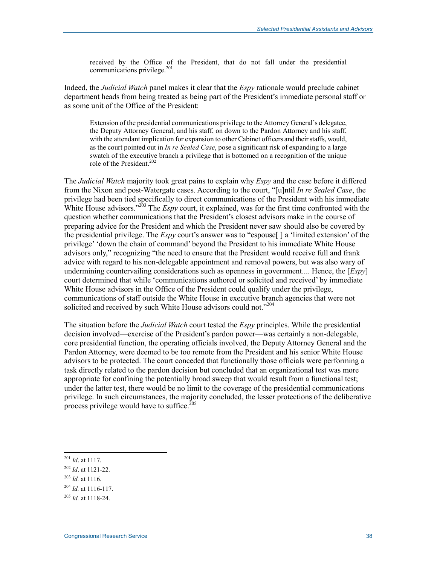received by the Office of the President, that do not fall under the presidential communications privilege. $201$ 

Indeed, the *Judicial Watch* panel makes it clear that the *Espy* rationale would preclude cabinet department heads from being treated as being part of the President's immediate personal staff or as some unit of the Office of the President:

Extension of the presidential communications privilege to the Attorney General's delegatee, the Deputy Attorney General, and his staff, on down to the Pardon Attorney and his staff, with the attendant implication for expansion to other Cabinet officers and their staffs, would, as the court pointed out in *In re Sealed Case*, pose a significant risk of expanding to a large swatch of the executive branch a privilege that is bottomed on a recognition of the unique role of the President.<sup>202</sup>

The *Judicial Watch* majority took great pains to explain why *Espy* and the case before it differed from the Nixon and post-Watergate cases. According to the court, "[u]ntil *In re Sealed Case*, the privilege had been tied specifically to direct communications of the President with his immediate White House advisors.<sup>"203</sup> The *Espy* court, it explained, was for the first time confronted with the question whether communications that the President's closest advisors make in the course of preparing advice for the President and which the President never saw should also be covered by the presidential privilege. The *Espy* court's answer was to "espouse[ ] a 'limited extension' of the privilege' 'down the chain of command' beyond the President to his immediate White House advisors only," recognizing "the need to ensure that the President would receive full and frank advice with regard to his non-delegable appointment and removal powers, but was also wary of undermining countervailing considerations such as openness in government.... Hence, the [*Espy*] court determined that while 'communications authored or solicited and received' by immediate White House advisors in the Office of the President could qualify under the privilege, communications of staff outside the White House in executive branch agencies that were not solicited and received by such White House advisors could not."<sup>204</sup>

The situation before the *Judicial Watch* court tested the *Espy* principles. While the presidential decision involved—exercise of the President's pardon power—was certainly a non-delegable, core presidential function, the operating officials involved, the Deputy Attorney General and the Pardon Attorney, were deemed to be too remote from the President and his senior White House advisors to be protected. The court conceded that functionally those officials were performing a task directly related to the pardon decision but concluded that an organizational test was more appropriate for confining the potentially broad sweep that would result from a functional test; under the latter test, there would be no limit to the coverage of the presidential communications privilege. In such circumstances, the majority concluded, the lesser protections of the deliberative process privilege would have to suffice.<sup>205</sup>

<sup>203</sup> *Id.* at 1116.

<sup>1</sup> <sup>201</sup> *Id*. at 1117.

<sup>202</sup> *Id*. at 1121-22.

<sup>204</sup> *Id.* at 1116-117.

<sup>205</sup> *Id.* at 1118-24.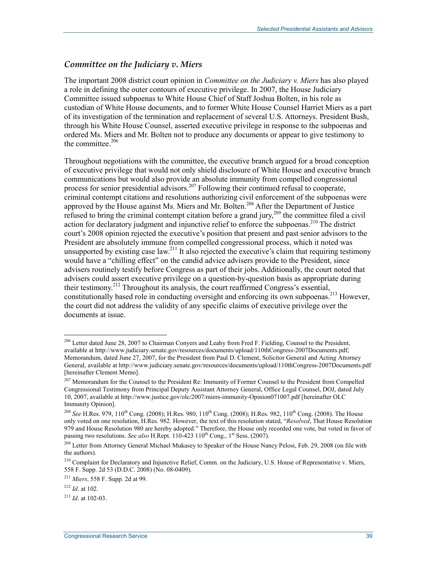#### *Committee on the Judiciary v. Miers*

The important 2008 district court opinion in *Committee on the Judiciary v. Miers* has also played a role in defining the outer contours of executive privilege. In 2007, the House Judiciary Committee issued subpoenas to White House Chief of Staff Joshua Bolten, in his role as custodian of White House documents, and to former White House Counsel Harriet Miers as a part of its investigation of the termination and replacement of several U.S. Attorneys. President Bush, through his White House Counsel, asserted executive privilege in response to the subpoenas and ordered Ms. Miers and Mr. Bolten not to produce any documents or appear to give testimony to the committee.<sup>206</sup>

Throughout negotiations with the committee, the executive branch argued for a broad conception of executive privilege that would not only shield disclosure of White House and executive branch communications but would also provide an absolute immunity from compelled congressional process for senior presidential advisors.<sup>207</sup> Following their continued refusal to cooperate, criminal contempt citations and resolutions authorizing civil enforcement of the subpoenas were approved by the House against Ms. Miers and Mr. Bolten.<sup>208</sup> After the Department of Justice refused to bring the criminal contempt citation before a grand jury,<sup>209</sup> the committee filed a civil action for declaratory judgment and injunctive relief to enforce the subpoenas.<sup>210</sup> The district court's 2008 opinion rejected the executive's position that present and past senior advisors to the President are absolutely immune from compelled congressional process, which it noted was unsupported by existing case law.<sup>211</sup> It also rejected the executive's claim that requiring testimony would have a "chilling effect" on the candid advice advisers provide to the President, since advisers routinely testify before Congress as part of their jobs. Additionally, the court noted that advisers could assert executive privilege on a question-by-question basis as appropriate during their testimony.212 Throughout its analysis, the court reaffirmed Congress's essential, constitutionally based role in conducting oversight and enforcing its own subpoenas.<sup>213</sup> However, the court did not address the validity of any specific claims of executive privilege over the documents at issue.

<sup>&</sup>lt;sup>206</sup> Letter dated June 28, 2007 to Chairman Conyers and Leahy from Fred F. Fielding, Counsel to the President, available at http://www.judiciary.senate.gov/resources/documents/upload/110thCongress-2007Documents.pdf; Memorandum, dated June 27, 2007, for the President from Paul D. Clement, Solicitor General and Acting Attorney General, available at http://www.judiciary.senate.gov/resources/documents/upload/110thCongress-2007Documents.pdf [hereinafter Clement Memo].

<sup>&</sup>lt;sup>207</sup> Memorandum for the Counsel to the President Re: Immunity of Former Counsel to the President from Compelled Congressional Testimony from Principal Deputy Assistant Attorney General, Office Legal Counsel, DOJ, dated July 10, 2007, available at http://www.justice.gov/olc/2007/miers-immunity-Opinion071007.pdf [hereinafter OLC Immunity Opinion].

<sup>&</sup>lt;sup>208</sup> *See* H.Res. 979, 110<sup>th</sup> Cong. (2008); H.Res. 980, 110<sup>th</sup> Cong. (2008); H.Res. 982, 110<sup>th</sup> Cong. (2008). The House only voted on one resolution, H.Res. 982. However, the text of this resolution stated, "*Resolved*, That House Resolution 979 and House Resolution 980 are hereby adopted." Therefore, the House only recorded one vote, but voted in favor of passing two resolutions. *See also* H.Rept. 110-423 110<sup>th</sup> Cong., 1<sup>st</sup> Sess. (2007).

<sup>&</sup>lt;sup>209</sup> Letter from Attorney General Michael Mukasey to Speaker of the House Nancy Pelosi, Feb. 29, 2008 (on file with the authors).

<sup>&</sup>lt;sup>210</sup> Complaint for Declaratory and Injunctive Relief, Comm. on the Judiciary, U.S. House of Representative v. Miers, 558 F. Supp. 2d 53 (D.D.C. 2008) (No. 08-0409).

<sup>211</sup> *Miers*, 558 F. Supp. 2d at 99.

<sup>212</sup> *Id*. at 102.

 $^{213}$  *Id.* at 102-03.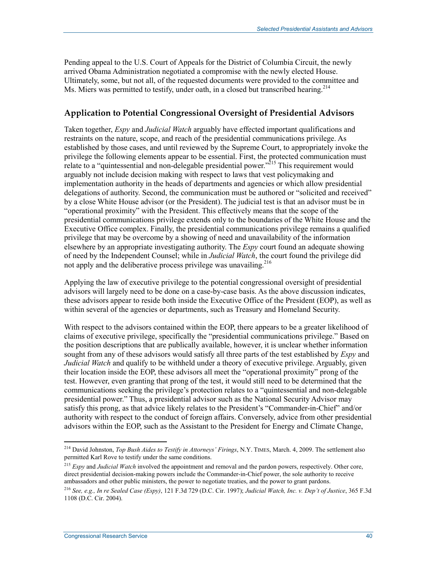Pending appeal to the U.S. Court of Appeals for the District of Columbia Circuit, the newly arrived Obama Administration negotiated a compromise with the newly elected House. Ultimately, some, but not all, of the requested documents were provided to the committee and Ms. Miers was permitted to testify, under oath, in a closed but transcribed hearing.<sup>214</sup>

#### **Application to Potential Congressional Oversight of Presidential Advisors**

Taken together, *Espy* and *Judicial Watch* arguably have effected important qualifications and restraints on the nature, scope, and reach of the presidential communications privilege. As established by those cases, and until reviewed by the Supreme Court, to appropriately invoke the privilege the following elements appear to be essential. First, the protected communication must relate to a "quintessential and non-delegable presidential power."<sup>215</sup> This requirement would arguably not include decision making with respect to laws that vest policymaking and implementation authority in the heads of departments and agencies or which allow presidential delegations of authority. Second, the communication must be authored or "solicited and received" by a close White House advisor (or the President). The judicial test is that an advisor must be in "operational proximity" with the President. This effectively means that the scope of the presidential communications privilege extends only to the boundaries of the White House and the Executive Office complex. Finally, the presidential communications privilege remains a qualified privilege that may be overcome by a showing of need and unavailability of the information elsewhere by an appropriate investigating authority. The *Espy* court found an adequate showing of need by the Independent Counsel; while in *Judicial Watch*, the court found the privilege did not apply and the deliberative process privilege was unavailing.<sup>216</sup>

Applying the law of executive privilege to the potential congressional oversight of presidential advisors will largely need to be done on a case-by-case basis. As the above discussion indicates, these advisors appear to reside both inside the Executive Office of the President (EOP), as well as within several of the agencies or departments, such as Treasury and Homeland Security.

With respect to the advisors contained within the EOP, there appears to be a greater likelihood of claims of executive privilege, specifically the "presidential communications privilege." Based on the position descriptions that are publically available, however, it is unclear whether information sought from any of these advisors would satisfy all three parts of the test established by *Espy* and *Judicial Watch* and qualify to be withheld under a theory of executive privilege. Arguably, given their location inside the EOP, these advisors all meet the "operational proximity" prong of the test. However, even granting that prong of the test, it would still need to be determined that the communications seeking the privilege's protection relates to a "quintessential and non-delegable presidential power." Thus, a presidential advisor such as the National Security Advisor may satisfy this prong, as that advice likely relates to the President's "Commander-in-Chief" and/or authority with respect to the conduct of foreign affairs. Conversely, advice from other presidential advisors within the EOP, such as the Assistant to the President for Energy and Climate Change,

<sup>214</sup> David Johnston, *Top Bush Aides to Testify in Attorneys' Firings*, N.Y. TIMES, March. 4, 2009. The settlement also permitted Karl Rove to testify under the same conditions.

<sup>215</sup> *Espy* and *Judicial Watch* involved the appointment and removal and the pardon powers, respectively. Other core, direct presidential decision-making powers include the Commander-in-Chief power, the sole authority to receive ambassadors and other public ministers, the power to negotiate treaties, and the power to grant pardons.

<sup>216</sup> *See, e.g., In re Sealed Case (Espy)*, 121 F.3d 729 (D.C. Cir. 1997); *Judicial Watch, Inc. v. Dep't of Justice*, 365 F.3d 1108 (D.C. Cir. 2004).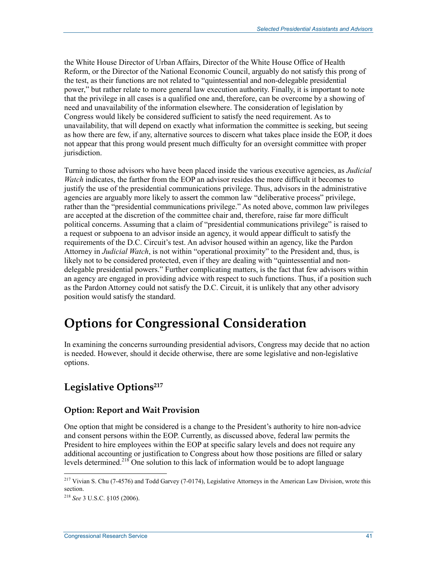the White House Director of Urban Affairs, Director of the White House Office of Health Reform, or the Director of the National Economic Council, arguably do not satisfy this prong of the test, as their functions are not related to "quintessential and non-delegable presidential power," but rather relate to more general law execution authority. Finally, it is important to note that the privilege in all cases is a qualified one and, therefore, can be overcome by a showing of need and unavailability of the information elsewhere. The consideration of legislation by Congress would likely be considered sufficient to satisfy the need requirement. As to unavailability, that will depend on exactly what information the committee is seeking, but seeing as how there are few, if any, alternative sources to discern what takes place inside the EOP, it does not appear that this prong would present much difficulty for an oversight committee with proper jurisdiction.

Turning to those advisors who have been placed inside the various executive agencies, as *Judicial Watch* indicates, the farther from the EOP an advisor resides the more difficult it becomes to justify the use of the presidential communications privilege. Thus, advisors in the administrative agencies are arguably more likely to assert the common law "deliberative process" privilege, rather than the "presidential communications privilege." As noted above, common law privileges are accepted at the discretion of the committee chair and, therefore, raise far more difficult political concerns. Assuming that a claim of "presidential communications privilege" is raised to a request or subpoena to an advisor inside an agency, it would appear difficult to satisfy the requirements of the D.C. Circuit's test. An advisor housed within an agency, like the Pardon Attorney in *Judicial Watch*, is not within "operational proximity" to the President and, thus, is likely not to be considered protected, even if they are dealing with "quintessential and nondelegable presidential powers." Further complicating matters, is the fact that few advisors within an agency are engaged in providing advice with respect to such functions. Thus, if a position such as the Pardon Attorney could not satisfy the D.C. Circuit, it is unlikely that any other advisory position would satisfy the standard.

## **Options for Congressional Consideration**

In examining the concerns surrounding presidential advisors, Congress may decide that no action is needed. However, should it decide otherwise, there are some legislative and non-legislative options.

## **Legislative Options217**

### **Option: Report and Wait Provision**

One option that might be considered is a change to the President's authority to hire non-advice and consent persons within the EOP. Currently, as discussed above, federal law permits the President to hire employees within the EOP at specific salary levels and does not require any additional accounting or justification to Congress about how those positions are filled or salary levels determined.<sup>218</sup> One solution to this lack of information would be to adopt language

<sup>&</sup>lt;sup>217</sup> Vivian S. Chu (7-4576) and Todd Garvey (7-0174), Legislative Attorneys in the American Law Division, wrote this section.

<sup>218</sup> *See* 3 U.S.C. §105 (2006).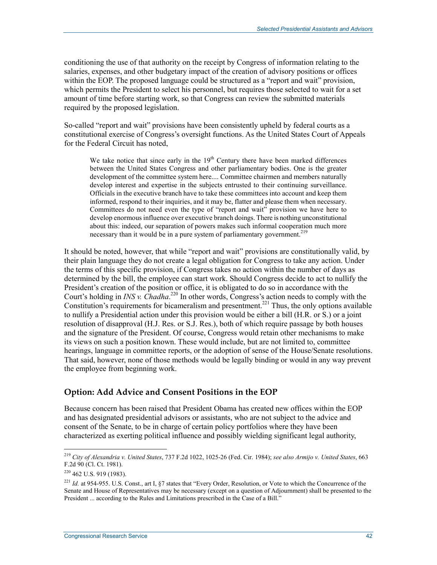conditioning the use of that authority on the receipt by Congress of information relating to the salaries, expenses, and other budgetary impact of the creation of advisory positions or offices within the EOP. The proposed language could be structured as a "report and wait" provision, which permits the President to select his personnel, but requires those selected to wait for a set amount of time before starting work, so that Congress can review the submitted materials required by the proposed legislation.

So-called "report and wait" provisions have been consistently upheld by federal courts as a constitutional exercise of Congress's oversight functions. As the United States Court of Appeals for the Federal Circuit has noted,

We take notice that since early in the  $19<sup>th</sup>$  Century there have been marked differences between the United States Congress and other parliamentary bodies. One is the greater development of the committee system here.... Committee chairmen and members naturally develop interest and expertise in the subjects entrusted to their continuing surveillance. Officials in the executive branch have to take these committees into account and keep them informed, respond to their inquiries, and it may be, flatter and please them when necessary. Committees do not need even the type of "report and wait" provision we have here to develop enormous influence over executive branch doings. There is nothing unconstitutional about this: indeed, our separation of powers makes such informal cooperation much more necessary than it would be in a pure system of parliamentary government.<sup>219</sup>

It should be noted, however, that while "report and wait" provisions are constitutionally valid, by their plain language they do not create a legal obligation for Congress to take any action. Under the terms of this specific provision, if Congress takes no action within the number of days as determined by the bill, the employee can start work. Should Congress decide to act to nullify the President's creation of the position or office, it is obligated to do so in accordance with the Court's holding in *INS v. Chadha*.<sup>220</sup> In other words, Congress's action needs to comply with the Constitution's requirements for bicameralism and presentment.<sup>221</sup> Thus, the only options available to nullify a Presidential action under this provision would be either a bill (H.R. or S.) or a joint resolution of disapproval (H.J. Res. or S.J. Res.), both of which require passage by both houses and the signature of the President. Of course, Congress would retain other mechanisms to make its views on such a position known. These would include, but are not limited to, committee hearings, language in committee reports, or the adoption of sense of the House/Senate resolutions. That said, however, none of those methods would be legally binding or would in any way prevent the employee from beginning work.

#### **Option: Add Advice and Consent Positions in the EOP**

Because concern has been raised that President Obama has created new offices within the EOP and has designated presidential advisors or assistants, who are not subject to the advice and consent of the Senate, to be in charge of certain policy portfolios where they have been characterized as exerting political influence and possibly wielding significant legal authority,

<sup>219</sup> *City of Alexandria v. United States*, 737 F.2d 1022, 1025-26 (Fed. Cir. 1984); *see also Armijo v. United States*, 663 F.2d 90 (Cl. Ct. 1981).

<sup>&</sup>lt;sup>220</sup> 462 U.S. 919 (1983).

<sup>221</sup> *Id.* at 954-955. U.S. Const., art I, §7 states that "Every Order, Resolution, or Vote to which the Concurrence of the Senate and House of Representatives may be necessary (except on a question of Adjournment) shall be presented to the President ... according to the Rules and Limitations prescribed in the Case of a Bill."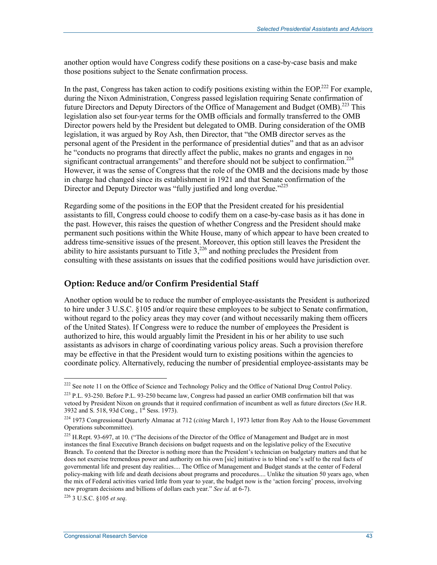another option would have Congress codify these positions on a case-by-case basis and make those positions subject to the Senate confirmation process.

In the past, Congress has taken action to codify positions existing within the EOP.<sup>222</sup> For example, during the Nixon Administration, Congress passed legislation requiring Senate confirmation of future Directors and Deputy Directors of the Office of Management and Budget (OMB).<sup>223</sup> This legislation also set four-year terms for the OMB officials and formally transferred to the OMB Director powers held by the President but delegated to OMB. During consideration of the OMB legislation, it was argued by Roy Ash, then Director, that "the OMB director serves as the personal agent of the President in the performance of presidential duties" and that as an advisor he "conducts no programs that directly affect the public, makes no grants and engages in no significant contractual arrangements" and therefore should not be subject to confirmation.<sup>224</sup> However, it was the sense of Congress that the role of the OMB and the decisions made by those in charge had changed since its establishment in 1921 and that Senate confirmation of the Director and Deputy Director was "fully justified and long overdue."<sup>225</sup>

Regarding some of the positions in the EOP that the President created for his presidential assistants to fill, Congress could choose to codify them on a case-by-case basis as it has done in the past. However, this raises the question of whether Congress and the President should make permanent such positions within the White House, many of which appear to have been created to address time-sensitive issues of the present. Moreover, this option still leaves the President the ability to hire assistants pursuant to Title  $3<sub>1</sub><sup>226</sup>$  and nothing precludes the President from consulting with these assistants on issues that the codified positions would have jurisdiction over.

#### **Option: Reduce and/or Confirm Presidential Staff**

Another option would be to reduce the number of employee-assistants the President is authorized to hire under 3 U.S.C. §105 and/or require these employees to be subject to Senate confirmation, without regard to the policy areas they may cover (and without necessarily making them officers of the United States). If Congress were to reduce the number of employees the President is authorized to hire, this would arguably limit the President in his or her ability to use such assistants as advisors in charge of coordinating various policy areas. Such a provision therefore may be effective in that the President would turn to existing positions within the agencies to coordinate policy. Alternatively, reducing the number of presidential employee-assistants may be

226 3 U.S.C. §105 *et seq*.

<sup>&</sup>lt;sup>222</sup> See note 11 on the Office of Science and Technology Policy and the Office of National Drug Control Policy.

<sup>223</sup> P.L. 93-250. Before P.L. 93-250 became law, Congress had passed an earlier OMB confirmation bill that was vetoed by President Nixon on grounds that it required confirmation of incumbent as well as future directors (*See* H.R. 3932 and S. 518, 93d Cong., 1<sup>st</sup> Sess. 1973).

<sup>224 1973</sup> Congressional Quarterly Almanac at 712 (*citing* March 1, 1973 letter from Roy Ash to the House Government Operations subcommittee).

<sup>&</sup>lt;sup>225</sup> H.Rept. 93-697, at 10. ("The decisions of the Director of the Office of Management and Budget are in most instances the final Executive Branch decisions on budget requests and on the legislative policy of the Executive Branch. To contend that the Director is nothing more than the President's technician on budgetary matters and that he does not exercise tremendous power and authority on his own [sic] initiative is to blind one's self to the real facts of governmental life and present day realities.... The Office of Management and Budget stands at the center of Federal policy-making with life and death decisions about programs and procedures.... Unlike the situation 50 years ago, when the mix of Federal activities varied little from year to year, the budget now is the 'action forcing' process, involving new program decisions and billions of dollars each year." *See id*. at 6-7).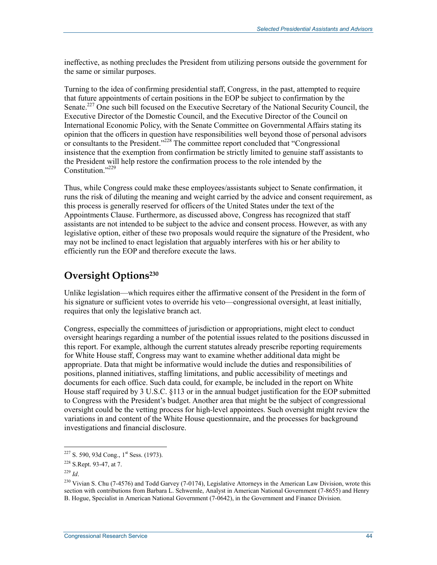ineffective, as nothing precludes the President from utilizing persons outside the government for the same or similar purposes.

Turning to the idea of confirming presidential staff, Congress, in the past, attempted to require that future appointments of certain positions in the EOP be subject to confirmation by the Senate.<sup>227</sup> One such bill focused on the Executive Secretary of the National Security Council, the Executive Director of the Domestic Council, and the Executive Director of the Council on International Economic Policy, with the Senate Committee on Governmental Affairs stating its opinion that the officers in question have responsibilities well beyond those of personal advisors or consultants to the President."228 The committee report concluded that "Congressional insistence that the exemption from confirmation be strictly limited to genuine staff assistants to the President will help restore the confirmation process to the role intended by the Constitution."229

Thus, while Congress could make these employees/assistants subject to Senate confirmation, it runs the risk of diluting the meaning and weight carried by the advice and consent requirement, as this process is generally reserved for officers of the United States under the text of the Appointments Clause. Furthermore, as discussed above, Congress has recognized that staff assistants are not intended to be subject to the advice and consent process. However, as with any legislative option, either of these two proposals would require the signature of the President, who may not be inclined to enact legislation that arguably interferes with his or her ability to efficiently run the EOP and therefore execute the laws.

### **Oversight Options230**

Unlike legislation—which requires either the affirmative consent of the President in the form of his signature or sufficient votes to override his veto—congressional oversight, at least initially, requires that only the legislative branch act.

Congress, especially the committees of jurisdiction or appropriations, might elect to conduct oversight hearings regarding a number of the potential issues related to the positions discussed in this report. For example, although the current statutes already prescribe reporting requirements for White House staff, Congress may want to examine whether additional data might be appropriate. Data that might be informative would include the duties and responsibilities of positions, planned initiatives, staffing limitations, and public accessibility of meetings and documents for each office. Such data could, for example, be included in the report on White House staff required by 3 U.S.C. §113 or in the annual budget justification for the EOP submitted to Congress with the President's budget. Another area that might be the subject of congressional oversight could be the vetting process for high-level appointees. Such oversight might review the variations in and content of the White House questionnaire, and the processes for background investigations and financial disclosure.

 $227$  S. 590, 93d Cong., 1<sup>st</sup> Sess. (1973).

<sup>228</sup> S.Rept. 93-47, at 7.

<sup>229</sup> *Id*.

<sup>&</sup>lt;sup>230</sup> Vivian S. Chu (7-4576) and Todd Garvey (7-0174), Legislative Attorneys in the American Law Division, wrote this section with contributions from Barbara L. Schwemle, Analyst in American National Government (7-8655) and Henry B. Hogue, Specialist in American National Government (7-0642), in the Government and Finance Division.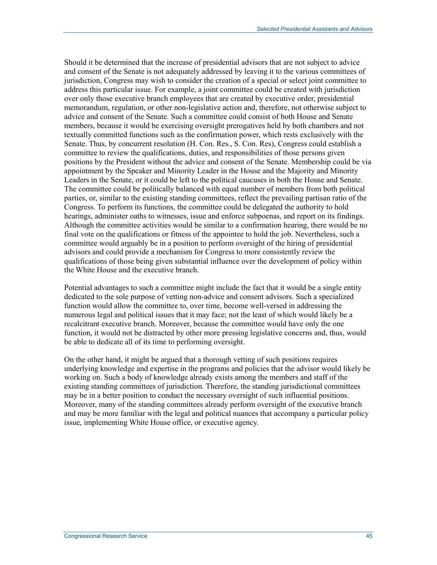Should it be determined that the increase of presidential advisors that are not subject to advice and consent of the Senate is not adequately addressed by leaving it to the various committees of jurisdiction, Congress may wish to consider the creation of a special or select joint committee to address this particular issue. For example, a joint committee could be created with jurisdiction over only those executive branch employees that are created by executive order, presidential memorandum, regulation, or other non-legislative action and, therefore, not otherwise subject to advice and consent of the Senate. Such a committee could consist of both House and Senate members, because it would be exercising oversight prerogatives held by both chambers and not textually committed functions such as the confirmation power, which rests exclusively with the Senate. Thus, by concurrent resolution (H. Con. Res., S. Con. Res), Congress could establish a committee to review the qualifications, duties, and responsibilities of those persons given positions by the President without the advice and consent of the Senate. Membership could be via appointment by the Speaker and Minority Leader in the House and the Majority and Minority Leaders in the Senate, or it could be left to the political caucuses in both the House and Senate. The committee could be politically balanced with equal number of members from both political parties, or, similar to the existing standing committees, reflect the prevailing partisan ratio of the Congress. To perform its functions, the committee could be delegated the authority to hold hearings, administer oaths to witnesses, issue and enforce subpoenas, and report on its findings. Although the committee activities would be similar to a confirmation hearing, there would be no final vote on the qualifications or fitness of the appointee to hold the job. Nevertheless, such a committee would arguably be in a position to perform oversight of the hiring of presidential advisors and could provide a mechanism for Congress to more consistently review the qualifications of those being given substantial influence over the development of policy within the White House and the executive branch.

Potential advantages to such a committee might include the fact that it would be a single entity dedicated to the sole purpose of vetting non-advice and consent advisors. Such a specialized function would allow the committee to, over time, become well-versed in addressing the numerous legal and political issues that it may face; not the least of which would likely be a recalcitrant executive branch. Moreover, because the committee would have only the one function, it would not be distracted by other more pressing legislative concerns and, thus, would be able to dedicate all of its time to performing oversight.

On the other hand, it might be argued that a thorough vetting of such positions requires underlying knowledge and expertise in the programs and policies that the advisor would likely be working on. Such a body of knowledge already exists among the members and staff of the existing standing committees of jurisdiction. Therefore, the standing jurisdictional committees may be in a better position to conduct the necessary oversight of such influential positions. Moreover, many of the standing committees already perform oversight of the executive branch and may be more familiar with the legal and political nuances that accompany a particular policy issue, implementing White House office, or executive agency.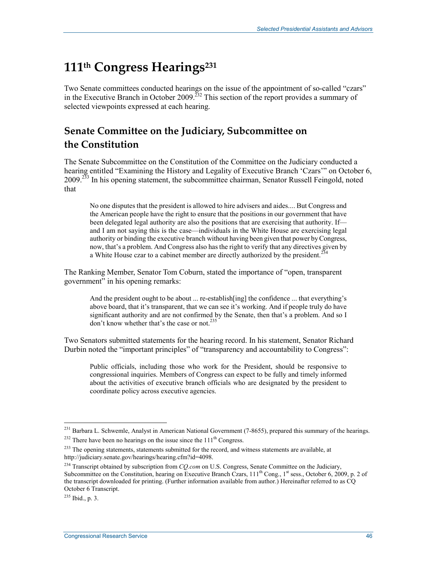## **111th Congress Hearings231**

Two Senate committees conducted hearings on the issue of the appointment of so-called "czars" in the Executive Branch in October 2009.<sup>232</sup> This section of the report provides a summary of selected viewpoints expressed at each hearing.

## **Senate Committee on the Judiciary, Subcommittee on the Constitution**

The Senate Subcommittee on the Constitution of the Committee on the Judiciary conducted a hearing entitled "Examining the History and Legality of Executive Branch 'Czars'" on October 6, 2009.<sup>233</sup> In his opening statement, the subcommittee chairman, Senator Russell Feingold, noted that

No one disputes that the president is allowed to hire advisers and aides.... But Congress and the American people have the right to ensure that the positions in our government that have been delegated legal authority are also the positions that are exercising that authority. If and I am not saying this is the case—individuals in the White House are exercising legal authority or binding the executive branch without having been given that power by Congress, now, that's a problem. And Congress also has the right to verify that any directives given by a White House czar to a cabinet member are directly authorized by the president.<sup>2</sup>

The Ranking Member, Senator Tom Coburn, stated the importance of "open, transparent government" in his opening remarks:

And the president ought to be about ... re-establish[ing] the confidence ... that everything's above board, that it's transparent, that we can see it's working. And if people truly do have significant authority and are not confirmed by the Senate, then that's a problem. And so I don't know whether that's the case or not.<sup>235</sup>

Two Senators submitted statements for the hearing record. In his statement, Senator Richard Durbin noted the "important principles" of "transparency and accountability to Congress":

Public officials, including those who work for the President, should be responsive to congressional inquiries. Members of Congress can expect to be fully and timely informed about the activities of executive branch officials who are designated by the president to coordinate policy across executive agencies.

<sup>1</sup> <sup>231</sup> Barbara L. Schwemle, Analyst in American National Government (7-8655), prepared this summary of the hearings.

 $232$  There have been no hearings on the issue since the  $111<sup>th</sup>$  Congress.

<sup>&</sup>lt;sup>233</sup> The opening statements, statements submitted for the record, and witness statements are available, at http://judiciary.senate.gov/hearings/hearing.cfm?id=4098.

<sup>&</sup>lt;sup>234</sup> Transcript obtained by subscription from *CQ.com* on U.S. Congress, Senate Committee on the Judiciary, Subcommittee on the Constitution, hearing on Executive Branch Czars, 111<sup>th</sup> Cong., 1<sup>st</sup> sess., October 6, 2009, p. 2 of the transcript downloaded for printing. (Further information available from author.) Hereinafter referred to as CQ October 6 Transcript.

 $^{235}$  Ibid., p. 3.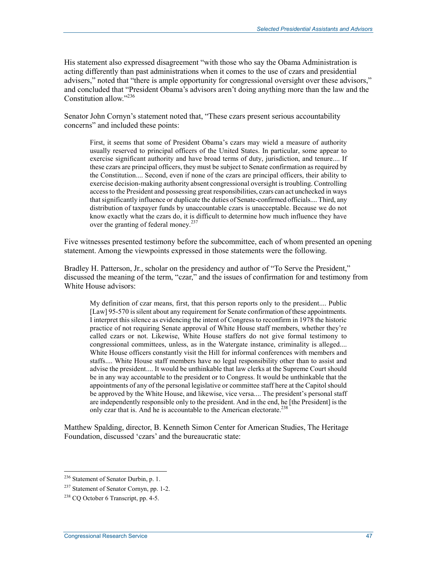His statement also expressed disagreement "with those who say the Obama Administration is acting differently than past administrations when it comes to the use of czars and presidential advisers," noted that "there is ample opportunity for congressional oversight over these advisors," and concluded that "President Obama's advisors aren't doing anything more than the law and the Constitution allow<sup>"236</sup>

Senator John Cornyn's statement noted that, "These czars present serious accountability concerns" and included these points:

First, it seems that some of President Obama's czars may wield a measure of authority usually reserved to principal officers of the United States. In particular, some appear to exercise significant authority and have broad terms of duty, jurisdiction, and tenure.... If these czars are principal officers, they must be subject to Senate confirmation as required by the Constitution.... Second, even if none of the czars are principal officers, their ability to exercise decision-making authority absent congressional oversight is troubling. Controlling access to the President and possessing great responsibilities, czars can act unchecked in ways that significantly influence or duplicate the duties of Senate-confirmed officials.... Third, any distribution of taxpayer funds by unaccountable czars is unacceptable. Because we do not know exactly what the czars do, it is difficult to determine how much influence they have over the granting of federal money.<sup>237</sup>

Five witnesses presented testimony before the subcommittee, each of whom presented an opening statement. Among the viewpoints expressed in those statements were the following.

Bradley H. Patterson, Jr., scholar on the presidency and author of "To Serve the President," discussed the meaning of the term, "czar," and the issues of confirmation for and testimony from White House advisors:

My definition of czar means, first, that this person reports only to the president.... Public [Law] 95-570 is silent about any requirement for Senate confirmation of these appointments. I interpret this silence as evidencing the intent of Congress to reconfirm in 1978 the historic practice of not requiring Senate approval of White House staff members, whether they're called czars or not. Likewise, White House staffers do not give formal testimony to congressional committees, unless, as in the Watergate instance, criminality is alleged.... White House officers constantly visit the Hill for informal conferences with members and staffs.... White House staff members have no legal responsibility other than to assist and advise the president.... It would be unthinkable that law clerks at the Supreme Court should be in any way accountable to the president or to Congress. It would be unthinkable that the appointments of any of the personal legislative or committee staff here at the Capitol should be approved by the White House, and likewise, vice versa.... The president's personal staff are independently responsible only to the president. And in the end, he [the President] is the only czar that is. And he is accountable to the American electorate.<sup>238</sup>

Matthew Spalding, director, B. Kenneth Simon Center for American Studies, The Heritage Foundation, discussed 'czars' and the bureaucratic state:

<sup>&</sup>lt;sup>236</sup> Statement of Senator Durbin, p. 1.

<sup>237</sup> Statement of Senator Cornyn, pp. 1-2.

 $238$  CO October 6 Transcript, pp. 4-5.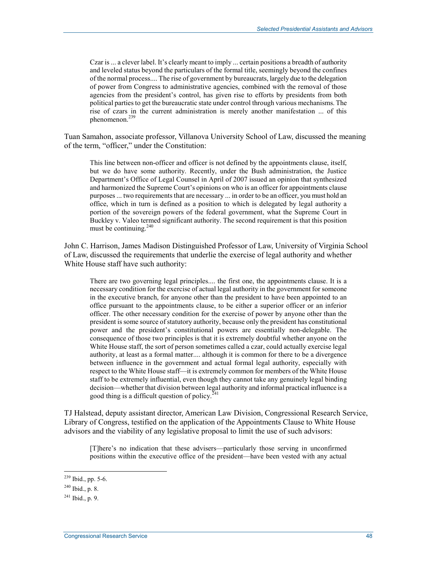Czar is ... a clever label. It's clearly meant to imply ... certain positions a breadth of authority and leveled status beyond the particulars of the formal title, seemingly beyond the confines of the normal process.... The rise of government by bureaucrats, largely due to the delegation of power from Congress to administrative agencies, combined with the removal of those agencies from the president's control, has given rise to efforts by presidents from both political parties to get the bureaucratic state under control through various mechanisms. The rise of czars in the current administration is merely another manifestation ... of this  $n$ henomenon<sup>239</sup>

Tuan Samahon, associate professor, Villanova University School of Law, discussed the meaning of the term, "officer," under the Constitution:

This line between non-officer and officer is not defined by the appointments clause, itself, but we do have some authority. Recently, under the Bush administration, the Justice Department's Office of Legal Counsel in April of 2007 issued an opinion that synthesized and harmonized the Supreme Court's opinions on who is an officer for appointments clause purposes ... two requirements that are necessary ... in order to be an officer, you must hold an office, which in turn is defined as a position to which is delegated by legal authority a portion of the sovereign powers of the federal government, what the Supreme Court in Buckley v. Valeo termed significant authority. The second requirement is that this position must be continuing.<sup>240</sup>

John C. Harrison, James Madison Distinguished Professor of Law, University of Virginia School of Law, discussed the requirements that underlie the exercise of legal authority and whether White House staff have such authority:

There are two governing legal principles.... the first one, the appointments clause. It is a necessary condition for the exercise of actual legal authority in the government for someone in the executive branch, for anyone other than the president to have been appointed to an office pursuant to the appointments clause, to be either a superior officer or an inferior officer. The other necessary condition for the exercise of power by anyone other than the president is some source of statutory authority, because only the president has constitutional power and the president's constitutional powers are essentially non-delegable. The consequence of those two principles is that it is extremely doubtful whether anyone on the White House staff, the sort of person sometimes called a czar, could actually exercise legal authority, at least as a formal matter.... although it is common for there to be a divergence between influence in the government and actual formal legal authority, especially with respect to the White House staff—it is extremely common for members of the White House staff to be extremely influential, even though they cannot take any genuinely legal binding decision—whether that division between legal authority and informal practical influence is a good thing is a difficult question of policy.<sup>2</sup>

TJ Halstead, deputy assistant director, American Law Division, Congressional Research Service, Library of Congress, testified on the application of the Appointments Clause to White House advisors and the viability of any legislative proposal to limit the use of such advisors:

[T]here's no indication that these advisers—particularly those serving in unconfirmed positions within the executive office of the president—have been vested with any actual

<sup>&</sup>lt;sup>239</sup> Ibid., pp. 5-6.

<sup>240</sup> Ibid., p. 8.

 $^{241}$  Ibid., p. 9.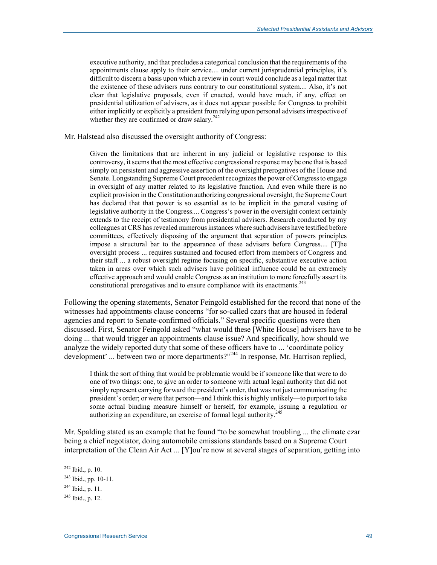executive authority, and that precludes a categorical conclusion that the requirements of the appointments clause apply to their service.... under current jurisprudential principles, it's difficult to discern a basis upon which a review in court would conclude as a legal matter that the existence of these advisers runs contrary to our constitutional system.... Also, it's not clear that legislative proposals, even if enacted, would have much, if any, effect on presidential utilization of advisers, as it does not appear possible for Congress to prohibit either implicitly or explicitly a president from relying upon personal advisers irrespective of whether they are confirmed or draw salary. $242$ 

#### Mr. Halstead also discussed the oversight authority of Congress:

Given the limitations that are inherent in any judicial or legislative response to this controversy, it seems that the most effective congressional response may be one that is based simply on persistent and aggressive assertion of the oversight prerogatives of the House and Senate. Longstanding Supreme Court precedent recognizes the power of Congress to engage in oversight of any matter related to its legislative function. And even while there is no explicit provision in the Constitution authorizing congressional oversight, the Supreme Court has declared that that power is so essential as to be implicit in the general vesting of legislative authority in the Congress.... Congress's power in the oversight context certainly extends to the receipt of testimony from presidential advisers. Research conducted by my colleagues at CRS has revealed numerous instances where such advisers have testified before committees, effectively disposing of the argument that separation of powers principles impose a structural bar to the appearance of these advisers before Congress.... [T]he oversight process ... requires sustained and focused effort from members of Congress and their staff ... a robust oversight regime focusing on specific, substantive executive action taken in areas over which such advisers have political influence could be an extremely effective approach and would enable Congress as an institution to more forcefully assert its constitutional prerogatives and to ensure compliance with its enactments.<sup>243</sup>

Following the opening statements, Senator Feingold established for the record that none of the witnesses had appointments clause concerns "for so-called czars that are housed in federal agencies and report to Senate-confirmed officials." Several specific questions were then discussed. First, Senator Feingold asked "what would these [White House] advisers have to be doing ... that would trigger an appointments clause issue? And specifically, how should we analyze the widely reported duty that some of these officers have to ... 'coordinate policy development' ... between two or more departments?"<sup>244</sup> In response, Mr. Harrison replied,

I think the sort of thing that would be problematic would be if someone like that were to do one of two things: one, to give an order to someone with actual legal authority that did not simply represent carrying forward the president's order, that was not just communicating the president's order; or were that person—and I think this is highly unlikely—to purport to take some actual binding measure himself or herself, for example, issuing a regulation or authorizing an expenditure, an exercise of formal legal authority.<sup>245</sup>

Mr. Spalding stated as an example that he found "to be somewhat troubling ... the climate czar being a chief negotiator, doing automobile emissions standards based on a Supreme Court interpretation of the Clean Air Act ... [Y]ou're now at several stages of separation, getting into

 $242$  Ibid., p. 10.

<sup>243</sup> Ibid., pp. 10-11.

 $^{244}$  Ibid., p. 11.

 $^{245}$  Ibid., p. 12.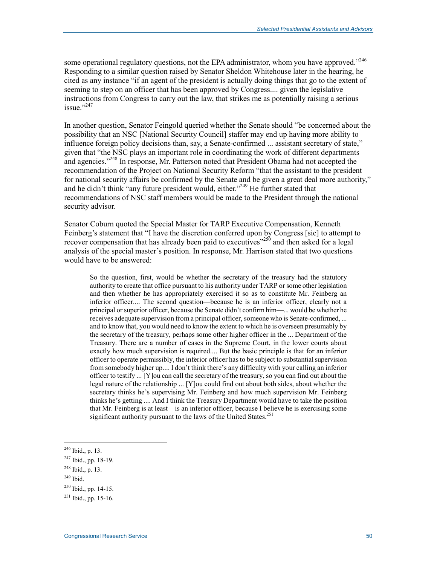some operational regulatory questions, not the EPA administrator, whom you have approved."<sup>246</sup> Responding to a similar question raised by Senator Sheldon Whitehouse later in the hearing, he cited as any instance "if an agent of the president is actually doing things that go to the extent of seeming to step on an officer that has been approved by Congress.... given the legislative instructions from Congress to carry out the law, that strikes me as potentially raising a serious issue $"$ <sup>247</sup>

In another question, Senator Feingold queried whether the Senate should "be concerned about the possibility that an NSC [National Security Council] staffer may end up having more ability to influence foreign policy decisions than, say, a Senate-confirmed ... assistant secretary of state," given that "the NSC plays an important role in coordinating the work of different departments and agencies."<sup>248</sup> In response, Mr. Patterson noted that President Obama had not accepted the recommendation of the Project on National Security Reform "that the assistant to the president for national security affairs be confirmed by the Senate and be given a great deal more authority," and he didn't think "any future president would, either."<sup>249</sup> He further stated that recommendations of NSC staff members would be made to the President through the national security advisor.

Senator Coburn quoted the Special Master for TARP Executive Compensation, Kenneth Feinberg's statement that "I have the discretion conferred upon by Congress [sic] to attempt to recover compensation that has already been paid to executives $\frac{1}{250}$  and then asked for a legal analysis of the special master's position. In response, Mr. Harrison stated that two questions would have to be answered:

So the question, first, would be whether the secretary of the treasury had the statutory authority to create that office pursuant to his authority under TARP or some other legislation and then whether he has appropriately exercised it so as to constitute Mr. Feinberg an inferior officer.... The second question—because he is an inferior officer, clearly not a principal or superior officer, because the Senate didn't confirm him—... would be whether he receives adequate supervision from a principal officer, someone who is Senate-confirmed, ... and to know that, you would need to know the extent to which he is overseen presumably by the secretary of the treasury, perhaps some other higher officer in the ... Department of the Treasury. There are a number of cases in the Supreme Court, in the lower courts about exactly how much supervision is required.... But the basic principle is that for an inferior officer to operate permissibly, the inferior officer has to be subject to substantial supervision from somebody higher up.... I don't think there's any difficulty with your calling an inferior officer to testify ... [Y]ou can call the secretary of the treasury, so you can find out about the legal nature of the relationship ... [Y]ou could find out about both sides, about whether the secretary thinks he's supervising Mr. Feinberg and how much supervision Mr. Feinberg thinks he's getting .... And I think the Treasury Department would have to take the position that Mr. Feinberg is at least—is an inferior officer, because I believe he is exercising some significant authority pursuant to the laws of the United States.<sup>251</sup>

<sup>246</sup> Ibid., p. 13.

<sup>247</sup> Ibid., pp. 18-19.

 $248$  Ibid., p. 13.

<sup>249</sup> Ibid.

<sup>250</sup> Ibid., pp. 14-15.

 $^{251}$  Ibid., pp. 15-16.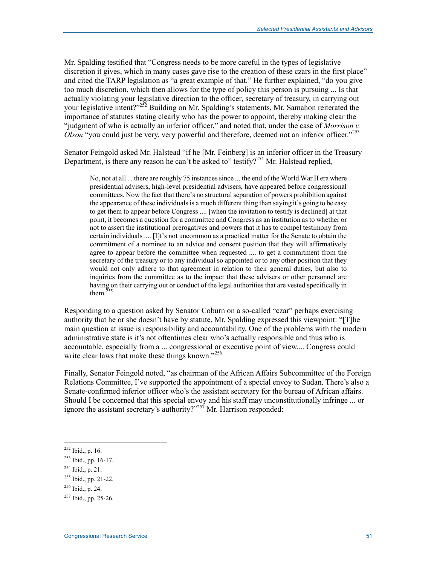Mr. Spalding testified that "Congress needs to be more careful in the types of legislative discretion it gives, which in many cases gave rise to the creation of these czars in the first place" and cited the TARP legislation as "a great example of that." He further explained, "do you give too much discretion, which then allows for the type of policy this person is pursuing ... Is that actually violating your legislative direction to the officer, secretary of treasury, in carrying out your legislative intent?"<sup>252</sup> Building on Mr. Spalding's statements, Mr. Samahon reiterated the importance of statutes stating clearly who has the power to appoint, thereby making clear the "judgment of who is actually an inferior officer," and noted that, under the case of *Morrison v. Olson* "you could just be very, very powerful and therefore, deemed not an inferior officer."<sup>253</sup>

Senator Feingold asked Mr. Halstead "if he [Mr. Feinberg] is an inferior officer in the Treasury Department, is there any reason he can't be asked to" testify?<sup>254</sup> Mr. Halstead replied,

No, not at all ... there are roughly 75 instances since ... the end of the World War II era where presidential advisers, high-level presidential advisers, have appeared before congressional committees. Now the fact that there's no structural separation of powers prohibition against the appearance of these individuals is a much different thing than saying it's going to be easy to get them to appear before Congress .... [when the invitation to testify is declined] at that point, it becomes a question for a committee and Congress as an institution as to whether or not to assert the institutional prerogatives and powers that it has to compel testimony from certain individuals .... [I]t's not uncommon as a practical matter for the Senate to obtain the commitment of a nominee to an advice and consent position that they will affirmatively agree to appear before the committee when requested .... to get a commitment from the secretary of the treasury or to any individual so appointed or to any other position that they would not only adhere to that agreement in relation to their general duties, but also to inquiries from the committee as to the impact that these advisers or other personnel are having on their carrying out or conduct of the legal authorities that are vested specifically in them. $255$ 

Responding to a question asked by Senator Coburn on a so-called "czar" perhaps exercising authority that he or she doesn't have by statute, Mr. Spalding expressed this viewpoint: "[T]he main question at issue is responsibility and accountability. One of the problems with the modern administrative state is it's not oftentimes clear who's actually responsible and thus who is accountable, especially from a ... congressional or executive point of view.... Congress could write clear laws that make these things known."<sup>256</sup>

Finally, Senator Feingold noted, "as chairman of the African Affairs Subcommittee of the Foreign Relations Committee, I've supported the appointment of a special envoy to Sudan. There's also a Senate-confirmed inferior officer who's the assistant secretary for the bureau of African affairs. Should I be concerned that this special envoy and his staff may unconstitutionally infringe ... or ignore the assistant secretary's authority? $v^{257}$  Mr. Harrison responded:

<sup>252</sup> Ibid., p. 16.

<sup>253</sup> Ibid., pp. 16-17.

 $254$  Ibid., p. 21.

<sup>255</sup> Ibid., pp. 21-22.

<sup>256</sup> Ibid., p. 24.

 $257$  Ibid., pp. 25-26.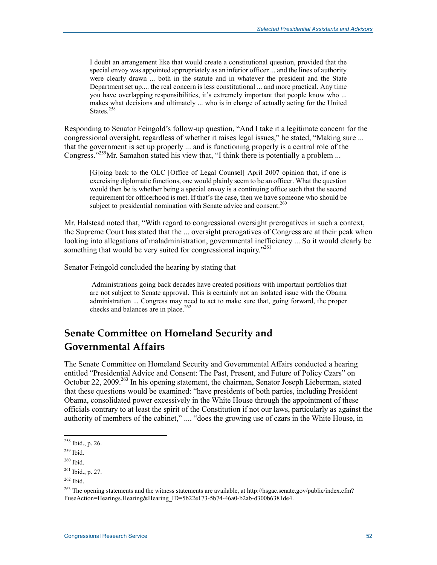I doubt an arrangement like that would create a constitutional question, provided that the special envoy was appointed appropriately as an inferior officer ... and the lines of authority were clearly drawn ... both in the statute and in whatever the president and the State Department set up.... the real concern is less constitutional ... and more practical. Any time you have overlapping responsibilities, it's extremely important that people know who ... makes what decisions and ultimately ... who is in charge of actually acting for the United States.<sup>258</sup>

Responding to Senator Feingold's follow-up question, "And I take it a legitimate concern for the congressional oversight, regardless of whether it raises legal issues," he stated, "Making sure ... that the government is set up properly ... and is functioning properly is a central role of the Congress."<sup>259</sup>Mr. Samahon stated his view that, "I think there is potentially a problem ...

[G]oing back to the OLC [Office of Legal Counsel] April 2007 opinion that, if one is exercising diplomatic functions, one would plainly seem to be an officer. What the question would then be is whether being a special envoy is a continuing office such that the second requirement for officerhood is met. If that's the case, then we have someone who should be subject to presidential nomination with Senate advice and consent.<sup>260</sup>

Mr. Halstead noted that, "With regard to congressional oversight prerogatives in such a context, the Supreme Court has stated that the ... oversight prerogatives of Congress are at their peak when looking into allegations of maladministration, governmental inefficiency ... So it would clearly be something that would be very suited for congressional inquiry."<sup>261</sup>

Senator Feingold concluded the hearing by stating that

 Administrations going back decades have created positions with important portfolios that are not subject to Senate approval. This is certainly not an isolated issue with the Obama administration ... Congress may need to act to make sure that, going forward, the proper checks and balances are in place.<sup>262</sup>

## **Senate Committee on Homeland Security and Governmental Affairs**

The Senate Committee on Homeland Security and Governmental Affairs conducted a hearing entitled "Presidential Advice and Consent: The Past, Present, and Future of Policy Czars" on October 22, 2009.<sup>263</sup> In his opening statement, the chairman, Senator Joseph Lieberman, stated that these questions would be examined: "have presidents of both parties, including President Obama, consolidated power excessively in the White House through the appointment of these officials contrary to at least the spirit of the Constitution if not our laws, particularly as against the authority of members of the cabinet," .... "does the growing use of czars in the White House, in

 $258$  Ibid., p. 26.

<sup>259</sup> Ibid.

 $260$  Ibid.

 $^{261}$  Ibid., p. 27.

 $262$  Ibid.

<sup>&</sup>lt;sup>263</sup> The opening statements and the witness statements are available, at http://hsgac.senate.gov/public/index.cfm? FuseAction=Hearings.Hearing&Hearing\_ID=5b22e173-5b74-46a0-b2ab-d300b6381de4.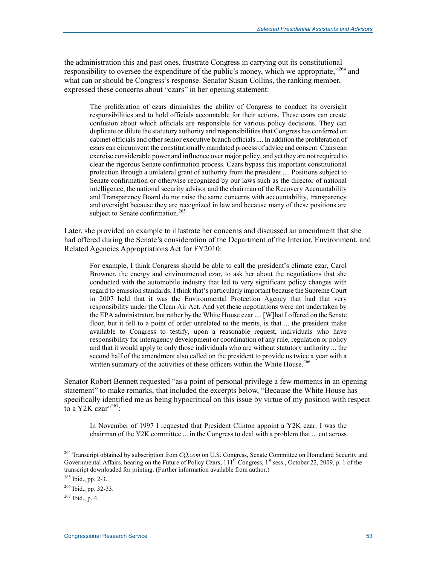the administration this and past ones, frustrate Congress in carrying out its constitutional responsibility to oversee the expenditure of the public's money, which we appropriate,<sup>"264</sup> and what can or should be Congress's response. Senator Susan Collins, the ranking member, expressed these concerns about "czars" in her opening statement:

The proliferation of czars diminishes the ability of Congress to conduct its oversight responsibilities and to hold officials accountable for their actions. These czars can create confusion about which officials are responsible for various policy decisions. They can duplicate or dilute the statutory authority and responsibilities that Congress has conferred on cabinet officials and other senior executive branch officials .... In addition the proliferation of czars can circumvent the constitutionally mandated process of advice and consent. Czars can exercise considerable power and influence over major policy, and yet they are not required to clear the rigorous Senate confirmation process. Czars bypass this important constitutional protection through a unilateral grant of authority from the president .... Positions subject to Senate confirmation or otherwise recognized by our laws such as the director of national intelligence, the national security advisor and the chairman of the Recovery Accountability and Transparency Board do not raise the same concerns with accountability, transparency and oversight because they are recognized in law and because many of these positions are subject to Senate confirmation.<sup>265</sup>

Later, she provided an example to illustrate her concerns and discussed an amendment that she had offered during the Senate's consideration of the Department of the Interior, Environment, and Related Agencies Appropriations Act for FY2010:

For example, I think Congress should be able to call the president's climate czar, Carol Browner, the energy and environmental czar, to ask her about the negotiations that she conducted with the automobile industry that led to very significant policy changes with regard to emission standards. I think that's particularly important because the Supreme Court in 2007 held that it was the Environmental Protection Agency that had that very responsibility under the Clean Air Act. And yet these negotiations were not undertaken by the EPA administrator, but rather by the White House czar .... [W]hat I offered on the Senate floor, but it fell to a point of order unrelated to the merits, is that ... the president make available to Congress to testify, upon a reasonable request, individuals who have responsibility for interagency development or coordination of any rule, regulation or policy and that it would apply to only those individuals who are without statutory authority ... the second half of the amendment also called on the president to provide us twice a year with a written summary of the activities of these officers within the White House.<sup>266</sup>

Senator Robert Bennett requested "as a point of personal privilege a few moments in an opening statement" to make remarks, that included the excerpts below, "Because the White House has specifically identified me as being hypocritical on this issue by virtue of my position with respect to a Y2K czar"<sup>267</sup>:

In November of 1997 I requested that President Clinton appoint a Y2K czar. I was the chairman of the Y2K committee ... in the Congress to deal with a problem that ... cut across

<sup>264</sup> Transcript obtained by subscription from *CQ.com* on U.S. Congress, Senate Committee on Homeland Security and Governmental Affairs, hearing on the Future of Policy Czars, 111<sup>th</sup> Congress, 1<sup>st</sup> sess., October 22, 2009, p. 1 of the transcript downloaded for printing. (Further information available from author.)

<sup>265</sup> Ibid., pp. 2-3.

<sup>266</sup> Ibid., pp. 32-33.

 $^{267}$  Ibid., p. 4.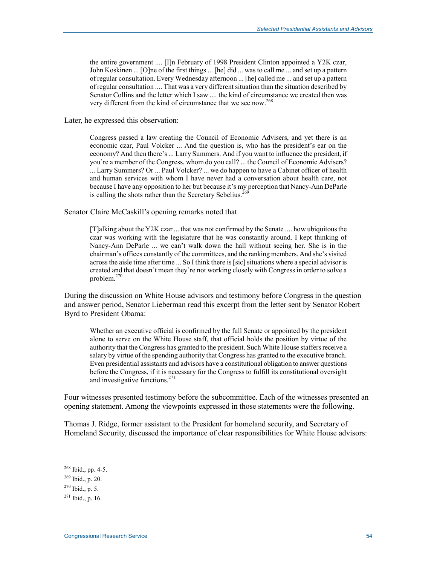the entire government .... [I]n February of 1998 President Clinton appointed a Y2K czar, John Koskinen ... [O]ne of the first things ... [he] did ... was to call me ... and set up a pattern of regular consultation. Every Wednesday afternoon ... [he] called me ... and set up a pattern of regular consultation .... That was a very different situation than the situation described by Senator Collins and the letter which I saw .... the kind of circumstance we created then was very different from the kind of circumstance that we see now.<sup>268</sup>

Later, he expressed this observation:

Congress passed a law creating the Council of Economic Advisers, and yet there is an economic czar, Paul Volcker ... And the question is, who has the president's ear on the economy? And then there's ... Larry Summers. And if you want to influence the president, if you're a member of the Congress, whom do you call? ... the Council of Economic Advisers? ... Larry Summers? Or ... Paul Volcker? ... we do happen to have a Cabinet officer of health and human services with whom I have never had a conversation about health care, not because I have any opposition to her but because it's my perception that Nancy-Ann DeParle is calling the shots rather than the Secretary Sebelius.<sup>269</sup>

Senator Claire McCaskill's opening remarks noted that

[T]alking about the Y2K czar ... that was not confirmed by the Senate .... how ubiquitous the czar was working with the legislature that he was constantly around. I kept thinking of Nancy-Ann DeParle ... we can't walk down the hall without seeing her. She is in the chairman's offices constantly of the committees, and the ranking members. And she's visited across the aisle time after time ... So I think there is [sic] situations where a special advisor is created and that doesn't mean they're not working closely with Congress in order to solve a problem.<sup>270</sup>

During the discussion on White House advisors and testimony before Congress in the question and answer period, Senator Lieberman read this excerpt from the letter sent by Senator Robert Byrd to President Obama:

Whether an executive official is confirmed by the full Senate or appointed by the president alone to serve on the White House staff, that official holds the position by virtue of the authority that the Congress has granted to the president. Such White House staffers receive a salary by virtue of the spending authority that Congress has granted to the executive branch. Even presidential assistants and advisors have a constitutional obligation to answer questions before the Congress, if it is necessary for the Congress to fulfill its constitutional oversight and investigative functions.<sup>271</sup>

Four witnesses presented testimony before the subcommittee. Each of the witnesses presented an opening statement. Among the viewpoints expressed in those statements were the following.

Thomas J. Ridge, former assistant to the President for homeland security, and Secretary of Homeland Security, discussed the importance of clear responsibilities for White House advisors:

 $268$  Ibid., pp. 4-5.

<sup>269</sup> Ibid., p. 20.

 $270$  Ibid., p. 5.

 $271$  Ibid., p. 16.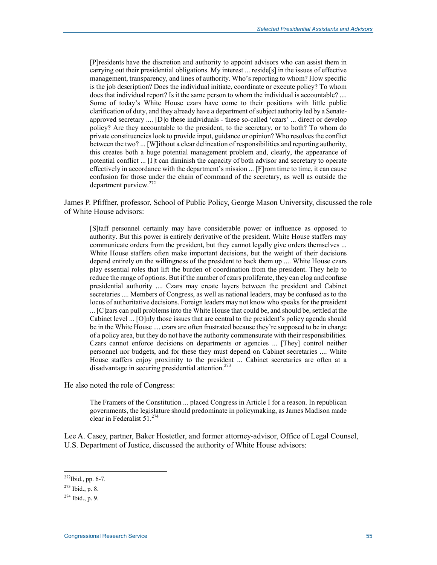[P]residents have the discretion and authority to appoint advisors who can assist them in carrying out their presidential obligations. My interest ... reside[s] in the issues of effective management, transparency, and lines of authority. Who's reporting to whom? How specific is the job description? Does the individual initiate, coordinate or execute policy? To whom does that individual report? Is it the same person to whom the individual is accountable? .... Some of today's White House czars have come to their positions with little public clarification of duty, and they already have a department of subject authority led by a Senateapproved secretary .... [D]o these individuals - these so-called 'czars' ... direct or develop policy? Are they accountable to the president, to the secretary, or to both? To whom do private constituencies look to provide input, guidance or opinion? Who resolves the conflict between the two? ... [W]ithout a clear delineation of responsibilities and reporting authority, this creates both a huge potential management problem and, clearly, the appearance of potential conflict ... [I]t can diminish the capacity of both advisor and secretary to operate effectively in accordance with the department's mission ... [F]rom time to time, it can cause confusion for those under the chain of command of the secretary, as well as outside the department purview.<sup>272</sup>

James P. Pfiffner, professor, School of Public Policy, George Mason University, discussed the role of White House advisors:

[S]taff personnel certainly may have considerable power or influence as opposed to authority. But this power is entirely derivative of the president. White House staffers may communicate orders from the president, but they cannot legally give orders themselves ... White House staffers often make important decisions, but the weight of their decisions depend entirely on the willingness of the president to back them up .... White House czars play essential roles that lift the burden of coordination from the president. They help to reduce the range of options. But if the number of czars proliferate, they can clog and confuse presidential authority .... Czars may create layers between the president and Cabinet secretaries .... Members of Congress, as well as national leaders, may be confused as to the locus of authoritative decisions. Foreign leaders may not know who speaks for the president ... [C]zars can pull problems into the White House that could be, and should be, settled at the Cabinet level ... [O]nly those issues that are central to the president's policy agenda should be in the White House .... czars are often frustrated because they're supposed to be in charge of a policy area, but they do not have the authority commensurate with their responsibilities. Czars cannot enforce decisions on departments or agencies ... [They] control neither personnel nor budgets, and for these they must depend on Cabinet secretaries .... White House staffers enjoy proximity to the president ... Cabinet secretaries are often at a disadvantage in securing presidential attention.<sup>273</sup>

He also noted the role of Congress:

The Framers of the Constitution ... placed Congress in Article I for a reason. In republican governments, the legislature should predominate in policymaking, as James Madison made clear in Federalist 51.<sup>274</sup>

Lee A. Casey, partner, Baker Hostetler, and former attorney-advisor, Office of Legal Counsel, U.S. Department of Justice, discussed the authority of White House advisors:

 $^{272}$ Ibid., pp. 6-7.

<sup>273</sup> Ibid., p. 8.

 $^{274}$  Ibid., p. 9.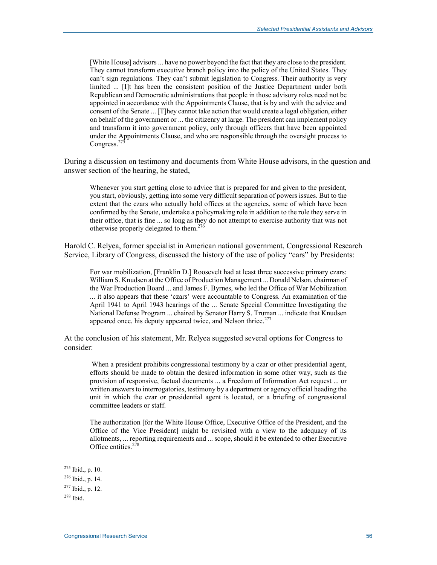[White House] advisors ... have no power beyond the fact that they are close to the president. They cannot transform executive branch policy into the policy of the United States. They can't sign regulations. They can't submit legislation to Congress. Their authority is very limited ... [I]t has been the consistent position of the Justice Department under both Republican and Democratic administrations that people in those advisory roles need not be appointed in accordance with the Appointments Clause, that is by and with the advice and consent of the Senate ... [T]hey cannot take action that would create a legal obligation, either on behalf of the government or ... the citizenry at large. The president can implement policy and transform it into government policy, only through officers that have been appointed under the Appointments Clause, and who are responsible through the oversight process to Congress. $27$ 

During a discussion on testimony and documents from White House advisors, in the question and answer section of the hearing, he stated,

Whenever you start getting close to advice that is prepared for and given to the president, you start, obviously, getting into some very difficult separation of powers issues. But to the extent that the czars who actually hold offices at the agencies, some of which have been confirmed by the Senate, undertake a policymaking role in addition to the role they serve in their office, that is fine ... so long as they do not attempt to exercise authority that was not otherwise properly delegated to them.<sup>276</sup>

Harold C. Relyea, former specialist in American national government, Congressional Research Service, Library of Congress, discussed the history of the use of policy "cars" by Presidents:

For war mobilization, [Franklin D.] Roosevelt had at least three successive primary czars: William S. Knudsen at the Office of Production Management ... Donald Nelson, chairman of the War Production Board ... and James F. Byrnes, who led the Office of War Mobilization ... it also appears that these 'czars' were accountable to Congress. An examination of the April 1941 to April 1943 hearings of the ... Senate Special Committee Investigating the National Defense Program ... chaired by Senator Harry S. Truman ... indicate that Knudsen appeared once, his deputy appeared twice, and Nelson thrice.<sup>277</sup>

At the conclusion of his statement, Mr. Relyea suggested several options for Congress to consider:

 When a president prohibits congressional testimony by a czar or other presidential agent, efforts should be made to obtain the desired information in some other way, such as the provision of responsive, factual documents ... a Freedom of Information Act request ... or written answers to interrogatories, testimony by a department or agency official heading the unit in which the czar or presidential agent is located, or a briefing of congressional committee leaders or staff.

The authorization [for the White House Office, Executive Office of the President, and the Office of the Vice President] might be revisited with a view to the adequacy of its allotments, ... reporting requirements and ... scope, should it be extended to other Executive Office entities.<sup>278</sup>

 $275$  Ibid., p. 10.

<sup>276</sup> Ibid., p. 14.

 $277$  Ibid., p. 12.

 $278$  Ibid.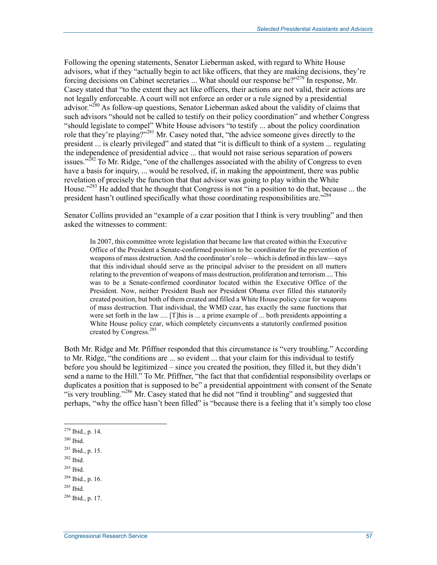Following the opening statements, Senator Lieberman asked, with regard to White House advisors, what if they "actually begin to act like officers, that they are making decisions, they're forcing decisions on Cabinet secretaries ... What should our response be?"279 In response, Mr. Casey stated that "to the extent they act like officers, their actions are not valid, their actions are not legally enforceable. A court will not enforce an order or a rule signed by a presidential advisor.<sup> $280$ </sup> As follow-up questions, Senator Lieberman asked about the validity of claims that such advisors "should not be called to testify on their policy coordination" and whether Congress "should legislate to compel" White House advisors "to testify ... about the policy coordination role that they're playing?"<sup>281</sup> Mr. Casey noted that, "the advice someone gives directly to the president ... is clearly privileged" and stated that "it is difficult to think of a system ... regulating the independence of presidential advice ... that would not raise serious separation of powers issues."<sup>282</sup> To Mr. Ridge, "one of the challenges associated with the ability of Congress to even have a basis for inquiry, ... would be resolved, if, in making the appointment, there was public revelation of precisely the function that that advisor was going to play within the White House."<sup>283</sup> He added that he thought that Congress is not "in a position to do that, because ... the president hasn't outlined specifically what those coordinating responsibilities are."<sup>284</sup>

Senator Collins provided an "example of a czar position that I think is very troubling" and then asked the witnesses to comment:

In 2007, this committee wrote legislation that became law that created within the Executive Office of the President a Senate-confirmed position to be coordinator for the prevention of weapons of mass destruction. And the coordinator's role—which is defined in this law—says that this individual should serve as the principal adviser to the president on all matters relating to the prevention of weapons of mass destruction, proliferation and terrorism .... This was to be a Senate-confirmed coordinator located within the Executive Office of the President. Now, neither President Bush nor President Obama ever filled this statutorily created position, but both of them created and filled a White House policy czar for weapons of mass destruction. That individual, the WMD czar, has exactly the same functions that were set forth in the law .... [T]his is ... a prime example of ... both presidents appointing a White House policy czar, which completely circumvents a statutorily confirmed position created by Congress.<sup>285</sup>

Both Mr. Ridge and Mr. Pfiffner responded that this circumstance is "very troubling." According to Mr. Ridge, "the conditions are ... so evident ... that your claim for this individual to testify before you should be legitimized – since you created the position, they filled it, but they didn't send a name to the Hill." To Mr. Pfiffner, "the fact that that confidential responsibility overlaps or duplicates a position that is supposed to be" a presidential appointment with consent of the Senate "is very troubling."<sup>286</sup> Mr. Casey stated that he did not "find it troubling" and suggested that perhaps, "why the office hasn't been filled" is "because there is a feeling that it's simply too close

 $279$  Ibid., p. 14.

<sup>280</sup> Ibid.

<sup>281</sup> Ibid., p. 15.

<sup>282</sup> Ibid.

 $283$  Ibid.

<sup>284</sup> Ibid., p. 16.

 $285$  Ibid.

 $286$  Ibid., p. 17.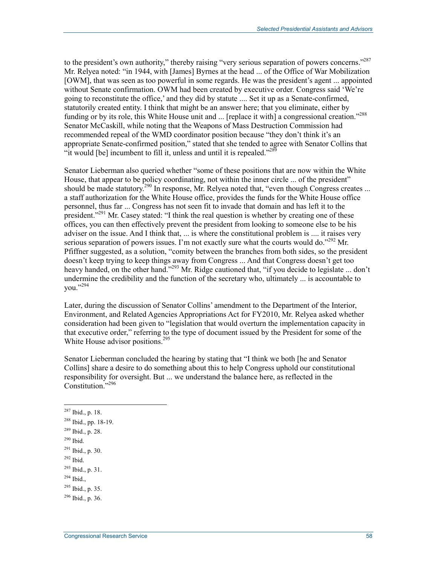to the president's own authority," thereby raising "very serious separation of powers concerns."<sup>287</sup> Mr. Relyea noted: "in 1944, with [James] Byrnes at the head ... of the Office of War Mobilization [OWM], that was seen as too powerful in some regards. He was the president's agent ... appointed without Senate confirmation. OWM had been created by executive order. Congress said 'We're going to reconstitute the office,' and they did by statute .... Set it up as a Senate-confirmed, statutorily created entity. I think that might be an answer here; that you eliminate, either by funding or by its role, this White House unit and ... [replace it with] a congressional creation."<sup>288</sup> Senator McCaskill, while noting that the Weapons of Mass Destruction Commission had recommended repeal of the WMD coordinator position because "they don't think it's an appropriate Senate-confirmed position," stated that she tended to agree with Senator Collins that "it would  $[be]$  incumbent to fill it, unless and until it is repealed."<sup>289</sup>

Senator Lieberman also queried whether "some of these positions that are now within the White House, that appear to be policy coordinating, not within the inner circle ... of the president" should be made statutory.<sup>290</sup> In response, Mr. Relyea noted that, "even though Congress creates ... a staff authorization for the White House office, provides the funds for the White House office personnel, thus far ... Congress has not seen fit to invade that domain and has left it to the president.<sup>2291</sup> Mr. Casey stated: "I think the real question is whether by creating one of these offices, you can then effectively prevent the president from looking to someone else to be his adviser on the issue. And I think that, ... is where the constitutional problem is .... it raises very serious separation of powers issues. I'm not exactly sure what the courts would do."<sup>292</sup> Mr. Pfiffner suggested, as a solution, "comity between the branches from both sides, so the president doesn't keep trying to keep things away from Congress ... And that Congress doesn't get too heavy handed, on the other hand."<sup>293</sup> Mr. Ridge cautioned that, "if you decide to legislate ... don't undermine the credibility and the function of the secretary who, ultimately ... is accountable to you."294

Later, during the discussion of Senator Collins' amendment to the Department of the Interior, Environment, and Related Agencies Appropriations Act for FY2010, Mr. Relyea asked whether consideration had been given to "legislation that would overturn the implementation capacity in that executive order," referring to the type of document issued by the President for some of the White House advisor positions.<sup>295</sup>

Senator Lieberman concluded the hearing by stating that "I think we both [he and Senator Collins] share a desire to do something about this to help Congress uphold our constitutional responsibility for oversight. But ... we understand the balance here, as reflected in the Constitution."<sup>296</sup>

290 Ibid.

- $292$  Ibid.
- $^{293}$  Ibid., p. 31.

 $287$  Ibid., p. 18.

<sup>288</sup> Ibid., pp. 18-19.

<sup>289</sup> Ibid., p. 28.

 $291$  Ibid., p. 30.

 $294$  Ibid.,

 $^{295}$  Ibid., p. 35.

 $^{296}$  Ibid., p. 36.